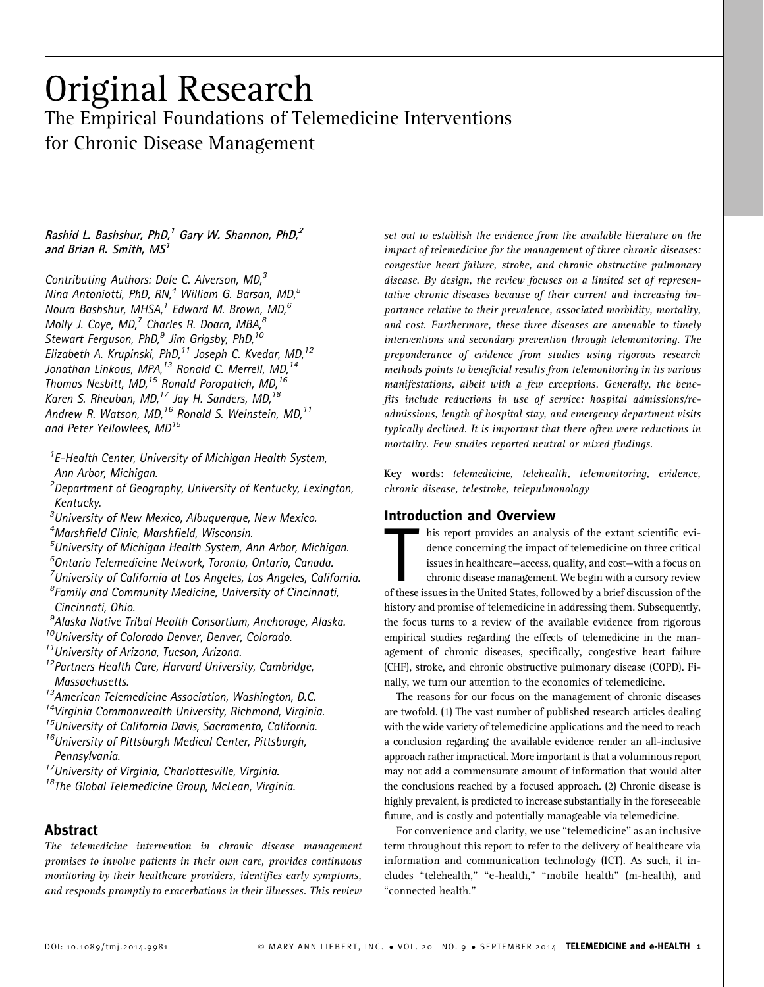# Original Research The Empirical Foundations of Telemedicine Interventions for Chronic Disease Management

### Rashid L. Bashshur, PhD,<sup>1</sup> Gary W. Shannon, PhD,<sup>2</sup> and Brian R. Smith,  $MS<sup>1</sup>$

Contributing Authors: Dale C. Alverson, MD,<sup>3</sup> Nina Antoniotti, PhD, RN,<sup>4</sup> William G. Barsan, MD,<sup>5</sup> Noura Bashshur, MHSA, $^1$  Edward M. Brown, MD, $^6$ Molly J. Coye, MD, $^7$  Charles R. Doarn, MBA, $^8$ Stewart Ferguson, PhD, $9$  Jim Grigsby, PhD, $10$ Elizabeth A. Krupinski, PhD,<sup>11</sup> Joseph C. Kvedar, MD,<sup>12</sup> Jonathan Linkous, MPA,<sup>13</sup> Ronald C. Merrell, MD,<sup>14</sup> Thomas Nesbitt, MD,<sup>15</sup> Ronald Poropatich, MD,<sup>16</sup> Karen S. Rheuban, MD,<sup>17</sup> Jay H. Sanders, MD.<sup>18</sup> Andrew R. Watson, MD, $^{16}$  Ronald S. Weinstein, MD, $^{11}$ and Peter Yellowlees, MD<sup>15</sup>

<sup>1</sup>E-Health Center, University of Michigan Health System, Ann Arbor, Michigan.

<sup>2</sup>Department of Geography, University of Kentucky, Lexington, Kentucky.

<sup>3</sup>University of New Mexico, Albuquerque, New Mexico. 4 Marshfield Clinic, Marshfield, Wisconsin.

5 University of Michigan Health System, Ann Arbor, Michigan.

6 Ontario Telemedicine Network, Toronto, Ontario, Canada.

<sup>7</sup>University of California at Los Angeles, Los Angeles, California.

8 Family and Community Medicine, University of Cincinnati, Cincinnati, Ohio.

<sup>9</sup>Alaska Native Tribal Health Consortium, Anchorage, Alaska. <sup>10</sup>University of Colorado Denver, Denver, Colorado.

<sup>11</sup> University of Arizona, Tucson, Arizona.

<sup>12</sup> Partners Health Care, Harvard University, Cambridge, Massachusetts.

<sup>13</sup>American Telemedicine Association, Washington, D.C.<br><sup>14</sup>Virginia Commonwealth University, Richmond, Virginia.<br><sup>15</sup>University of California Davis, Sacramento, California.

<sup>16</sup>University of Pittsburgh Medical Center, Pittsburgh, Pennsylvania.

<sup>17</sup>University of Virginia, Charlottesville, Virginia.

<sup>18</sup>The Global Telemedicine Group, McLean, Virginia.

# Abstract

The telemedicine intervention in chronic disease management promises to involve patients in their own care, provides continuous monitoring by their healthcare providers, identifies early symptoms, and responds promptly to exacerbations in their illnesses. This review

set out to establish the evidence from the available literature on the impact of telemedicine for the management of three chronic diseases: congestive heart failure, stroke, and chronic obstructive pulmonary disease. By design, the review focuses on a limited set of representative chronic diseases because of their current and increasing importance relative to their prevalence, associated morbidity, mortality, and cost. Furthermore, these three diseases are amenable to timely interventions and secondary prevention through telemonitoring. The preponderance of evidence from studies using rigorous research methods points to beneficial results from telemonitoring in its various manifestations, albeit with a few exceptions. Generally, the benefits include reductions in use of service: hospital admissions/readmissions, length of hospital stay, and emergency department visits typically declined. It is important that there often were reductions in mortality. Few studies reported neutral or mixed findings.

Key words: telemedicine, telehealth, telemonitoring, evidence, chronic disease, telestroke, telepulmonology

### Introduction and Overview

The United States in the United States, followed by a brief discussion of the extant scientific evidence concerning the impact of telemedicine on three critical issues in healthcare—access, quality, and cost—with a focus o his report provides an analysis of the extant scientific evidence concerning the impact of telemedicine on three critical issues in healthcare—access, quality, and cost—with a focus on chronic disease management. We begin with a cursory review history and promise of telemedicine in addressing them. Subsequently, the focus turns to a review of the available evidence from rigorous empirical studies regarding the effects of telemedicine in the management of chronic diseases, specifically, congestive heart failure (CHF), stroke, and chronic obstructive pulmonary disease (COPD). Finally, we turn our attention to the economics of telemedicine.

The reasons for our focus on the management of chronic diseases are twofold. (1) The vast number of published research articles dealing with the wide variety of telemedicine applications and the need to reach a conclusion regarding the available evidence render an all-inclusive approach rather impractical. More important is that a voluminous report may not add a commensurate amount of information that would alter the conclusions reached by a focused approach. (2) Chronic disease is highly prevalent, is predicted to increase substantially in the foreseeable future, and is costly and potentially manageable via telemedicine.

For convenience and clarity, we use ''telemedicine'' as an inclusive term throughout this report to refer to the delivery of healthcare via information and communication technology (ICT). As such, it includes ''telehealth,'' ''e-health,'' ''mobile health'' (m-health), and ''connected health.''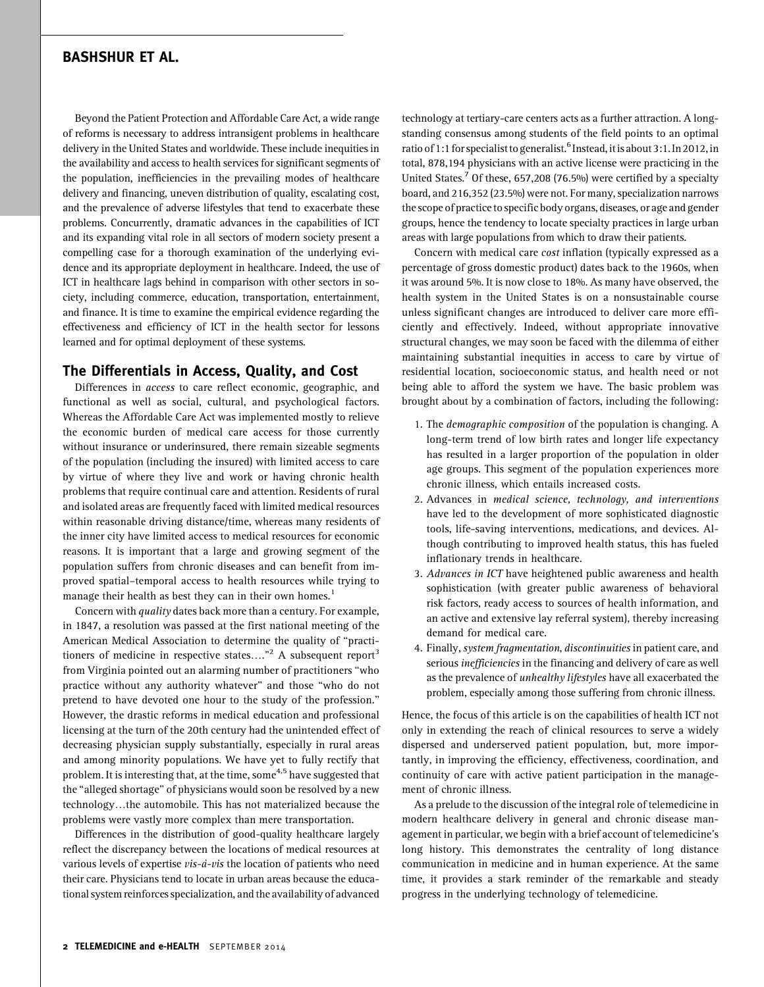Beyond the Patient Protection and Affordable Care Act, a wide range of reforms is necessary to address intransigent problems in healthcare delivery in the United States and worldwide. These include inequities in the availability and access to health services for significant segments of the population, inefficiencies in the prevailing modes of healthcare delivery and financing, uneven distribution of quality, escalating cost, and the prevalence of adverse lifestyles that tend to exacerbate these problems. Concurrently, dramatic advances in the capabilities of ICT and its expanding vital role in all sectors of modern society present a compelling case for a thorough examination of the underlying evidence and its appropriate deployment in healthcare. Indeed, the use of ICT in healthcare lags behind in comparison with other sectors in society, including commerce, education, transportation, entertainment, and finance. It is time to examine the empirical evidence regarding the effectiveness and efficiency of ICT in the health sector for lessons learned and for optimal deployment of these systems.

### The Differentials in Access, Quality, and Cost

Differences in access to care reflect economic, geographic, and functional as well as social, cultural, and psychological factors. Whereas the Affordable Care Act was implemented mostly to relieve the economic burden of medical care access for those currently without insurance or underinsured, there remain sizeable segments of the population (including the insured) with limited access to care by virtue of where they live and work or having chronic health problems that require continual care and attention. Residents of rural and isolated areas are frequently faced with limited medical resources within reasonable driving distance/time, whereas many residents of the inner city have limited access to medical resources for economic reasons. It is important that a large and growing segment of the population suffers from chronic diseases and can benefit from improved spatial–temporal access to health resources while trying to manage their health as best they can in their own homes.<sup>1</sup>

Concern with quality dates back more than a century. For example, in 1847, a resolution was passed at the first national meeting of the American Medical Association to determine the quality of ''practitioners of medicine in respective states...."<sup>2</sup> A subsequent report<sup>3</sup> from Virginia pointed out an alarming number of practitioners ''who practice without any authority whatever'' and those ''who do not pretend to have devoted one hour to the study of the profession.'' However, the drastic reforms in medical education and professional licensing at the turn of the 20th century had the unintended effect of decreasing physician supply substantially, especially in rural areas and among minority populations. We have yet to fully rectify that problem. It is interesting that, at the time, some<sup>4,5</sup> have suggested that the ''alleged shortage'' of physicians would soon be resolved by a new technology...the automobile. This has not materialized because the problems were vastly more complex than mere transportation.

Differences in the distribution of good-quality healthcare largely reflect the discrepancy between the locations of medical resources at various levels of expertise  $vis-\hat{a}-vis$  the location of patients who need their care. Physicians tend to locate in urban areas because the educational system reinforces specialization, and the availability of advanced

technology at tertiary-care centers acts as a further attraction. A longstanding consensus among students of the field points to an optimal ratio of 1:1 for specialist to generalist.<sup>6</sup> Instead, it is about 3:1. In 2012, in total, 878,194 physicians with an active license were practicing in the United States.<sup>7</sup> Of these, 657,208 (76.5%) were certified by a specialty board, and 216,352 (23.5%) were not. For many, specialization narrows the scope of practice to specific body organs, diseases, or age and gender groups, hence the tendency to locate specialty practices in large urban areas with large populations from which to draw their patients.

Concern with medical care cost inflation (typically expressed as a percentage of gross domestic product) dates back to the 1960s, when it was around 5%. It is now close to 18%. As many have observed, the health system in the United States is on a nonsustainable course unless significant changes are introduced to deliver care more efficiently and effectively. Indeed, without appropriate innovative structural changes, we may soon be faced with the dilemma of either maintaining substantial inequities in access to care by virtue of residential location, socioeconomic status, and health need or not being able to afford the system we have. The basic problem was brought about by a combination of factors, including the following:

- 1. The demographic composition of the population is changing. A long-term trend of low birth rates and longer life expectancy has resulted in a larger proportion of the population in older age groups. This segment of the population experiences more chronic illness, which entails increased costs.
- 2. Advances in medical science, technology, and interventions have led to the development of more sophisticated diagnostic tools, life-saving interventions, medications, and devices. Although contributing to improved health status, this has fueled inflationary trends in healthcare.
- 3. Advances in ICT have heightened public awareness and health sophistication (with greater public awareness of behavioral risk factors, ready access to sources of health information, and an active and extensive lay referral system), thereby increasing demand for medical care.
- 4. Finally, system fragmentation, discontinuities in patient care, and serious inefficiencies in the financing and delivery of care as well as the prevalence of unhealthy lifestyles have all exacerbated the problem, especially among those suffering from chronic illness.

Hence, the focus of this article is on the capabilities of health ICT not only in extending the reach of clinical resources to serve a widely dispersed and underserved patient population, but, more importantly, in improving the efficiency, effectiveness, coordination, and continuity of care with active patient participation in the management of chronic illness.

As a prelude to the discussion of the integral role of telemedicine in modern healthcare delivery in general and chronic disease management in particular, we begin with a brief account of telemedicine's long history. This demonstrates the centrality of long distance communication in medicine and in human experience. At the same time, it provides a stark reminder of the remarkable and steady progress in the underlying technology of telemedicine.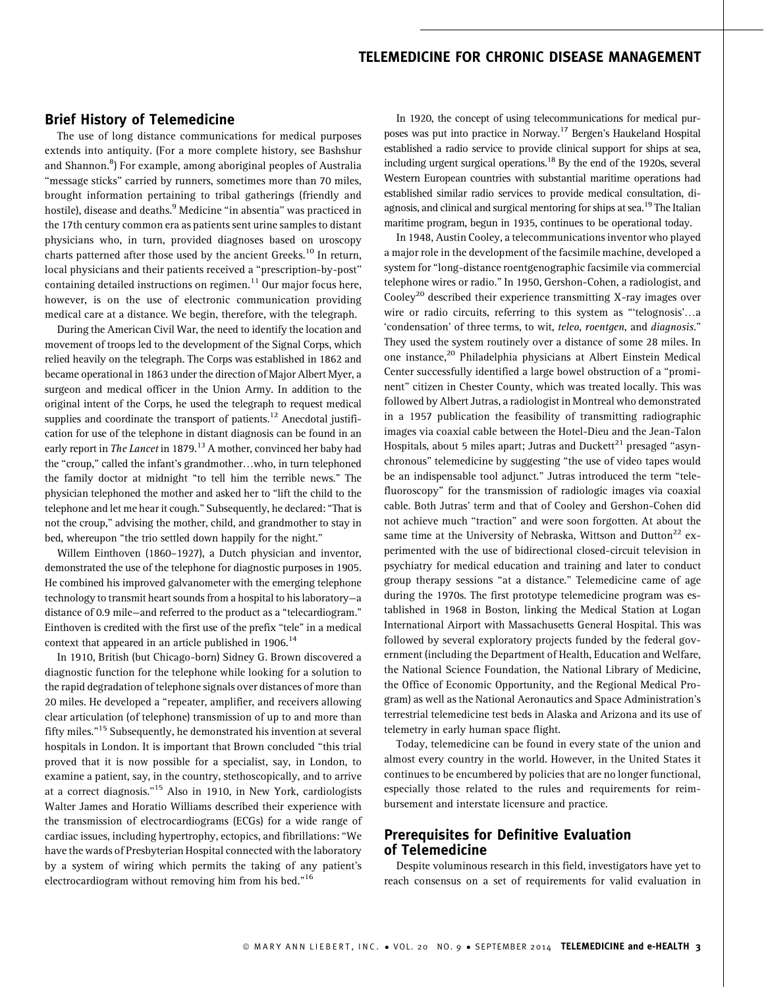### Brief History of Telemedicine

The use of long distance communications for medical purposes extends into antiquity. (For a more complete history, see Bashshur and Shannon.<sup>8</sup>) For example, among aboriginal peoples of Australia "message sticks" carried by runners, sometimes more than 70 miles, brought information pertaining to tribal gatherings (friendly and hostile), disease and deaths.<sup>9</sup> Medicine "in absentia" was practiced in the 17th century common era as patients sent urine samples to distant physicians who, in turn, provided diagnoses based on uroscopy charts patterned after those used by the ancient Greeks.<sup>10</sup> In return, local physicians and their patients received a "prescription-by-post" containing detailed instructions on regimen. $11$  Our major focus here, however, is on the use of electronic communication providing medical care at a distance. We begin, therefore, with the telegraph.

During the American Civil War, the need to identify the location and movement of troops led to the development of the Signal Corps, which relied heavily on the telegraph. The Corps was established in 1862 and became operational in 1863 under the direction of Major Albert Myer, a surgeon and medical officer in the Union Army. In addition to the original intent of the Corps, he used the telegraph to request medical supplies and coordinate the transport of patients.<sup>12</sup> Anecdotal justification for use of the telephone in distant diagnosis can be found in an early report in The Lancet in 1879.<sup>13</sup> A mother, convinced her baby had the "croup," called the infant's grandmother...who, in turn telephoned the family doctor at midnight ''to tell him the terrible news.'' The physician telephoned the mother and asked her to ''lift the child to the telephone and let me hear it cough.'' Subsequently, he declared: ''That is not the croup,'' advising the mother, child, and grandmother to stay in bed, whereupon "the trio settled down happily for the night."

Willem Einthoven (1860–1927), a Dutch physician and inventor, demonstrated the use of the telephone for diagnostic purposes in 1905. He combined his improved galvanometer with the emerging telephone technology to transmit heart sounds from a hospital to his laboratory—a distance of 0.9 mile—and referred to the product as a ''telecardiogram.'' Einthoven is credited with the first use of the prefix ''tele'' in a medical context that appeared in an article published in 1906.<sup>14</sup>

In 1910, British (but Chicago-born) Sidney G. Brown discovered a diagnostic function for the telephone while looking for a solution to the rapid degradation of telephone signals over distances of more than 20 miles. He developed a ''repeater, amplifier, and receivers allowing clear articulation (of telephone) transmission of up to and more than fifty miles.''15 Subsequently, he demonstrated his invention at several hospitals in London. It is important that Brown concluded ''this trial proved that it is now possible for a specialist, say, in London, to examine a patient, say, in the country, stethoscopically, and to arrive at a correct diagnosis.''15 Also in 1910, in New York, cardiologists Walter James and Horatio Williams described their experience with the transmission of electrocardiograms (ECGs) for a wide range of cardiac issues, including hypertrophy, ectopics, and fibrillations: ''We have the wards of Presbyterian Hospital connected with the laboratory by a system of wiring which permits the taking of any patient's electrocardiogram without removing him from his bed."<sup>16</sup>

In 1920, the concept of using telecommunications for medical purposes was put into practice in Norway.<sup>17</sup> Bergen's Haukeland Hospital established a radio service to provide clinical support for ships at sea, including urgent surgical operations.<sup>18</sup> By the end of the 1920s, several Western European countries with substantial maritime operations had established similar radio services to provide medical consultation, diagnosis, and clinical and surgical mentoring for ships at sea.<sup>19</sup> The Italian maritime program, begun in 1935, continues to be operational today.

In 1948, Austin Cooley, a telecommunications inventor who played a major role in the development of the facsimile machine, developed a system for ''long-distance roentgenographic facsimile via commercial telephone wires or radio.'' In 1950, Gershon-Cohen, a radiologist, and Cooley<sup>20</sup> described their experience transmitting X-ray images over wire or radio circuits, referring to this system as "'telognosis'...a 'condensation' of three terms, to wit, teleo, roentgen, and diagnosis." They used the system routinely over a distance of some 28 miles. In one instance,<sup>20</sup> Philadelphia physicians at Albert Einstein Medical Center successfully identified a large bowel obstruction of a ''prominent'' citizen in Chester County, which was treated locally. This was followed by Albert Jutras, a radiologist in Montreal who demonstrated in a 1957 publication the feasibility of transmitting radiographic images via coaxial cable between the Hotel-Dieu and the Jean-Talon Hospitals, about 5 miles apart; Jutras and Duckett $^{\mathrm{21}}$  presaged "asynchronous'' telemedicine by suggesting ''the use of video tapes would be an indispensable tool adjunct.'' Jutras introduced the term ''telefluoroscopy'' for the transmission of radiologic images via coaxial cable. Both Jutras' term and that of Cooley and Gershon-Cohen did not achieve much ''traction'' and were soon forgotten. At about the same time at the University of Nebraska, Wittson and Dutton<sup>22</sup> experimented with the use of bidirectional closed-circuit television in psychiatry for medical education and training and later to conduct group therapy sessions "at a distance." Telemedicine came of age during the 1970s. The first prototype telemedicine program was established in 1968 in Boston, linking the Medical Station at Logan International Airport with Massachusetts General Hospital. This was followed by several exploratory projects funded by the federal government (including the Department of Health, Education and Welfare, the National Science Foundation, the National Library of Medicine, the Office of Economic Opportunity, and the Regional Medical Program) as well as the National Aeronautics and Space Administration's terrestrial telemedicine test beds in Alaska and Arizona and its use of telemetry in early human space flight.

Today, telemedicine can be found in every state of the union and almost every country in the world. However, in the United States it continues to be encumbered by policies that are no longer functional, especially those related to the rules and requirements for reimbursement and interstate licensure and practice.

# Prerequisites for Definitive Evaluation of Telemedicine

Despite voluminous research in this field, investigators have yet to reach consensus on a set of requirements for valid evaluation in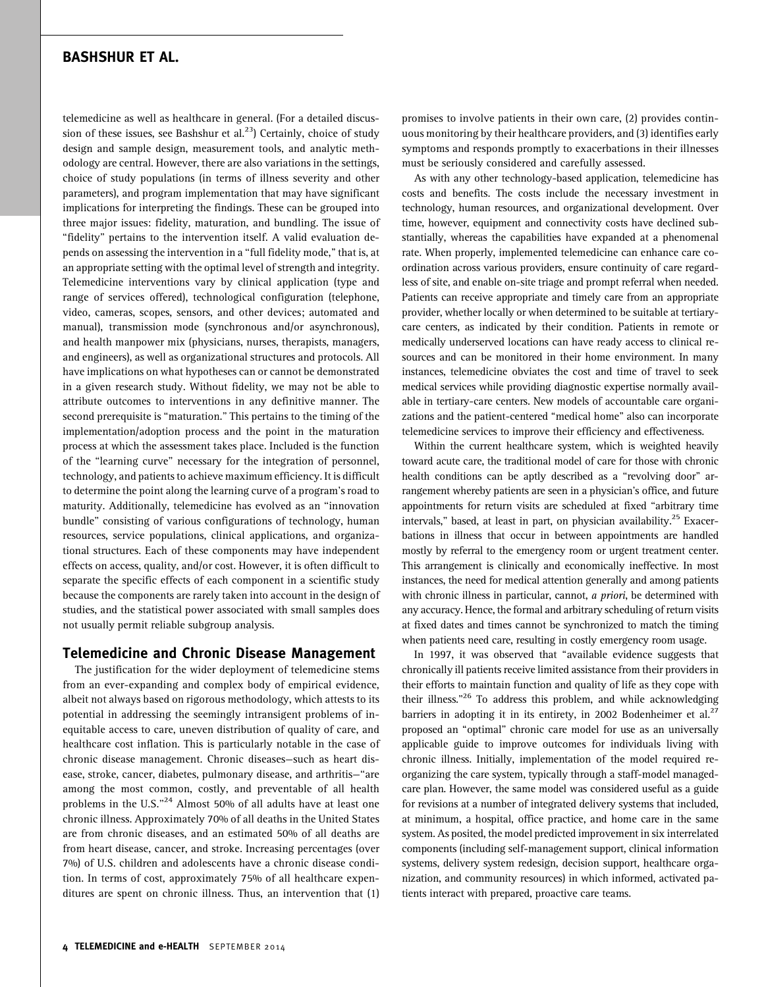telemedicine as well as healthcare in general. (For a detailed discussion of these issues, see Bashshur et al.<sup>23</sup>) Certainly, choice of study design and sample design, measurement tools, and analytic methodology are central. However, there are also variations in the settings, choice of study populations (in terms of illness severity and other parameters), and program implementation that may have significant implications for interpreting the findings. These can be grouped into three major issues: fidelity, maturation, and bundling. The issue of "fidelity" pertains to the intervention itself. A valid evaluation depends on assessing the intervention in a "full fidelity mode," that is, at an appropriate setting with the optimal level of strength and integrity. Telemedicine interventions vary by clinical application (type and range of services offered), technological configuration (telephone, video, cameras, scopes, sensors, and other devices; automated and manual), transmission mode (synchronous and/or asynchronous), and health manpower mix (physicians, nurses, therapists, managers, and engineers), as well as organizational structures and protocols. All have implications on what hypotheses can or cannot be demonstrated in a given research study. Without fidelity, we may not be able to attribute outcomes to interventions in any definitive manner. The second prerequisite is ''maturation.'' This pertains to the timing of the implementation/adoption process and the point in the maturation process at which the assessment takes place. Included is the function of the ''learning curve'' necessary for the integration of personnel, technology, and patients to achieve maximum efficiency. It is difficult to determine the point along the learning curve of a program's road to maturity. Additionally, telemedicine has evolved as an ''innovation bundle'' consisting of various configurations of technology, human resources, service populations, clinical applications, and organizational structures. Each of these components may have independent effects on access, quality, and/or cost. However, it is often difficult to separate the specific effects of each component in a scientific study because the components are rarely taken into account in the design of studies, and the statistical power associated with small samples does not usually permit reliable subgroup analysis.

### Telemedicine and Chronic Disease Management

The justification for the wider deployment of telemedicine stems from an ever-expanding and complex body of empirical evidence, albeit not always based on rigorous methodology, which attests to its potential in addressing the seemingly intransigent problems of inequitable access to care, uneven distribution of quality of care, and healthcare cost inflation. This is particularly notable in the case of chronic disease management. Chronic diseases—such as heart disease, stroke, cancer, diabetes, pulmonary disease, and arthritis—''are among the most common, costly, and preventable of all health problems in the U.S."<sup>24</sup> Almost 50% of all adults have at least one chronic illness. Approximately 70% of all deaths in the United States are from chronic diseases, and an estimated 50% of all deaths are from heart disease, cancer, and stroke. Increasing percentages (over 7%) of U.S. children and adolescents have a chronic disease condition. In terms of cost, approximately 75% of all healthcare expenditures are spent on chronic illness. Thus, an intervention that (1)

promises to involve patients in their own care, (2) provides continuous monitoring by their healthcare providers, and (3) identifies early symptoms and responds promptly to exacerbations in their illnesses must be seriously considered and carefully assessed.

As with any other technology-based application, telemedicine has costs and benefits. The costs include the necessary investment in technology, human resources, and organizational development. Over time, however, equipment and connectivity costs have declined substantially, whereas the capabilities have expanded at a phenomenal rate. When properly, implemented telemedicine can enhance care coordination across various providers, ensure continuity of care regardless of site, and enable on-site triage and prompt referral when needed. Patients can receive appropriate and timely care from an appropriate provider, whether locally or when determined to be suitable at tertiarycare centers, as indicated by their condition. Patients in remote or medically underserved locations can have ready access to clinical resources and can be monitored in their home environment. In many instances, telemedicine obviates the cost and time of travel to seek medical services while providing diagnostic expertise normally available in tertiary-care centers. New models of accountable care organizations and the patient-centered ''medical home'' also can incorporate telemedicine services to improve their efficiency and effectiveness.

Within the current healthcare system, which is weighted heavily toward acute care, the traditional model of care for those with chronic health conditions can be aptly described as a "revolving door" arrangement whereby patients are seen in a physician's office, and future appointments for return visits are scheduled at fixed ''arbitrary time intervals," based, at least in part, on physician availability.<sup>25</sup> Exacerbations in illness that occur in between appointments are handled mostly by referral to the emergency room or urgent treatment center. This arrangement is clinically and economically ineffective. In most instances, the need for medical attention generally and among patients with chronic illness in particular, cannot, a priori, be determined with any accuracy. Hence, the formal and arbitrary scheduling of return visits at fixed dates and times cannot be synchronized to match the timing when patients need care, resulting in costly emergency room usage.

In 1997, it was observed that "available evidence suggests that chronically ill patients receive limited assistance from their providers in their efforts to maintain function and quality of life as they cope with their illness."<sup>26</sup> To address this problem, and while acknowledging barriers in adopting it in its entirety, in 2002 Bodenheimer et al. $^{27}$ proposed an ''optimal'' chronic care model for use as an universally applicable guide to improve outcomes for individuals living with chronic illness. Initially, implementation of the model required reorganizing the care system, typically through a staff-model managedcare plan. However, the same model was considered useful as a guide for revisions at a number of integrated delivery systems that included, at minimum, a hospital, office practice, and home care in the same system. As posited, the model predicted improvement in six interrelated components (including self-management support, clinical information systems, delivery system redesign, decision support, healthcare organization, and community resources) in which informed, activated patients interact with prepared, proactive care teams.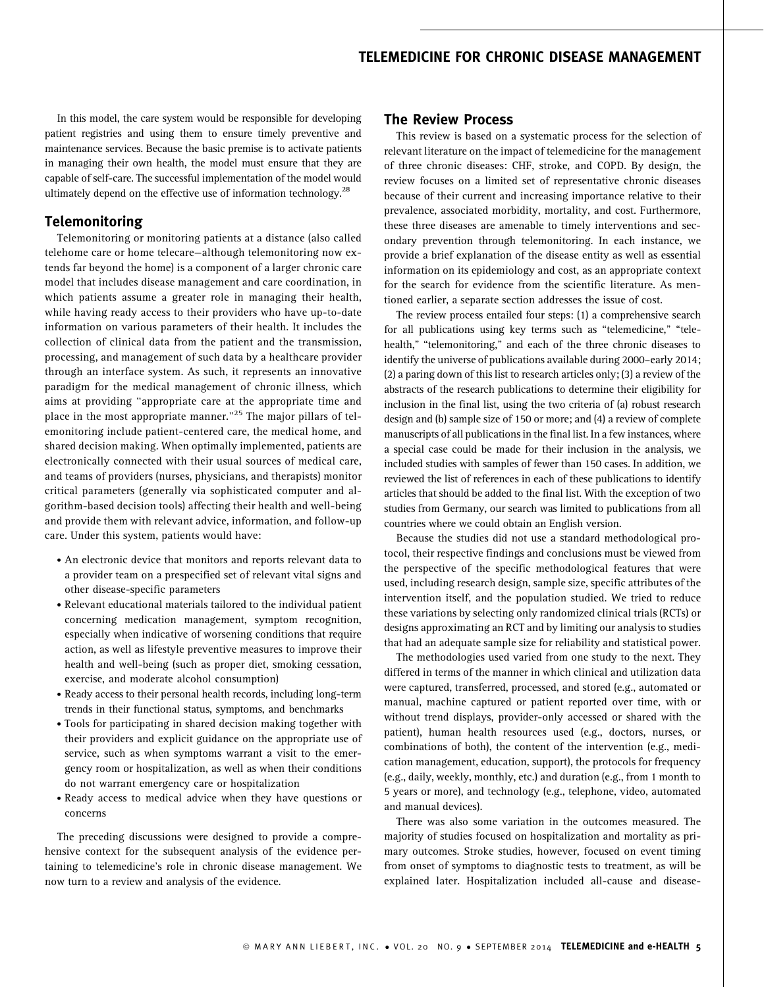In this model, the care system would be responsible for developing patient registries and using them to ensure timely preventive and maintenance services. Because the basic premise is to activate patients in managing their own health, the model must ensure that they are capable of self-care. The successful implementation of the model would ultimately depend on the effective use of information technology. $^{28}$ 

# Telemonitoring

Telemonitoring or monitoring patients at a distance (also called telehome care or home telecare—although telemonitoring now extends far beyond the home) is a component of a larger chronic care model that includes disease management and care coordination, in which patients assume a greater role in managing their health, while having ready access to their providers who have up-to-date information on various parameters of their health. It includes the collection of clinical data from the patient and the transmission, processing, and management of such data by a healthcare provider through an interface system. As such, it represents an innovative paradigm for the medical management of chronic illness, which aims at providing ''appropriate care at the appropriate time and place in the most appropriate manner."<sup>25</sup> The major pillars of telemonitoring include patient-centered care, the medical home, and shared decision making. When optimally implemented, patients are electronically connected with their usual sources of medical care, and teams of providers (nurses, physicians, and therapists) monitor critical parameters (generally via sophisticated computer and algorithm-based decision tools) affecting their health and well-being and provide them with relevant advice, information, and follow-up care. Under this system, patients would have:

- . An electronic device that monitors and reports relevant data to a provider team on a prespecified set of relevant vital signs and other disease-specific parameters
- . Relevant educational materials tailored to the individual patient concerning medication management, symptom recognition, especially when indicative of worsening conditions that require action, as well as lifestyle preventive measures to improve their health and well-being (such as proper diet, smoking cessation, exercise, and moderate alcohol consumption)
- . Ready access to their personal health records, including long-term trends in their functional status, symptoms, and benchmarks
- . Tools for participating in shared decision making together with their providers and explicit guidance on the appropriate use of service, such as when symptoms warrant a visit to the emergency room or hospitalization, as well as when their conditions do not warrant emergency care or hospitalization
- . Ready access to medical advice when they have questions or concerns

The preceding discussions were designed to provide a comprehensive context for the subsequent analysis of the evidence pertaining to telemedicine's role in chronic disease management. We now turn to a review and analysis of the evidence.

### The Review Process

This review is based on a systematic process for the selection of relevant literature on the impact of telemedicine for the management of three chronic diseases: CHF, stroke, and COPD. By design, the review focuses on a limited set of representative chronic diseases because of their current and increasing importance relative to their prevalence, associated morbidity, mortality, and cost. Furthermore, these three diseases are amenable to timely interventions and secondary prevention through telemonitoring. In each instance, we provide a brief explanation of the disease entity as well as essential information on its epidemiology and cost, as an appropriate context for the search for evidence from the scientific literature. As mentioned earlier, a separate section addresses the issue of cost.

The review process entailed four steps: (1) a comprehensive search for all publications using key terms such as "telemedicine," "telehealth," "telemonitoring," and each of the three chronic diseases to identify the universe of publications available during 2000–early 2014; (2) a paring down of this list to research articles only; (3) a review of the abstracts of the research publications to determine their eligibility for inclusion in the final list, using the two criteria of (a) robust research design and (b) sample size of 150 or more; and (4) a review of complete manuscripts of all publications in the final list. In a few instances, where a special case could be made for their inclusion in the analysis, we included studies with samples of fewer than 150 cases. In addition, we reviewed the list of references in each of these publications to identify articles that should be added to the final list. With the exception of two studies from Germany, our search was limited to publications from all countries where we could obtain an English version.

Because the studies did not use a standard methodological protocol, their respective findings and conclusions must be viewed from the perspective of the specific methodological features that were used, including research design, sample size, specific attributes of the intervention itself, and the population studied. We tried to reduce these variations by selecting only randomized clinical trials (RCTs) or designs approximating an RCT and by limiting our analysis to studies that had an adequate sample size for reliability and statistical power.

The methodologies used varied from one study to the next. They differed in terms of the manner in which clinical and utilization data were captured, transferred, processed, and stored (e.g., automated or manual, machine captured or patient reported over time, with or without trend displays, provider-only accessed or shared with the patient), human health resources used (e.g., doctors, nurses, or combinations of both), the content of the intervention (e.g., medication management, education, support), the protocols for frequency (e.g., daily, weekly, monthly, etc.) and duration (e.g., from 1 month to 5 years or more), and technology (e.g., telephone, video, automated and manual devices).

There was also some variation in the outcomes measured. The majority of studies focused on hospitalization and mortality as primary outcomes. Stroke studies, however, focused on event timing from onset of symptoms to diagnostic tests to treatment, as will be explained later. Hospitalization included all-cause and disease-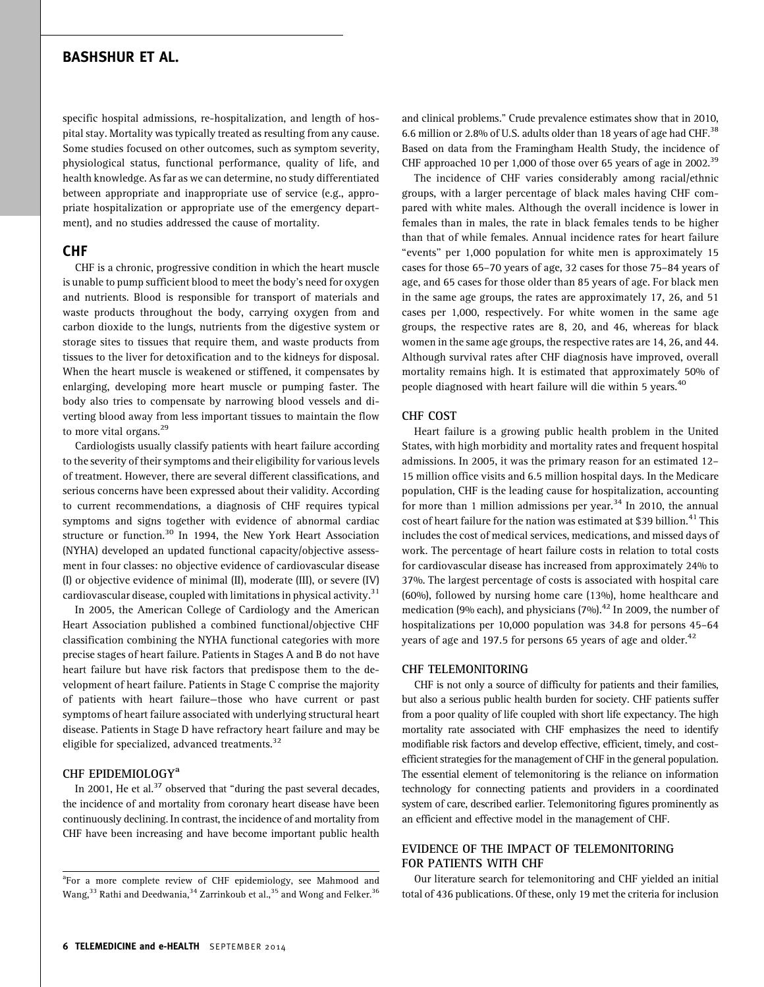specific hospital admissions, re-hospitalization, and length of hospital stay. Mortality was typically treated as resulting from any cause. Some studies focused on other outcomes, such as symptom severity, physiological status, functional performance, quality of life, and health knowledge. As far as we can determine, no study differentiated between appropriate and inappropriate use of service (e.g., appropriate hospitalization or appropriate use of the emergency department), and no studies addressed the cause of mortality.

### CHF

CHF is a chronic, progressive condition in which the heart muscle is unable to pump sufficient blood to meet the body's need for oxygen and nutrients. Blood is responsible for transport of materials and waste products throughout the body, carrying oxygen from and carbon dioxide to the lungs, nutrients from the digestive system or storage sites to tissues that require them, and waste products from tissues to the liver for detoxification and to the kidneys for disposal. When the heart muscle is weakened or stiffened, it compensates by enlarging, developing more heart muscle or pumping faster. The body also tries to compensate by narrowing blood vessels and diverting blood away from less important tissues to maintain the flow to more vital organs.<sup>29</sup>

Cardiologists usually classify patients with heart failure according to the severity of their symptoms and their eligibility for various levels of treatment. However, there are several different classifications, and serious concerns have been expressed about their validity. According to current recommendations, a diagnosis of CHF requires typical symptoms and signs together with evidence of abnormal cardiac structure or function.30 In 1994, the New York Heart Association (NYHA) developed an updated functional capacity/objective assessment in four classes: no objective evidence of cardiovascular disease (I) or objective evidence of minimal (II), moderate (III), or severe (IV) cardiovascular disease, coupled with limitations in physical activity.<sup>31</sup>

In 2005, the American College of Cardiology and the American Heart Association published a combined functional/objective CHF classification combining the NYHA functional categories with more precise stages of heart failure. Patients in Stages A and B do not have heart failure but have risk factors that predispose them to the development of heart failure. Patients in Stage C comprise the majority of patients with heart failure—those who have current or past symptoms of heart failure associated with underlying structural heart disease. Patients in Stage D have refractory heart failure and may be eligible for specialized, advanced treatments.<sup>32</sup>

### CHF EPIDEMIOLOGY<sup>a</sup>

In 2001, He et al.<sup>37</sup> observed that "during the past several decades, the incidence of and mortality from coronary heart disease have been continuously declining. In contrast, the incidence of and mortality from CHF have been increasing and have become important public health and clinical problems.'' Crude prevalence estimates show that in 2010, 6.6 million or 2.8% of U.S. adults older than 18 years of age had CHF.<sup>38</sup> Based on data from the Framingham Health Study, the incidence of CHF approached 10 per 1,000 of those over 65 years of age in 2002.<sup>39</sup>

The incidence of CHF varies considerably among racial/ethnic groups, with a larger percentage of black males having CHF compared with white males. Although the overall incidence is lower in females than in males, the rate in black females tends to be higher than that of while females. Annual incidence rates for heart failure "events" per 1,000 population for white men is approximately 15 cases for those 65–70 years of age, 32 cases for those 75–84 years of age, and 65 cases for those older than 85 years of age. For black men in the same age groups, the rates are approximately 17, 26, and 51 cases per 1,000, respectively. For white women in the same age groups, the respective rates are 8, 20, and 46, whereas for black women in the same age groups, the respective rates are 14, 26, and 44. Although survival rates after CHF diagnosis have improved, overall mortality remains high. It is estimated that approximately 50% of people diagnosed with heart failure will die within 5 years.<sup>40</sup>

#### CHF COST

Heart failure is a growing public health problem in the United States, with high morbidity and mortality rates and frequent hospital admissions. In 2005, it was the primary reason for an estimated 12– 15 million office visits and 6.5 million hospital days. In the Medicare population, CHF is the leading cause for hospitalization, accounting for more than 1 million admissions per year.<sup>34</sup> In 2010, the annual cost of heart failure for the nation was estimated at \$39 billion.<sup>41</sup> This includes the cost of medical services, medications, and missed days of work. The percentage of heart failure costs in relation to total costs for cardiovascular disease has increased from approximately 24% to 37%. The largest percentage of costs is associated with hospital care (60%), followed by nursing home care (13%), home healthcare and medication (9% each), and physicians (7%). $42$  In 2009, the number of hospitalizations per 10,000 population was 34.8 for persons 45–64 years of age and 197.5 for persons 65 years of age and older.<sup>42</sup>

#### CHF TELEMONITORING

CHF is not only a source of difficulty for patients and their families, but also a serious public health burden for society. CHF patients suffer from a poor quality of life coupled with short life expectancy. The high mortality rate associated with CHF emphasizes the need to identify modifiable risk factors and develop effective, efficient, timely, and costefficient strategies for the management of CHF in the general population. The essential element of telemonitoring is the reliance on information technology for connecting patients and providers in a coordinated system of care, described earlier. Telemonitoring figures prominently as an efficient and effective model in the management of CHF.

### EVIDENCE OF THE IMPACT OF TELEMONITORING FOR PATIENTS WITH CHF

Our literature search for telemonitoring and CHF yielded an initial total of 436 publications. Of these, only 19 met the criteria for inclusion

<sup>&</sup>lt;sup>a</sup>For a more complete review of CHF epidemiology, see Mahmood and Wang,  $33$  Rathi and Deedwania,  $34$  Zarrinkoub et al.,  $35$  and Wong and Felker.  $36$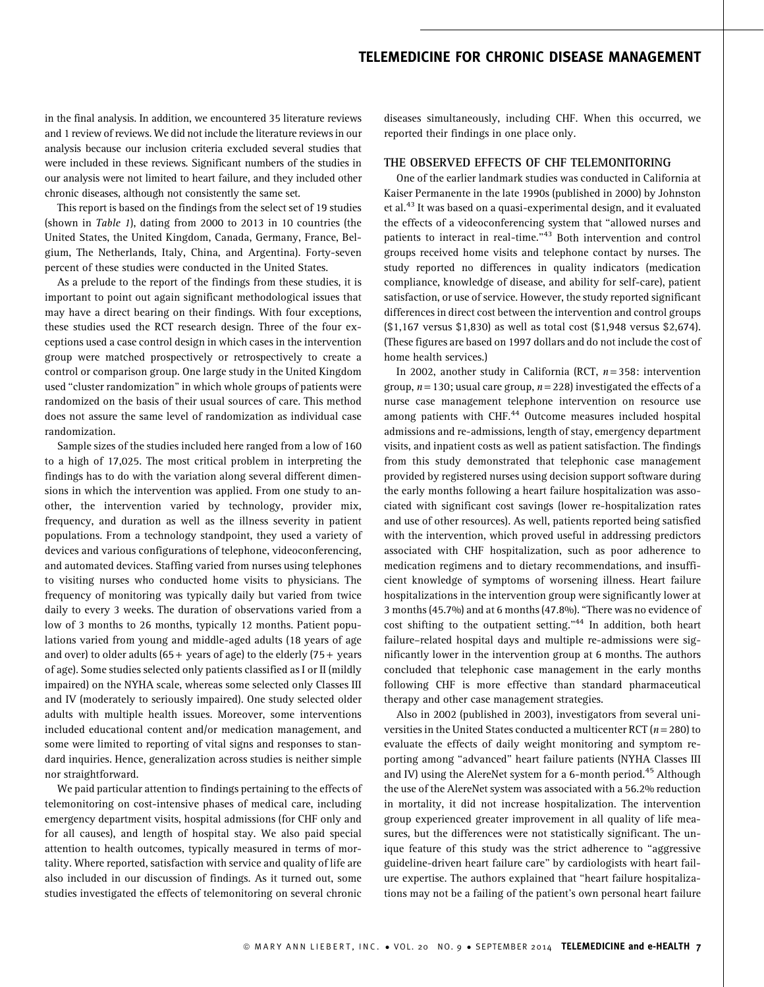in the final analysis. In addition, we encountered 35 literature reviews and 1 review of reviews. We did not include the literature reviews in our analysis because our inclusion criteria excluded several studies that were included in these reviews. Significant numbers of the studies in our analysis were not limited to heart failure, and they included other chronic diseases, although not consistently the same set.

This report is based on the findings from the select set of 19 studies (shown in Table 1), dating from 2000 to 2013 in 10 countries (the United States, the United Kingdom, Canada, Germany, France, Belgium, The Netherlands, Italy, China, and Argentina). Forty-seven percent of these studies were conducted in the United States.

As a prelude to the report of the findings from these studies, it is important to point out again significant methodological issues that may have a direct bearing on their findings. With four exceptions, these studies used the RCT research design. Three of the four exceptions used a case control design in which cases in the intervention group were matched prospectively or retrospectively to create a control or comparison group. One large study in the United Kingdom used ''cluster randomization'' in which whole groups of patients were randomized on the basis of their usual sources of care. This method does not assure the same level of randomization as individual case randomization.

Sample sizes of the studies included here ranged from a low of 160 to a high of 17,025. The most critical problem in interpreting the findings has to do with the variation along several different dimensions in which the intervention was applied. From one study to another, the intervention varied by technology, provider mix, frequency, and duration as well as the illness severity in patient populations. From a technology standpoint, they used a variety of devices and various configurations of telephone, videoconferencing, and automated devices. Staffing varied from nurses using telephones to visiting nurses who conducted home visits to physicians. The frequency of monitoring was typically daily but varied from twice daily to every 3 weeks. The duration of observations varied from a low of 3 months to 26 months, typically 12 months. Patient populations varied from young and middle-aged adults (18 years of age and over) to older adults  $(65 + \text{ years of age})$  to the elderly  $(75 + \text{ years})$ of age). Some studies selected only patients classified as I or II (mildly impaired) on the NYHA scale, whereas some selected only Classes III and IV (moderately to seriously impaired). One study selected older adults with multiple health issues. Moreover, some interventions included educational content and/or medication management, and some were limited to reporting of vital signs and responses to standard inquiries. Hence, generalization across studies is neither simple nor straightforward.

We paid particular attention to findings pertaining to the effects of telemonitoring on cost-intensive phases of medical care, including emergency department visits, hospital admissions (for CHF only and for all causes), and length of hospital stay. We also paid special attention to health outcomes, typically measured in terms of mortality. Where reported, satisfaction with service and quality of life are also included in our discussion of findings. As it turned out, some studies investigated the effects of telemonitoring on several chronic

diseases simultaneously, including CHF. When this occurred, we reported their findings in one place only.

#### THE OBSERVED EFFECTS OF CHF TELEMONITORING

One of the earlier landmark studies was conducted in California at Kaiser Permanente in the late 1990s (published in 2000) by Johnston et al.<sup>43</sup> It was based on a quasi-experimental design, and it evaluated the effects of a videoconferencing system that ''allowed nurses and patients to interact in real-time."<sup>43</sup> Both intervention and control groups received home visits and telephone contact by nurses. The study reported no differences in quality indicators (medication compliance, knowledge of disease, and ability for self-care), patient satisfaction, or use of service. However, the study reported significant differences in direct cost between the intervention and control groups (\$1,167 versus \$1,830) as well as total cost (\$1,948 versus \$2,674). (These figures are based on 1997 dollars and do not include the cost of home health services.)

In 2002, another study in California (RCT,  $n = 358$ : intervention group,  $n = 130$ ; usual care group,  $n = 228$ ) investigated the effects of a nurse case management telephone intervention on resource use among patients with CHF.<sup>44</sup> Outcome measures included hospital admissions and re-admissions, length of stay, emergency department visits, and inpatient costs as well as patient satisfaction. The findings from this study demonstrated that telephonic case management provided by registered nurses using decision support software during the early months following a heart failure hospitalization was associated with significant cost savings (lower re-hospitalization rates and use of other resources). As well, patients reported being satisfied with the intervention, which proved useful in addressing predictors associated with CHF hospitalization, such as poor adherence to medication regimens and to dietary recommendations, and insufficient knowledge of symptoms of worsening illness. Heart failure hospitalizations in the intervention group were significantly lower at 3 months (45.7%) and at 6 months (47.8%). ''There was no evidence of cost shifting to the outpatient setting." $44$  In addition, both heart failure–related hospital days and multiple re-admissions were significantly lower in the intervention group at 6 months. The authors concluded that telephonic case management in the early months following CHF is more effective than standard pharmaceutical therapy and other case management strategies.

Also in 2002 (published in 2003), investigators from several universities in the United States conducted a multicenter RCT ( $n = 280$ ) to evaluate the effects of daily weight monitoring and symptom reporting among ''advanced'' heart failure patients (NYHA Classes III and IV) using the AlereNet system for a 6-month period.<sup>45</sup> Although the use of the AlereNet system was associated with a 56.2% reduction in mortality, it did not increase hospitalization. The intervention group experienced greater improvement in all quality of life measures, but the differences were not statistically significant. The unique feature of this study was the strict adherence to ''aggressive guideline-driven heart failure care'' by cardiologists with heart failure expertise. The authors explained that ''heart failure hospitalizations may not be a failing of the patient's own personal heart failure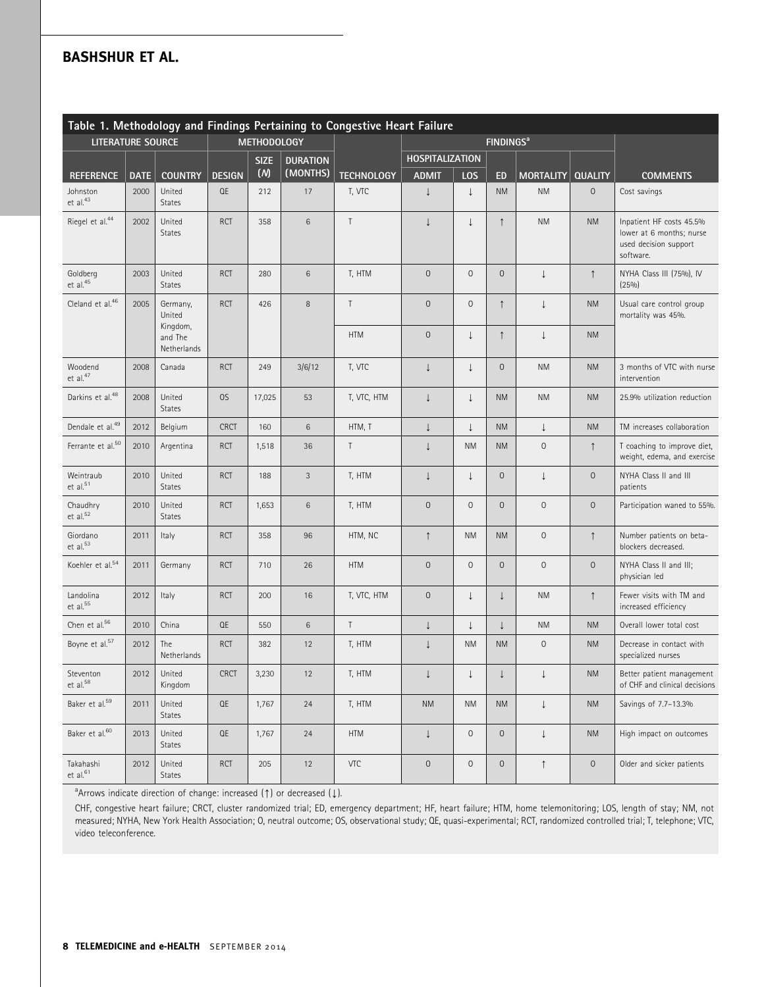| Table 1. Methodology and Findings Pertaining to Congestive Heart Failure |             |                                    |               |             |                 |                   |                        |                             |              |                     |                        |                                                                                            |
|--------------------------------------------------------------------------|-------------|------------------------------------|---------------|-------------|-----------------|-------------------|------------------------|-----------------------------|--------------|---------------------|------------------------|--------------------------------------------------------------------------------------------|
| <b>LITERATURE SOURCE</b>                                                 |             | <b>METHODOLOGY</b>                 |               |             |                 |                   |                        | <b>FINDINGS<sup>a</sup></b> |              |                     |                        |                                                                                            |
|                                                                          |             |                                    |               | <b>SIZE</b> | <b>DURATION</b> |                   | <b>HOSPITALIZATION</b> |                             |              |                     |                        |                                                                                            |
| <b>REFERENCE</b>                                                         | <b>DATE</b> | <b>COUNTRY</b>                     | <b>DESIGN</b> | (M)         | (MONTHS)        | <b>TECHNOLOGY</b> | <b>ADMIT</b>           | LOS                         | <b>ED</b>    | <b>MORTALITY</b>    | <b>QUALITY</b>         | <b>COMMENTS</b>                                                                            |
| Johnston<br>et al. <sup>43</sup>                                         | 2000        | United<br><b>States</b>            | QE            | 212         | 17              | T, VTC            | J                      | $\downarrow$                | <b>NM</b>    | <b>NM</b>           | $\mathbf 0$            | Cost savings                                                                               |
| Riegel et al. <sup>44</sup>                                              | 2002        | United<br><b>States</b>            | <b>RCT</b>    | 358         | 6               | $\top$            | $\downarrow$           | $\downarrow$                | $\uparrow$   | <b>NM</b>           | <b>NM</b>              | Inpatient HF costs 45.5%<br>lower at 6 months; nurse<br>used decision support<br>software. |
| Goldberg<br>et al. <sup>45</sup>                                         | 2003        | United<br><b>States</b>            | <b>RCT</b>    | 280         | 6               | T, HTM            | $\mathbf 0$            | $\mathsf{O}\xspace$         | $\mathsf{O}$ | $\downarrow$        | $\uparrow$             | NYHA Class III (75%), IV<br>$(25\%)$                                                       |
| Cleland et al. <sup>46</sup>                                             | 2005        | Germany,<br>United                 | <b>RCT</b>    | 426         | 8               | $\top$            | $\mathbf 0$            | $\mathsf{O}\xspace$         | $\uparrow$   | $\perp$             | <b>NM</b>              | Usual care control group<br>mortality was 45%.                                             |
|                                                                          |             | Kingdom,<br>and The<br>Netherlands |               |             |                 | <b>HTM</b>        | $\mathbf 0$            | $\downarrow$                | $\uparrow$   | $\downarrow$        | <b>NM</b>              |                                                                                            |
| Woodend<br>et al. <sup>47</sup>                                          | 2008        | Canada                             | <b>RCT</b>    | 249         | 3/6/12          | T, VTC            | $\downarrow$           | $\downarrow$                | $\mathsf{O}$ | <b>NM</b>           | <b>NM</b>              | 3 months of VTC with nurse<br>intervention                                                 |
| Darkins et al. <sup>48</sup>                                             | 2008        | United<br><b>States</b>            | OS            | 17,025      | 53              | T, VTC, HTM       | $\downarrow$           | $\downarrow$                | <b>NM</b>    | <b>NM</b>           | <b>NM</b>              | 25.9% utilization reduction                                                                |
| Dendale et al. <sup>49</sup>                                             | 2012        | Belgium                            | <b>CRCT</b>   | 160         | 6               | HTM, T            | $\downarrow$           | $\downarrow$                | <b>NM</b>    | $\downarrow$        | <b>NM</b>              | TM increases collaboration                                                                 |
| Ferrante et al. <sup>50</sup>                                            | 2010        | Argentina                          | <b>RCT</b>    | 1,518       | 36              | Τ                 | $\downarrow$           | <b>NM</b>                   | <b>NM</b>    | $\mathbf 0$         | $\uparrow$             | T coaching to improve diet,<br>weight, edema, and exercise                                 |
| Weintraub<br>et al. <sup>51</sup>                                        | 2010        | United<br><b>States</b>            | <b>RCT</b>    | 188         | 3               | T, HTM            | $\downarrow$           | $\downarrow$                | $\circ$      | $\downarrow$        | $\mathbf 0$            | NYHA Class II and III<br>patients                                                          |
| Chaudhry<br>et al. <sup>52</sup>                                         | 2010        | United<br><b>States</b>            | <b>RCT</b>    | 1,653       | 6               | T, HTM            | $\mathbf 0$            | $\mathsf{O}\xspace$         | $\mathsf{O}$ | $\mathsf{O}\xspace$ | $\mathbf 0$            | Participation waned to 55%.                                                                |
| Giordano<br>$et$ al. $53$                                                | 2011        | Italy                              | <b>RCT</b>    | 358         | 96              | HTM, NC           | $\uparrow$             | <b>NM</b>                   | <b>NM</b>    | $\mathsf{O}\xspace$ | $\uparrow$             | Number patients on beta-<br>blockers decreased.                                            |
| Koehler et al. <sup>54</sup>                                             | 2011        | Germany                            | <b>RCT</b>    | 710         | 26              | <b>HTM</b>        | $\mathbf 0$            | $\mathsf{O}\xspace$         | $\circ$      | $\mathsf{O}\xspace$ | $\mathbf 0$            | NYHA Class II and III;<br>physician led                                                    |
| Landolina<br>et al. <sup>55</sup>                                        | 2012        | Italy                              | <b>RCT</b>    | 200         | 16              | T, VTC, HTM       | $\mathbf 0$            | $\downarrow$                | $\downarrow$ | <b>NM</b>           | $\uparrow$             | Fewer visits with TM and<br>increased efficiency                                           |
| Chen et al. <sup>56</sup>                                                | 2010        | China                              | QE            | 550         | 6               | $\mathsf T$       | $\downarrow$           | $\downarrow$                | $\downarrow$ | <b>NM</b>           | <b>NM</b>              | Overall lower total cost                                                                   |
| Boyne et al. <sup>57</sup>                                               | 2012        | The<br>Netherlands                 | <b>RCT</b>    | 382         | 12              | T, HTM            | $\downarrow$           | <b>NM</b>                   | <b>NM</b>    | $\mathbf{0}$        | <b>NM</b>              | Decrease in contact with<br>specialized nurses                                             |
| Steventon<br>$et$ al. $58$                                               | 2012        | United<br>Kingdom                  | CRCT          | 3,230       | 12              | T, HTM            | $\downarrow$           | $\downarrow$                | $\downarrow$ | $\downarrow$        | $\mathsf{N}\mathsf{M}$ | Better patient management<br>of CHF and clinical decisions                                 |
| Baker et al. <sup>59</sup>                                               | 2011        | United<br><b>States</b>            | OE            | 1,767       | 24              | T, HTM            | <b>NM</b>              | <b>NM</b>                   | <b>NM</b>    | $\downarrow$        | <b>NM</b>              | Savings of 7.7-13.3%                                                                       |
| Baker et al. <sup>60</sup>                                               | 2013        | United<br><b>States</b>            | OE            | 1,767       | 24              | <b>HTM</b>        | $\downarrow$           | $\mathsf{O}\xspace$         | $\circ$      | $\downarrow$        | <b>NM</b>              | High impact on outcomes                                                                    |
| Takahashi<br>et al. <sup>61</sup>                                        | 2012        | United<br><b>States</b>            | <b>RCT</b>    | 205         | 12              | <b>VTC</b>        | $\mathsf{O}\xspace$    | $\mathsf{O}\xspace$         | $\circ$      | $\uparrow$          | $\circ$                | Older and sicker patients                                                                  |

a<br>Arrows indicate direction of change: increased (1) or decreased (1).

CHF, congestive heart failure; CRCT, cluster randomized trial; ED, emergency department; HF, heart failure; HTM, home telemonitoring; LOS, length of stay; NM, not measured; NYHA, New York Health Association; O, neutral outcome; OS, observational study; QE, quasi-experimental; RCT, randomized controlled trial; T, telephone; VTC, video teleconference.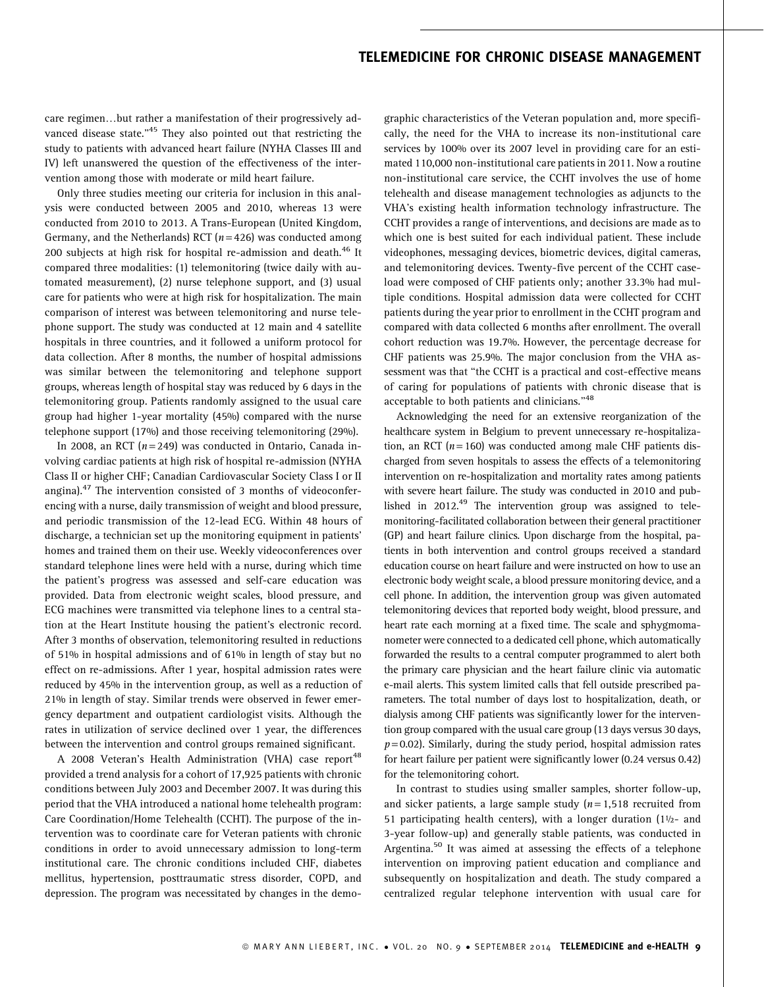care regimen...but rather a manifestation of their progressively advanced disease state."<sup>45</sup> They also pointed out that restricting the study to patients with advanced heart failure (NYHA Classes III and IV) left unanswered the question of the effectiveness of the intervention among those with moderate or mild heart failure.

Only three studies meeting our criteria for inclusion in this analysis were conducted between 2005 and 2010, whereas 13 were conducted from 2010 to 2013. A Trans-European (United Kingdom, Germany, and the Netherlands) RCT  $(n=426)$  was conducted among 200 subjects at high risk for hospital re-admission and death.<sup>46</sup> It compared three modalities: (1) telemonitoring (twice daily with automated measurement), (2) nurse telephone support, and (3) usual care for patients who were at high risk for hospitalization. The main comparison of interest was between telemonitoring and nurse telephone support. The study was conducted at 12 main and 4 satellite hospitals in three countries, and it followed a uniform protocol for data collection. After 8 months, the number of hospital admissions was similar between the telemonitoring and telephone support groups, whereas length of hospital stay was reduced by 6 days in the telemonitoring group. Patients randomly assigned to the usual care group had higher 1-year mortality (45%) compared with the nurse telephone support (17%) and those receiving telemonitoring (29%).

In 2008, an RCT ( $n = 249$ ) was conducted in Ontario, Canada involving cardiac patients at high risk of hospital re-admission (NYHA Class II or higher CHF; Canadian Cardiovascular Society Class I or II angina).<sup>47</sup> The intervention consisted of 3 months of videoconferencing with a nurse, daily transmission of weight and blood pressure, and periodic transmission of the 12-lead ECG. Within 48 hours of discharge, a technician set up the monitoring equipment in patients' homes and trained them on their use. Weekly videoconferences over standard telephone lines were held with a nurse, during which time the patient's progress was assessed and self-care education was provided. Data from electronic weight scales, blood pressure, and ECG machines were transmitted via telephone lines to a central station at the Heart Institute housing the patient's electronic record. After 3 months of observation, telemonitoring resulted in reductions of 51% in hospital admissions and of 61% in length of stay but no effect on re-admissions. After 1 year, hospital admission rates were reduced by 45% in the intervention group, as well as a reduction of 21% in length of stay. Similar trends were observed in fewer emergency department and outpatient cardiologist visits. Although the rates in utilization of service declined over 1 year, the differences between the intervention and control groups remained significant.

A 2008 Veteran's Health Administration (VHA) case report<sup>48</sup> provided a trend analysis for a cohort of 17,925 patients with chronic conditions between July 2003 and December 2007. It was during this period that the VHA introduced a national home telehealth program: Care Coordination/Home Telehealth (CCHT). The purpose of the intervention was to coordinate care for Veteran patients with chronic conditions in order to avoid unnecessary admission to long-term institutional care. The chronic conditions included CHF, diabetes mellitus, hypertension, posttraumatic stress disorder, COPD, and depression. The program was necessitated by changes in the demographic characteristics of the Veteran population and, more specifically, the need for the VHA to increase its non-institutional care services by 100% over its 2007 level in providing care for an estimated 110,000 non-institutional care patients in 2011. Now a routine non-institutional care service, the CCHT involves the use of home telehealth and disease management technologies as adjuncts to the VHA's existing health information technology infrastructure. The CCHT provides a range of interventions, and decisions are made as to which one is best suited for each individual patient. These include videophones, messaging devices, biometric devices, digital cameras, and telemonitoring devices. Twenty-five percent of the CCHT caseload were composed of CHF patients only; another 33.3% had multiple conditions. Hospital admission data were collected for CCHT patients during the year prior to enrollment in the CCHT program and compared with data collected 6 months after enrollment. The overall cohort reduction was 19.7%. However, the percentage decrease for CHF patients was 25.9%. The major conclusion from the VHA assessment was that ''the CCHT is a practical and cost-effective means of caring for populations of patients with chronic disease that is acceptable to both patients and clinicians."<sup>48</sup>

Acknowledging the need for an extensive reorganization of the healthcare system in Belgium to prevent unnecessary re-hospitalization, an RCT ( $n = 160$ ) was conducted among male CHF patients discharged from seven hospitals to assess the effects of a telemonitoring intervention on re-hospitalization and mortality rates among patients with severe heart failure. The study was conducted in 2010 and published in 2012.<sup>49</sup> The intervention group was assigned to telemonitoring-facilitated collaboration between their general practitioner (GP) and heart failure clinics. Upon discharge from the hospital, patients in both intervention and control groups received a standard education course on heart failure and were instructed on how to use an electronic body weight scale, a blood pressure monitoring device, and a cell phone. In addition, the intervention group was given automated telemonitoring devices that reported body weight, blood pressure, and heart rate each morning at a fixed time. The scale and sphygmomanometer were connected to a dedicated cell phone, which automatically forwarded the results to a central computer programmed to alert both the primary care physician and the heart failure clinic via automatic e-mail alerts. This system limited calls that fell outside prescribed parameters. The total number of days lost to hospitalization, death, or dialysis among CHF patients was significantly lower for the intervention group compared with the usual care group (13 days versus 30 days,  $p = 0.02$ ). Similarly, during the study period, hospital admission rates for heart failure per patient were significantly lower (0.24 versus 0.42) for the telemonitoring cohort.

In contrast to studies using smaller samples, shorter follow-up, and sicker patients, a large sample study  $(n = 1, 518$  recruited from 51 participating health centers), with a longer duration  $(11/2-$  and 3-year follow-up) and generally stable patients, was conducted in Argentina.<sup>50</sup> It was aimed at assessing the effects of a telephone intervention on improving patient education and compliance and subsequently on hospitalization and death. The study compared a centralized regular telephone intervention with usual care for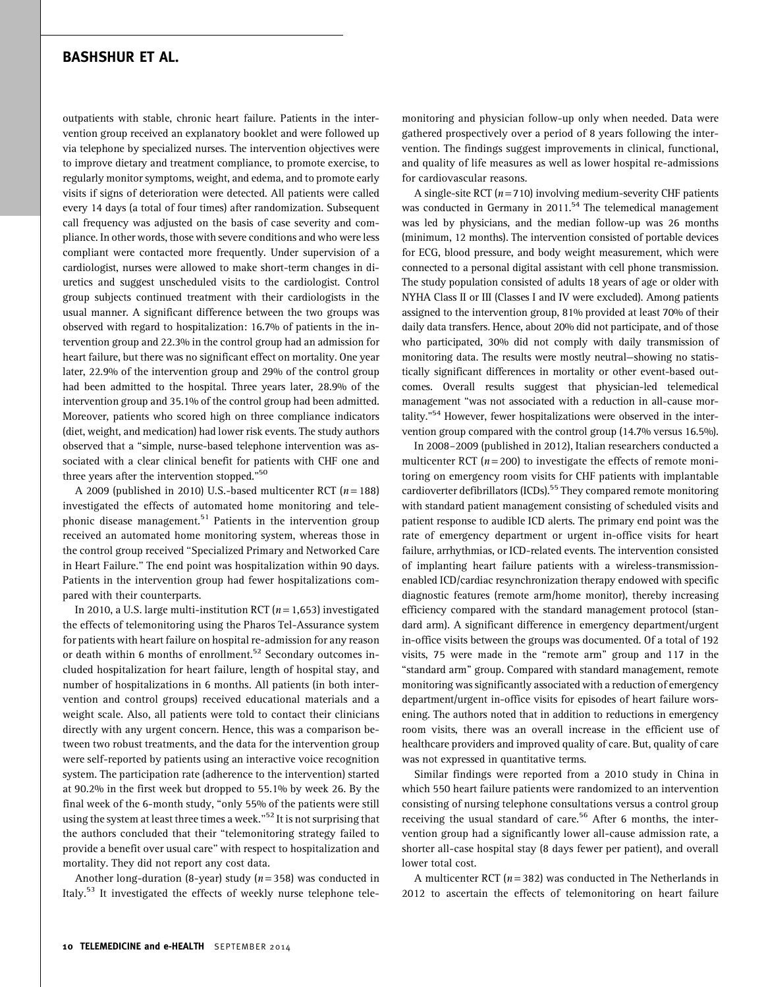outpatients with stable, chronic heart failure. Patients in the intervention group received an explanatory booklet and were followed up via telephone by specialized nurses. The intervention objectives were to improve dietary and treatment compliance, to promote exercise, to regularly monitor symptoms, weight, and edema, and to promote early visits if signs of deterioration were detected. All patients were called every 14 days (a total of four times) after randomization. Subsequent call frequency was adjusted on the basis of case severity and compliance. In other words, those with severe conditions and who were less compliant were contacted more frequently. Under supervision of a cardiologist, nurses were allowed to make short-term changes in diuretics and suggest unscheduled visits to the cardiologist. Control group subjects continued treatment with their cardiologists in the usual manner. A significant difference between the two groups was observed with regard to hospitalization: 16.7% of patients in the intervention group and 22.3% in the control group had an admission for heart failure, but there was no significant effect on mortality. One year later, 22.9% of the intervention group and 29% of the control group had been admitted to the hospital. Three years later, 28.9% of the intervention group and 35.1% of the control group had been admitted. Moreover, patients who scored high on three compliance indicators (diet, weight, and medication) had lower risk events. The study authors observed that a ''simple, nurse-based telephone intervention was associated with a clear clinical benefit for patients with CHF one and three years after the intervention stopped."<sup>50</sup>

A 2009 (published in 2010) U.S.-based multicenter RCT  $(n = 188)$ investigated the effects of automated home monitoring and telephonic disease management.<sup>51</sup> Patients in the intervention group received an automated home monitoring system, whereas those in the control group received ''Specialized Primary and Networked Care in Heart Failure.'' The end point was hospitalization within 90 days. Patients in the intervention group had fewer hospitalizations compared with their counterparts.

In 2010, a U.S. large multi-institution RCT ( $n = 1,653$ ) investigated the effects of telemonitoring using the Pharos Tel-Assurance system for patients with heart failure on hospital re-admission for any reason or death within 6 months of enrollment.<sup>52</sup> Secondary outcomes included hospitalization for heart failure, length of hospital stay, and number of hospitalizations in 6 months. All patients (in both intervention and control groups) received educational materials and a weight scale. Also, all patients were told to contact their clinicians directly with any urgent concern. Hence, this was a comparison between two robust treatments, and the data for the intervention group were self-reported by patients using an interactive voice recognition system. The participation rate (adherence to the intervention) started at 90.2% in the first week but dropped to 55.1% by week 26. By the final week of the 6-month study, "only 55% of the patients were still using the system at least three times a week."<sup>52</sup> It is not surprising that the authors concluded that their ''telemonitoring strategy failed to provide a benefit over usual care'' with respect to hospitalization and mortality. They did not report any cost data.

Another long-duration (8-year) study ( $n = 358$ ) was conducted in Italy.<sup>53</sup> It investigated the effects of weekly nurse telephone tele-

monitoring and physician follow-up only when needed. Data were gathered prospectively over a period of 8 years following the intervention. The findings suggest improvements in clinical, functional, and quality of life measures as well as lower hospital re-admissions for cardiovascular reasons.

A single-site RCT  $(n=710)$  involving medium-severity CHF patients was conducted in Germany in 2011.<sup>54</sup> The telemedical management was led by physicians, and the median follow-up was 26 months (minimum, 12 months). The intervention consisted of portable devices for ECG, blood pressure, and body weight measurement, which were connected to a personal digital assistant with cell phone transmission. The study population consisted of adults 18 years of age or older with NYHA Class II or III (Classes I and IV were excluded). Among patients assigned to the intervention group, 81% provided at least 70% of their daily data transfers. Hence, about 20% did not participate, and of those who participated, 30% did not comply with daily transmission of monitoring data. The results were mostly neutral—showing no statistically significant differences in mortality or other event-based outcomes. Overall results suggest that physician-led telemedical management ''was not associated with a reduction in all-cause mortality."<sup>54</sup> However, fewer hospitalizations were observed in the intervention group compared with the control group (14.7% versus 16.5%).

In 2008–2009 (published in 2012), Italian researchers conducted a multicenter RCT ( $n = 200$ ) to investigate the effects of remote monitoring on emergency room visits for CHF patients with implantable cardioverter defibrillators (ICDs).<sup>55</sup> They compared remote monitoring with standard patient management consisting of scheduled visits and patient response to audible ICD alerts. The primary end point was the rate of emergency department or urgent in-office visits for heart failure, arrhythmias, or ICD-related events. The intervention consisted of implanting heart failure patients with a wireless-transmissionenabled ICD/cardiac resynchronization therapy endowed with specific diagnostic features (remote arm/home monitor), thereby increasing efficiency compared with the standard management protocol (standard arm). A significant difference in emergency department/urgent in-office visits between the groups was documented. Of a total of 192 visits, 75 were made in the ''remote arm'' group and 117 in the ''standard arm'' group. Compared with standard management, remote monitoring was significantly associated with a reduction of emergency department/urgent in-office visits for episodes of heart failure worsening. The authors noted that in addition to reductions in emergency room visits, there was an overall increase in the efficient use of healthcare providers and improved quality of care. But, quality of care was not expressed in quantitative terms.

Similar findings were reported from a 2010 study in China in which 550 heart failure patients were randomized to an intervention consisting of nursing telephone consultations versus a control group receiving the usual standard of care.<sup>56</sup> After 6 months, the intervention group had a significantly lower all-cause admission rate, a shorter all-case hospital stay (8 days fewer per patient), and overall lower total cost.

A multicenter RCT ( $n = 382$ ) was conducted in The Netherlands in 2012 to ascertain the effects of telemonitoring on heart failure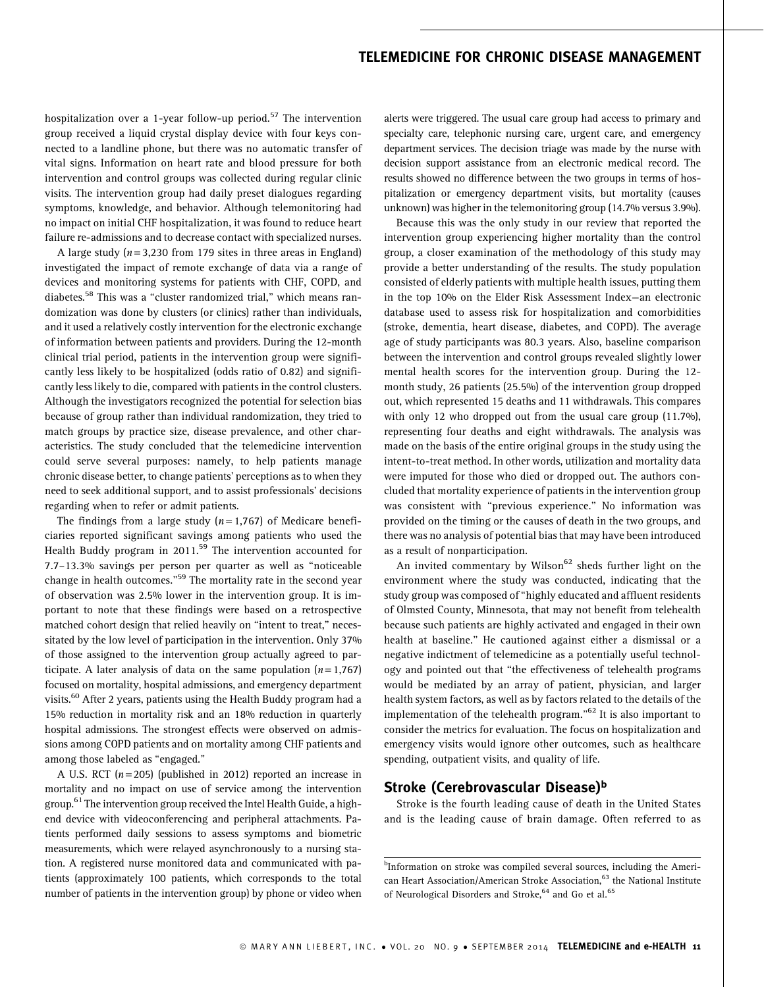hospitalization over a 1-year follow-up period.<sup>57</sup> The intervention group received a liquid crystal display device with four keys connected to a landline phone, but there was no automatic transfer of vital signs. Information on heart rate and blood pressure for both intervention and control groups was collected during regular clinic visits. The intervention group had daily preset dialogues regarding symptoms, knowledge, and behavior. Although telemonitoring had no impact on initial CHF hospitalization, it was found to reduce heart failure re-admissions and to decrease contact with specialized nurses.

A large study ( $n = 3,230$  from 179 sites in three areas in England) investigated the impact of remote exchange of data via a range of devices and monitoring systems for patients with CHF, COPD, and diabetes.<sup>58</sup> This was a "cluster randomized trial," which means randomization was done by clusters (or clinics) rather than individuals, and it used a relatively costly intervention for the electronic exchange of information between patients and providers. During the 12-month clinical trial period, patients in the intervention group were significantly less likely to be hospitalized (odds ratio of 0.82) and significantly less likely to die, compared with patients in the control clusters. Although the investigators recognized the potential for selection bias because of group rather than individual randomization, they tried to match groups by practice size, disease prevalence, and other characteristics. The study concluded that the telemedicine intervention could serve several purposes: namely, to help patients manage chronic disease better, to change patients' perceptions as to when they need to seek additional support, and to assist professionals' decisions regarding when to refer or admit patients.

The findings from a large study ( $n = 1,767$ ) of Medicare beneficiaries reported significant savings among patients who used the Health Buddy program in 2011.<sup>59</sup> The intervention accounted for 7.7–13.3% savings per person per quarter as well as ''noticeable change in health outcomes."<sup>59</sup> The mortality rate in the second year of observation was 2.5% lower in the intervention group. It is important to note that these findings were based on a retrospective matched cohort design that relied heavily on "intent to treat," necessitated by the low level of participation in the intervention. Only 37% of those assigned to the intervention group actually agreed to participate. A later analysis of data on the same population  $(n=1,767)$ focused on mortality, hospital admissions, and emergency department visits.60 After 2 years, patients using the Health Buddy program had a 15% reduction in mortality risk and an 18% reduction in quarterly hospital admissions. The strongest effects were observed on admissions among COPD patients and on mortality among CHF patients and among those labeled as "engaged."

A U.S. RCT ( $n = 205$ ) (published in 2012) reported an increase in mortality and no impact on use of service among the intervention group.<sup>61</sup> The intervention group received the Intel Health Guide, a highend device with videoconferencing and peripheral attachments. Patients performed daily sessions to assess symptoms and biometric measurements, which were relayed asynchronously to a nursing station. A registered nurse monitored data and communicated with patients (approximately 100 patients, which corresponds to the total number of patients in the intervention group) by phone or video when alerts were triggered. The usual care group had access to primary and specialty care, telephonic nursing care, urgent care, and emergency department services. The decision triage was made by the nurse with decision support assistance from an electronic medical record. The results showed no difference between the two groups in terms of hospitalization or emergency department visits, but mortality (causes unknown) was higher in the telemonitoring group (14.7% versus 3.9%).

Because this was the only study in our review that reported the intervention group experiencing higher mortality than the control group, a closer examination of the methodology of this study may provide a better understanding of the results. The study population consisted of elderly patients with multiple health issues, putting them in the top 10% on the Elder Risk Assessment Index—an electronic database used to assess risk for hospitalization and comorbidities (stroke, dementia, heart disease, diabetes, and COPD). The average age of study participants was 80.3 years. Also, baseline comparison between the intervention and control groups revealed slightly lower mental health scores for the intervention group. During the 12 month study, 26 patients (25.5%) of the intervention group dropped out, which represented 15 deaths and 11 withdrawals. This compares with only 12 who dropped out from the usual care group (11.7%), representing four deaths and eight withdrawals. The analysis was made on the basis of the entire original groups in the study using the intent-to-treat method. In other words, utilization and mortality data were imputed for those who died or dropped out. The authors concluded that mortality experience of patients in the intervention group was consistent with ''previous experience.'' No information was provided on the timing or the causes of death in the two groups, and there was no analysis of potential bias that may have been introduced as a result of nonparticipation.

An invited commentary by Wilson<sup>62</sup> sheds further light on the environment where the study was conducted, indicating that the study group was composed of ''highly educated and affluent residents of Olmsted County, Minnesota, that may not benefit from telehealth because such patients are highly activated and engaged in their own health at baseline.'' He cautioned against either a dismissal or a negative indictment of telemedicine as a potentially useful technology and pointed out that ''the effectiveness of telehealth programs would be mediated by an array of patient, physician, and larger health system factors, as well as by factors related to the details of the implementation of the telehealth program." $62$  It is also important to consider the metrics for evaluation. The focus on hospitalization and emergency visits would ignore other outcomes, such as healthcare spending, outpatient visits, and quality of life.

### Stroke (Cerebrovascular Disease)<sup>b</sup>

Stroke is the fourth leading cause of death in the United States and is the leading cause of brain damage. Often referred to as

<sup>&</sup>lt;sup>b</sup>Information on stroke was compiled several sources, including the American Heart Association/American Stroke Association,<sup>63</sup> the National Institute of Neurological Disorders and Stroke,<sup>64</sup> and Go et al.<sup>65</sup>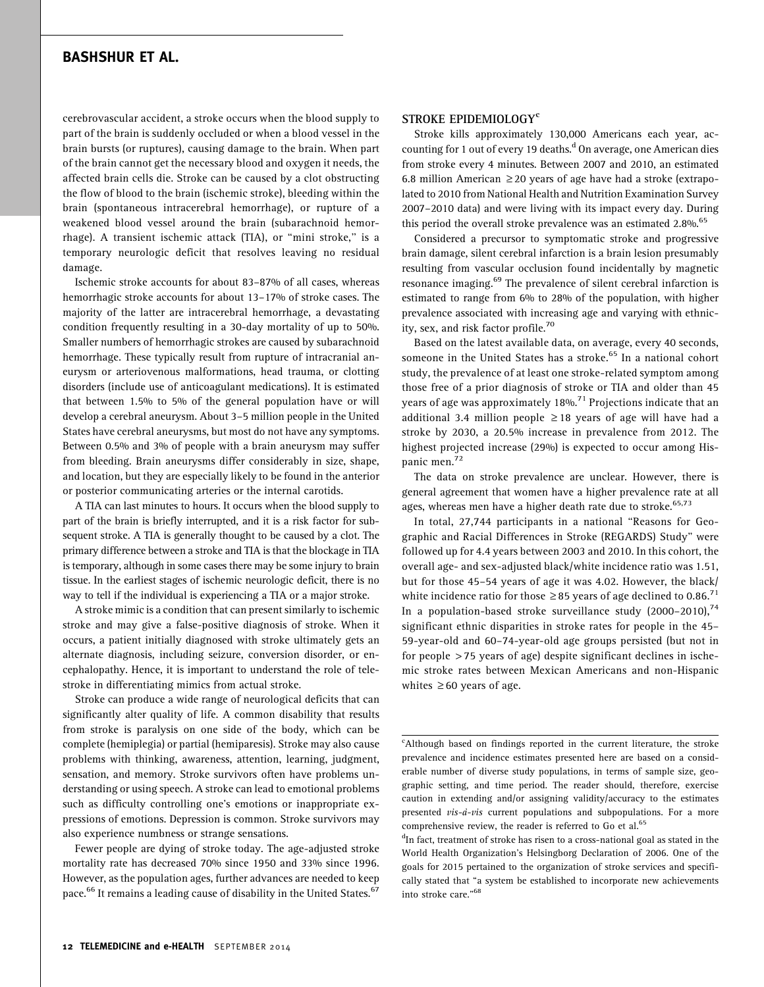cerebrovascular accident, a stroke occurs when the blood supply to part of the brain is suddenly occluded or when a blood vessel in the brain bursts (or ruptures), causing damage to the brain. When part of the brain cannot get the necessary blood and oxygen it needs, the affected brain cells die. Stroke can be caused by a clot obstructing the flow of blood to the brain (ischemic stroke), bleeding within the brain (spontaneous intracerebral hemorrhage), or rupture of a weakened blood vessel around the brain (subarachnoid hemorrhage). A transient ischemic attack (TIA), or ''mini stroke,'' is a temporary neurologic deficit that resolves leaving no residual damage.

Ischemic stroke accounts for about 83–87% of all cases, whereas hemorrhagic stroke accounts for about 13–17% of stroke cases. The majority of the latter are intracerebral hemorrhage, a devastating condition frequently resulting in a 30-day mortality of up to 50%. Smaller numbers of hemorrhagic strokes are caused by subarachnoid hemorrhage. These typically result from rupture of intracranial aneurysm or arteriovenous malformations, head trauma, or clotting disorders (include use of anticoagulant medications). It is estimated that between 1.5% to 5% of the general population have or will develop a cerebral aneurysm. About 3–5 million people in the United States have cerebral aneurysms, but most do not have any symptoms. Between 0.5% and 3% of people with a brain aneurysm may suffer from bleeding. Brain aneurysms differ considerably in size, shape, and location, but they are especially likely to be found in the anterior or posterior communicating arteries or the internal carotids.

A TIA can last minutes to hours. It occurs when the blood supply to part of the brain is briefly interrupted, and it is a risk factor for subsequent stroke. A TIA is generally thought to be caused by a clot. The primary difference between a stroke and TIA is that the blockage in TIA is temporary, although in some cases there may be some injury to brain tissue. In the earliest stages of ischemic neurologic deficit, there is no way to tell if the individual is experiencing a TIA or a major stroke.

A stroke mimic is a condition that can present similarly to ischemic stroke and may give a false-positive diagnosis of stroke. When it occurs, a patient initially diagnosed with stroke ultimately gets an alternate diagnosis, including seizure, conversion disorder, or encephalopathy. Hence, it is important to understand the role of telestroke in differentiating mimics from actual stroke.

Stroke can produce a wide range of neurological deficits that can significantly alter quality of life. A common disability that results from stroke is paralysis on one side of the body, which can be complete (hemiplegia) or partial (hemiparesis). Stroke may also cause problems with thinking, awareness, attention, learning, judgment, sensation, and memory. Stroke survivors often have problems understanding or using speech. A stroke can lead to emotional problems such as difficulty controlling one's emotions or inappropriate expressions of emotions. Depression is common. Stroke survivors may also experience numbness or strange sensations.

Fewer people are dying of stroke today. The age-adjusted stroke mortality rate has decreased 70% since 1950 and 33% since 1996. However, as the population ages, further advances are needed to keep pace.<sup>66</sup> It remains a leading cause of disability in the United States.<sup>67</sup>

#### STROKE EPIDEMIOLOGY<sup>c</sup>

Stroke kills approximately 130,000 Americans each year, accounting for 1 out of every 19 deaths.<sup>d</sup> On average, one American dies from stroke every 4 minutes. Between 2007 and 2010, an estimated 6.8 million American  $\geq$  20 years of age have had a stroke (extrapolated to 2010 from National Health and Nutrition Examination Survey 2007–2010 data) and were living with its impact every day. During this period the overall stroke prevalence was an estimated  $2.8\%$ .<sup>65</sup>

Considered a precursor to symptomatic stroke and progressive brain damage, silent cerebral infarction is a brain lesion presumably resulting from vascular occlusion found incidentally by magnetic resonance imaging.<sup>69</sup> The prevalence of silent cerebral infarction is estimated to range from 6% to 28% of the population, with higher prevalence associated with increasing age and varying with ethnicity, sex, and risk factor profile.<sup>70</sup>

Based on the latest available data, on average, every 40 seconds, someone in the United States has a stroke.<sup>65</sup> In a national cohort study, the prevalence of at least one stroke-related symptom among those free of a prior diagnosis of stroke or TIA and older than 45 years of age was approximately 18%.<sup>71</sup> Projections indicate that an additional 3.4 million people  $\geq$  18 years of age will have had a stroke by 2030, a 20.5% increase in prevalence from 2012. The highest projected increase (29%) is expected to occur among Hispanic men.<sup>72</sup>

The data on stroke prevalence are unclear. However, there is general agreement that women have a higher prevalence rate at all ages, whereas men have a higher death rate due to stroke.<sup>65,73</sup>

In total, 27,744 participants in a national ''Reasons for Geographic and Racial Differences in Stroke (REGARDS) Study'' were followed up for 4.4 years between 2003 and 2010. In this cohort, the overall age- and sex-adjusted black/white incidence ratio was 1.51, but for those 45–54 years of age it was 4.02. However, the black/ white incidence ratio for those  $\geq$  85 years of age declined to 0.86.<sup>71</sup> In a population-based stroke surveillance study (2000–2010), $^{74}$ significant ethnic disparities in stroke rates for people in the 45– 59-year-old and 60–74-year-old age groups persisted (but not in for people > 75 years of age) despite significant declines in ischemic stroke rates between Mexican Americans and non-Hispanic whites  $\geq 60$  years of age.

<sup>&</sup>lt;sup>c</sup>Although based on findings reported in the current literature, the stroke prevalence and incidence estimates presented here are based on a considerable number of diverse study populations, in terms of sample size, geographic setting, and time period. The reader should, therefore, exercise caution in extending and/or assigning validity/accuracy to the estimates presented  $vis-\dot{a}-vis$  current populations and subpopulations. For a more comprehensive review, the reader is referred to Go et al.<sup>65</sup>

<sup>&</sup>lt;sup>d</sup>In fact, treatment of stroke has risen to a cross-national goal as stated in the World Health Organization's Helsingborg Declaration of 2006. One of the goals for 2015 pertained to the organization of stroke services and specifically stated that ''a system be established to incorporate new achievements into stroke care."<sup>68</sup>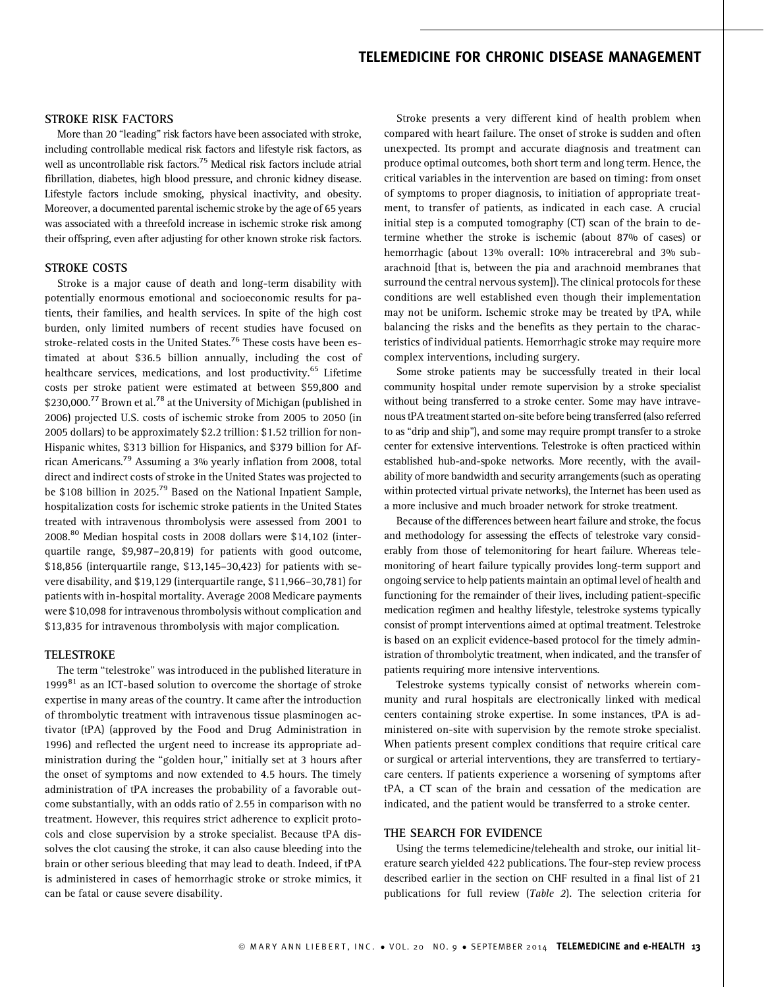#### STROKE RISK FACTORS

More than 20 "leading" risk factors have been associated with stroke, including controllable medical risk factors and lifestyle risk factors, as well as uncontrollable risk factors.<sup>75</sup> Medical risk factors include atrial fibrillation, diabetes, high blood pressure, and chronic kidney disease. Lifestyle factors include smoking, physical inactivity, and obesity. Moreover, a documented parental ischemic stroke by the age of 65 years was associated with a threefold increase in ischemic stroke risk among their offspring, even after adjusting for other known stroke risk factors.

#### STROKE COSTS

Stroke is a major cause of death and long-term disability with potentially enormous emotional and socioeconomic results for patients, their families, and health services. In spite of the high cost burden, only limited numbers of recent studies have focused on stroke-related costs in the United States.<sup>76</sup> These costs have been estimated at about \$36.5 billion annually, including the cost of healthcare services, medications, and lost productivity.<sup>65</sup> Lifetime costs per stroke patient were estimated at between \$59,800 and \$230,000.<sup>77</sup> Brown et al.<sup>78</sup> at the University of Michigan (published in 2006) projected U.S. costs of ischemic stroke from 2005 to 2050 (in 2005 dollars) to be approximately \$2.2 trillion: \$1.52 trillion for non-Hispanic whites, \$313 billion for Hispanics, and \$379 billion for African Americans.79 Assuming a 3% yearly inflation from 2008, total direct and indirect costs of stroke in the United States was projected to be \$108 billion in 2025.<sup>79</sup> Based on the National Inpatient Sample, hospitalization costs for ischemic stroke patients in the United States treated with intravenous thrombolysis were assessed from 2001 to 2008.80 Median hospital costs in 2008 dollars were \$14,102 (interquartile range, \$9,987–20,819) for patients with good outcome, \$18,856 (interquartile range, \$13,145–30,423) for patients with severe disability, and \$19,129 (interquartile range, \$11,966–30,781) for patients with in-hospital mortality. Average 2008 Medicare payments were \$10,098 for intravenous thrombolysis without complication and \$13,835 for intravenous thrombolysis with major complication.

#### TELESTROKE

The term ''telestroke'' was introduced in the published literature in 1999 $81$  as an ICT-based solution to overcome the shortage of stroke expertise in many areas of the country. It came after the introduction of thrombolytic treatment with intravenous tissue plasminogen activator (tPA) (approved by the Food and Drug Administration in 1996) and reflected the urgent need to increase its appropriate administration during the ''golden hour,'' initially set at 3 hours after the onset of symptoms and now extended to 4.5 hours. The timely administration of tPA increases the probability of a favorable outcome substantially, with an odds ratio of 2.55 in comparison with no treatment. However, this requires strict adherence to explicit protocols and close supervision by a stroke specialist. Because tPA dissolves the clot causing the stroke, it can also cause bleeding into the brain or other serious bleeding that may lead to death. Indeed, if tPA is administered in cases of hemorrhagic stroke or stroke mimics, it can be fatal or cause severe disability.

Stroke presents a very different kind of health problem when compared with heart failure. The onset of stroke is sudden and often unexpected. Its prompt and accurate diagnosis and treatment can produce optimal outcomes, both short term and long term. Hence, the critical variables in the intervention are based on timing: from onset of symptoms to proper diagnosis, to initiation of appropriate treatment, to transfer of patients, as indicated in each case. A crucial initial step is a computed tomography (CT) scan of the brain to determine whether the stroke is ischemic (about 87% of cases) or hemorrhagic (about 13% overall: 10% intracerebral and 3% subarachnoid [that is, between the pia and arachnoid membranes that surround the central nervous system]). The clinical protocols for these conditions are well established even though their implementation may not be uniform. Ischemic stroke may be treated by tPA, while balancing the risks and the benefits as they pertain to the characteristics of individual patients. Hemorrhagic stroke may require more complex interventions, including surgery.

Some stroke patients may be successfully treated in their local community hospital under remote supervision by a stroke specialist without being transferred to a stroke center. Some may have intravenous tPA treatment started on-site before being transferred (also referred to as ''drip and ship''), and some may require prompt transfer to a stroke center for extensive interventions. Telestroke is often practiced within established hub-and-spoke networks. More recently, with the availability of more bandwidth and security arrangements (such as operating within protected virtual private networks), the Internet has been used as a more inclusive and much broader network for stroke treatment.

Because of the differences between heart failure and stroke, the focus and methodology for assessing the effects of telestroke vary considerably from those of telemonitoring for heart failure. Whereas telemonitoring of heart failure typically provides long-term support and ongoing service to help patients maintain an optimal level of health and functioning for the remainder of their lives, including patient-specific medication regimen and healthy lifestyle, telestroke systems typically consist of prompt interventions aimed at optimal treatment. Telestroke is based on an explicit evidence-based protocol for the timely administration of thrombolytic treatment, when indicated, and the transfer of patients requiring more intensive interventions.

Telestroke systems typically consist of networks wherein community and rural hospitals are electronically linked with medical centers containing stroke expertise. In some instances, tPA is administered on-site with supervision by the remote stroke specialist. When patients present complex conditions that require critical care or surgical or arterial interventions, they are transferred to tertiarycare centers. If patients experience a worsening of symptoms after tPA, a CT scan of the brain and cessation of the medication are indicated, and the patient would be transferred to a stroke center.

#### THE SEARCH FOR EVIDENCE

Using the terms telemedicine/telehealth and stroke, our initial literature search yielded 422 publications. The four-step review process described earlier in the section on CHF resulted in a final list of 21 publications for full review (Table 2). The selection criteria for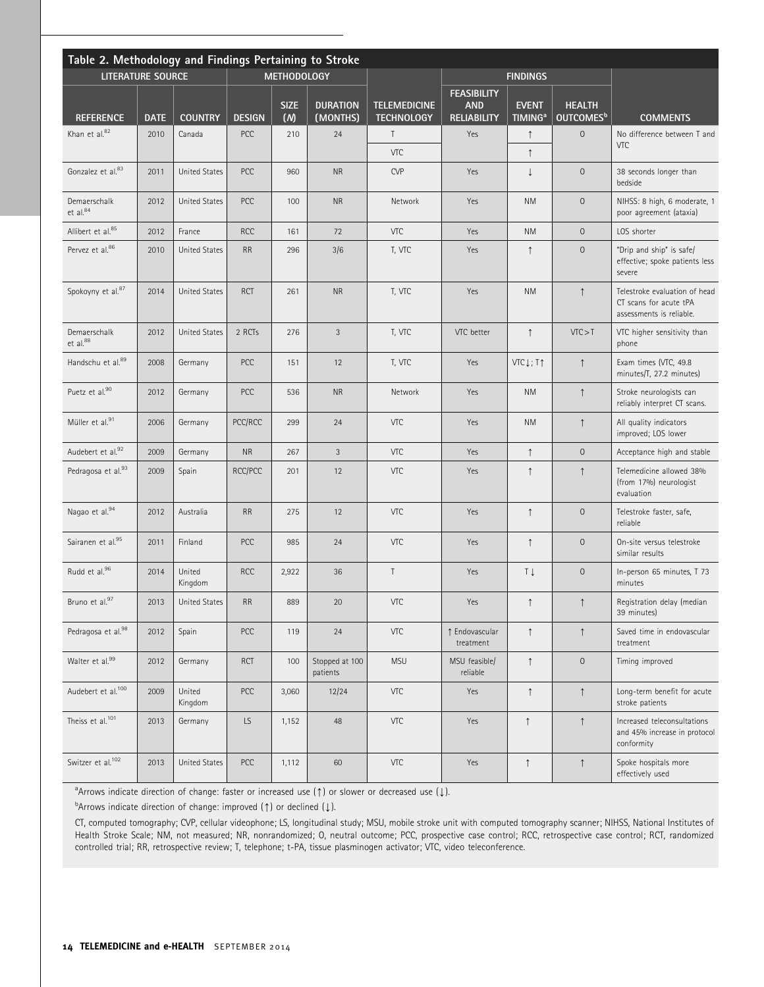| Table 2. Methodology and Findings Pertaining to Stroke |             |                      |               |                    |                             |                                          |                                                        |                                           |                                        |                                                                                     |  |
|--------------------------------------------------------|-------------|----------------------|---------------|--------------------|-----------------------------|------------------------------------------|--------------------------------------------------------|-------------------------------------------|----------------------------------------|-------------------------------------------------------------------------------------|--|
| <b>LITERATURE SOURCE</b>                               |             | <b>METHODOLOGY</b>   |               |                    |                             |                                          | <b>FINDINGS</b>                                        |                                           |                                        |                                                                                     |  |
| <b>REFERENCE</b>                                       | <b>DATE</b> | <b>COUNTRY</b>       | <b>DESIGN</b> | <b>SIZE</b><br>(M) | <b>DURATION</b><br>(MONTHS) | <b>TELEMEDICINE</b><br><b>TECHNOLOGY</b> | <b>FEASIBILITY</b><br><b>AND</b><br><b>RELIABILITY</b> | <b>EVENT</b><br><b>TIMING<sup>a</sup></b> | <b>HEALTH</b><br>OUTCOMES <sup>b</sup> | <b>COMMENTS</b>                                                                     |  |
| Khan et al.82                                          | 2010        | Canada               | PCC           | 210                | 24                          | $\mathsf{T}$                             | Yes                                                    | $\uparrow$                                | $\mathbf 0$                            | No difference between T and                                                         |  |
|                                                        |             |                      |               |                    |                             | VTC                                      |                                                        | $\uparrow$                                |                                        | <b>VTC</b>                                                                          |  |
| Gonzalez et al. <sup>83</sup>                          | 2011        | <b>United States</b> | PCC           | 960                | <b>NR</b>                   | <b>CVP</b>                               | Yes                                                    | $\downarrow$                              | $\mathsf{O}\xspace$                    | 38 seconds longer than<br>bedside                                                   |  |
| Demaerschalk<br>et al. <sup>84</sup>                   | 2012        | <b>United States</b> | PCC           | 100                | <b>NR</b>                   | Network                                  | Yes                                                    | <b>NM</b>                                 | $\mathsf{O}\xspace$                    | NIHSS: 8 high, 6 moderate, 1<br>poor agreement (ataxia)                             |  |
| Allibert et al. <sup>85</sup>                          | 2012        | France               | <b>RCC</b>    | 161                | 72                          | VTC                                      | Yes                                                    | <b>NM</b>                                 | $\mathsf{O}\xspace$                    | LOS shorter                                                                         |  |
| Pervez et al.86                                        | 2010        | <b>United States</b> | <b>RR</b>     | 296                | 3/6                         | T, VTC                                   | Yes                                                    | $\uparrow$                                | $\mathsf{O}\xspace$                    | "Drip and ship" is safe/<br>effective; spoke patients less<br>severe                |  |
| Spokoyny et al. <sup>87</sup>                          | 2014        | <b>United States</b> | <b>RCT</b>    | 261                | <b>NR</b>                   | T, VTC                                   | Yes                                                    | <b>NM</b>                                 | $\uparrow$                             | Telestroke evaluation of head<br>CT scans for acute tPA<br>assessments is reliable. |  |
| Demaerschalk<br>et al.88                               | 2012        | <b>United States</b> | 2 RCTs        | 276                | $\mathfrak{Z}$              | T, VTC                                   | VTC better                                             | $\uparrow$                                | VTC > T                                | VTC higher sensitivity than<br>phone                                                |  |
| Handschu et al. <sup>89</sup>                          | 2008        | Germany              | PCC           | 151                | 12                          | T, VTC                                   | Yes                                                    | VTC Į ; T↑                                | $\uparrow$                             | Exam times (VTC, 49.8<br>minutes/T, 27.2 minutes)                                   |  |
| Puetz et al.90                                         | 2012        | Germany              | PCC           | 536                | <b>NR</b>                   | Network                                  | Yes                                                    | <b>NM</b>                                 | $\uparrow$                             | Stroke neurologists can<br>reliably interpret CT scans.                             |  |
| Müller et al. <sup>91</sup>                            | 2006        | Germany              | PCC/RCC       | 299                | 24                          | VTC                                      | Yes                                                    | <b>NM</b>                                 | $\uparrow$                             | All quality indicators<br>improved; LOS lower                                       |  |
| Audebert et al. <sup>92</sup>                          | 2009        | Germany              | $\sf NR$      | 267                | $\mathfrak{Z}$              | VTC                                      | Yes                                                    | $\uparrow$                                | $\mathsf{O}\xspace$                    | Acceptance high and stable                                                          |  |
| Pedragosa et al.93                                     | 2009        | Spain                | RCC/PCC       | 201                | 12                          | VTC                                      | Yes                                                    | $\uparrow$                                | $\uparrow$                             | Telemedicine allowed 38%<br>(from 17%) neurologist<br>evaluation                    |  |
| Nagao et al.94                                         | 2012        | Australia            | <b>RR</b>     | 275                | 12                          | VTC                                      | Yes                                                    | $\uparrow$                                | $\mathsf{O}\xspace$                    | Telestroke faster, safe,<br>reliable                                                |  |
| Sairanen et al.95                                      | 2011        | Finland              | PCC           | 985                | 24                          | VTC                                      | Yes                                                    | $\uparrow$                                | $\mathbf 0$                            | On-site versus telestroke<br>similar results                                        |  |
| Rudd et al.96                                          | 2014        | United<br>Kingdom    | <b>RCC</b>    | 2,922              | 36                          | $\top$                                   | Yes                                                    | Τļ                                        | $\mathbf 0$                            | In-person 65 minutes, T 73<br>minutes                                               |  |
| Bruno et al.97                                         | 2013        | United States        | RR            | 889                | 20                          | VTC                                      | Yes                                                    | $\uparrow$                                | $\uparrow$                             | Registration delay (median<br>39 minutes)                                           |  |
| Pedragosa et al.98                                     | 2012        | Spain                | PCC           | 119                | 24                          | VTC                                      | ↑ Endovascular<br>treatment                            | $\uparrow$                                | $\uparrow$                             | Saved time in endovascular<br>treatment                                             |  |
| Walter et al.99                                        | 2012        | Germany              | <b>RCT</b>    | 100                | Stopped at 100<br>patients  | <b>MSU</b>                               | MSU feasible/<br>reliable                              | $\uparrow$                                | $\mathsf{O}\xspace$                    | Timing improved                                                                     |  |
| Audebert et al. <sup>100</sup>                         | 2009        | United<br>Kingdom    | PCC           | 3,060              | 12/24                       | VTC                                      | Yes                                                    | $\uparrow$                                | $\uparrow$                             | Long-term benefit for acute<br>stroke patients                                      |  |
| Theiss et al. <sup>101</sup>                           | 2013        | Germany              | LS            | 1,152              | 48                          | VTC                                      | Yes                                                    | $\uparrow$                                | $\uparrow$                             | Increased teleconsultations<br>and 45% increase in protocol<br>conformity           |  |
| Switzer et al. <sup>102</sup>                          | 2013        | <b>United States</b> | PCC           | 1,112              | 60                          | VTC                                      | Yes                                                    | $\uparrow$                                | $\uparrow$                             | Spoke hospitals more<br>effectively used                                            |  |

<sup>a</sup>Arrows indicate direction of change: faster or increased use (1) or slower or decreased use ( $\downarrow$ ).

 $^{\text{b}}$ Arrows indicate direction of change: improved (1) or declined ( $\downarrow$ ).

CT, computed tomography; CVP, cellular videophone; LS, longitudinal study; MSU, mobile stroke unit with computed tomography scanner; NIHSS, National Institutes of Health Stroke Scale; NM, not measured; NR, nonrandomized; O, neutral outcome; PCC, prospective case control; RCC, retrospective case control; RCT, randomized controlled trial; RR, retrospective review; T, telephone; t-PA, tissue plasminogen activator; VTC, video teleconference.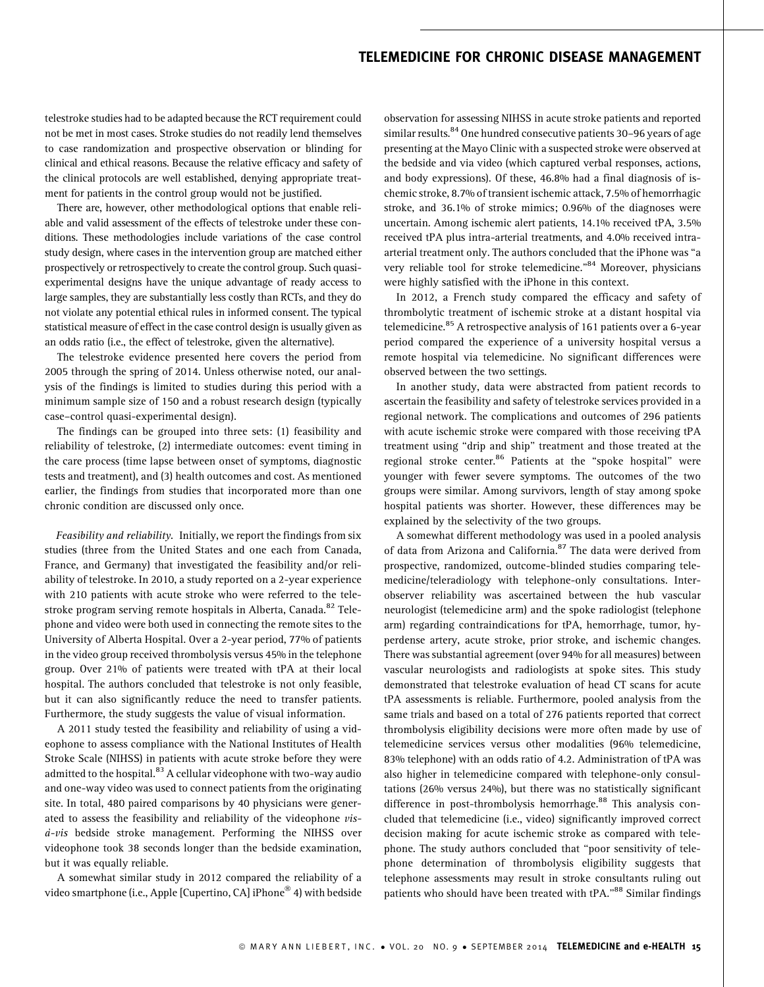telestroke studies had to be adapted because the RCT requirement could not be met in most cases. Stroke studies do not readily lend themselves to case randomization and prospective observation or blinding for clinical and ethical reasons. Because the relative efficacy and safety of the clinical protocols are well established, denying appropriate treatment for patients in the control group would not be justified.

There are, however, other methodological options that enable reliable and valid assessment of the effects of telestroke under these conditions. These methodologies include variations of the case control study design, where cases in the intervention group are matched either prospectively or retrospectively to create the control group. Such quasiexperimental designs have the unique advantage of ready access to large samples, they are substantially less costly than RCTs, and they do not violate any potential ethical rules in informed consent. The typical statistical measure of effect in the case control design is usually given as an odds ratio (i.e., the effect of telestroke, given the alternative).

The telestroke evidence presented here covers the period from 2005 through the spring of 2014. Unless otherwise noted, our analysis of the findings is limited to studies during this period with a minimum sample size of 150 and a robust research design (typically case–control quasi-experimental design).

The findings can be grouped into three sets: (1) feasibility and reliability of telestroke, (2) intermediate outcomes: event timing in the care process (time lapse between onset of symptoms, diagnostic tests and treatment), and (3) health outcomes and cost. As mentioned earlier, the findings from studies that incorporated more than one chronic condition are discussed only once.

Feasibility and reliability. Initially, we report the findings from six studies (three from the United States and one each from Canada, France, and Germany) that investigated the feasibility and/or reliability of telestroke. In 2010, a study reported on a 2-year experience with 210 patients with acute stroke who were referred to the telestroke program serving remote hospitals in Alberta, Canada.<sup>82</sup> Telephone and video were both used in connecting the remote sites to the University of Alberta Hospital. Over a 2-year period, 77% of patients in the video group received thrombolysis versus 45% in the telephone group. Over 21% of patients were treated with tPA at their local hospital. The authors concluded that telestroke is not only feasible, but it can also significantly reduce the need to transfer patients. Furthermore, the study suggests the value of visual information.

A 2011 study tested the feasibility and reliability of using a videophone to assess compliance with the National Institutes of Health Stroke Scale (NIHSS) in patients with acute stroke before they were admitted to the hospital.<sup>83</sup> A cellular videophone with two-way audio and one-way video was used to connect patients from the originating site. In total, 480 paired comparisons by 40 physicians were generated to assess the feasibility and reliability of the videophone vis- $\dot{a}-vis$  bedside stroke management. Performing the NIHSS over videophone took 38 seconds longer than the bedside examination, but it was equally reliable.

A somewhat similar study in 2012 compared the reliability of a video smartphone (i.e., Apple [Cupertino, CA] iPhone® 4) with bedside

observation for assessing NIHSS in acute stroke patients and reported similar results.<sup>84</sup> One hundred consecutive patients 30–96 years of age presenting at the Mayo Clinic with a suspected stroke were observed at the bedside and via video (which captured verbal responses, actions, and body expressions). Of these, 46.8% had a final diagnosis of ischemic stroke, 8.7% of transient ischemic attack, 7.5% of hemorrhagic stroke, and 36.1% of stroke mimics; 0.96% of the diagnoses were uncertain. Among ischemic alert patients, 14.1% received tPA, 3.5% received tPA plus intra-arterial treatments, and 4.0% received intraarterial treatment only. The authors concluded that the iPhone was ''a very reliable tool for stroke telemedicine."<sup>84</sup> Moreover, physicians were highly satisfied with the iPhone in this context.

In 2012, a French study compared the efficacy and safety of thrombolytic treatment of ischemic stroke at a distant hospital via telemedicine.<sup>85</sup> A retrospective analysis of 161 patients over a 6-year period compared the experience of a university hospital versus a remote hospital via telemedicine. No significant differences were observed between the two settings.

In another study, data were abstracted from patient records to ascertain the feasibility and safety of telestroke services provided in a regional network. The complications and outcomes of 296 patients with acute ischemic stroke were compared with those receiving tPA treatment using ''drip and ship'' treatment and those treated at the regional stroke center.<sup>86</sup> Patients at the "spoke hospital" were younger with fewer severe symptoms. The outcomes of the two groups were similar. Among survivors, length of stay among spoke hospital patients was shorter. However, these differences may be explained by the selectivity of the two groups.

A somewhat different methodology was used in a pooled analysis of data from Arizona and California.<sup>87</sup> The data were derived from prospective, randomized, outcome-blinded studies comparing telemedicine/teleradiology with telephone-only consultations. Interobserver reliability was ascertained between the hub vascular neurologist (telemedicine arm) and the spoke radiologist (telephone arm) regarding contraindications for tPA, hemorrhage, tumor, hyperdense artery, acute stroke, prior stroke, and ischemic changes. There was substantial agreement (over 94% for all measures) between vascular neurologists and radiologists at spoke sites. This study demonstrated that telestroke evaluation of head CT scans for acute tPA assessments is reliable. Furthermore, pooled analysis from the same trials and based on a total of 276 patients reported that correct thrombolysis eligibility decisions were more often made by use of telemedicine services versus other modalities (96% telemedicine, 83% telephone) with an odds ratio of 4.2. Administration of tPA was also higher in telemedicine compared with telephone-only consultations (26% versus 24%), but there was no statistically significant difference in post-thrombolysis hemorrhage.<sup>88</sup> This analysis concluded that telemedicine (i.e., video) significantly improved correct decision making for acute ischemic stroke as compared with telephone. The study authors concluded that ''poor sensitivity of telephone determination of thrombolysis eligibility suggests that telephone assessments may result in stroke consultants ruling out patients who should have been treated with tPA."<sup>88</sup> Similar findings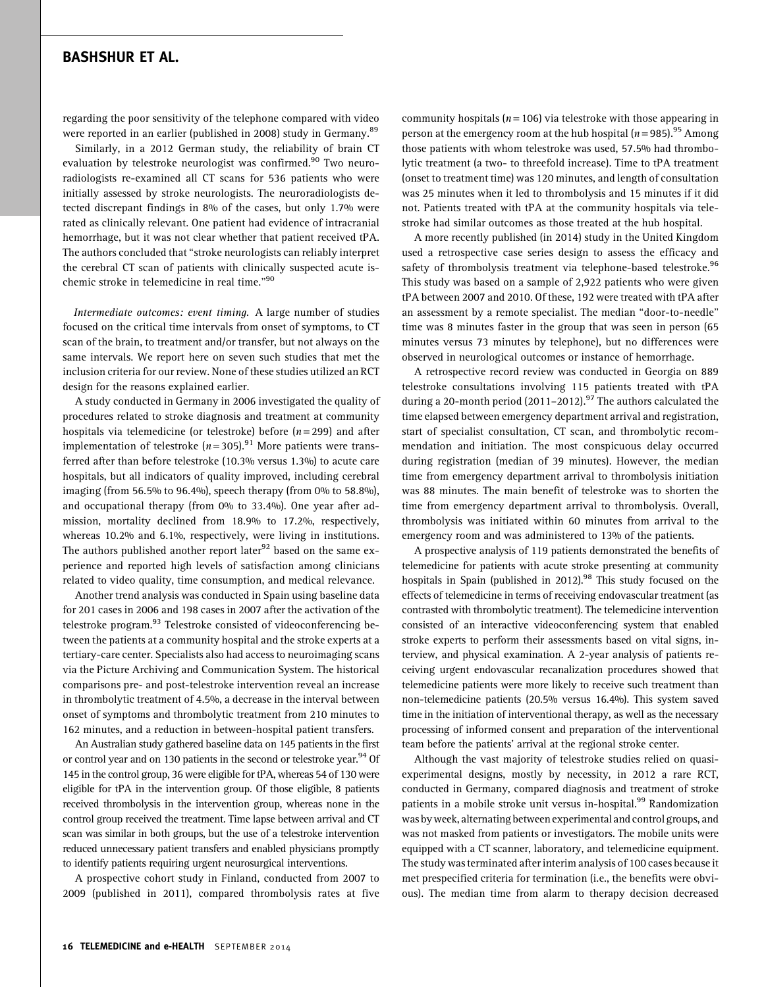regarding the poor sensitivity of the telephone compared with video were reported in an earlier (published in 2008) study in Germany.<sup>89</sup>

Similarly, in a 2012 German study, the reliability of brain CT evaluation by telestroke neurologist was confirmed.<sup>90</sup> Two neuroradiologists re-examined all CT scans for 536 patients who were initially assessed by stroke neurologists. The neuroradiologists detected discrepant findings in 8% of the cases, but only 1.7% were rated as clinically relevant. One patient had evidence of intracranial hemorrhage, but it was not clear whether that patient received tPA. The authors concluded that ''stroke neurologists can reliably interpret the cerebral CT scan of patients with clinically suspected acute ischemic stroke in telemedicine in real time.''<sup>90</sup>

Intermediate outcomes: event timing. A large number of studies focused on the critical time intervals from onset of symptoms, to CT scan of the brain, to treatment and/or transfer, but not always on the same intervals. We report here on seven such studies that met the inclusion criteria for our review. None of these studies utilized an RCT design for the reasons explained earlier.

A study conducted in Germany in 2006 investigated the quality of procedures related to stroke diagnosis and treatment at community hospitals via telemedicine (or telestroke) before  $(n=299)$  and after implementation of telestroke ( $n = 305$ ).<sup>91</sup> More patients were transferred after than before telestroke (10.3% versus 1.3%) to acute care hospitals, but all indicators of quality improved, including cerebral imaging (from 56.5% to 96.4%), speech therapy (from 0% to 58.8%), and occupational therapy (from 0% to 33.4%). One year after admission, mortality declined from 18.9% to 17.2%, respectively, whereas 10.2% and 6.1%, respectively, were living in institutions. The authors published another report later<sup>92</sup> based on the same experience and reported high levels of satisfaction among clinicians related to video quality, time consumption, and medical relevance.

Another trend analysis was conducted in Spain using baseline data for 201 cases in 2006 and 198 cases in 2007 after the activation of the telestroke program.<sup>93</sup> Telestroke consisted of videoconferencing between the patients at a community hospital and the stroke experts at a tertiary-care center. Specialists also had access to neuroimaging scans via the Picture Archiving and Communication System. The historical comparisons pre- and post-telestroke intervention reveal an increase in thrombolytic treatment of 4.5%, a decrease in the interval between onset of symptoms and thrombolytic treatment from 210 minutes to 162 minutes, and a reduction in between-hospital patient transfers.

An Australian study gathered baseline data on 145 patients in the first or control year and on 130 patients in the second or telestroke year.<sup>94</sup> Of 145 in the control group, 36 were eligible for tPA, whereas 54 of 130 were eligible for tPA in the intervention group. Of those eligible, 8 patients received thrombolysis in the intervention group, whereas none in the control group received the treatment. Time lapse between arrival and CT scan was similar in both groups, but the use of a telestroke intervention reduced unnecessary patient transfers and enabled physicians promptly to identify patients requiring urgent neurosurgical interventions.

A prospective cohort study in Finland, conducted from 2007 to 2009 (published in 2011), compared thrombolysis rates at five

community hospitals ( $n = 106$ ) via telestroke with those appearing in person at the emergency room at the hub hospital ( $n = 985$ ).<sup>95</sup> Among those patients with whom telestroke was used, 57.5% had thrombolytic treatment (a two- to threefold increase). Time to tPA treatment (onset to treatment time) was 120 minutes, and length of consultation was 25 minutes when it led to thrombolysis and 15 minutes if it did not. Patients treated with tPA at the community hospitals via telestroke had similar outcomes as those treated at the hub hospital.

A more recently published (in 2014) study in the United Kingdom used a retrospective case series design to assess the efficacy and safety of thrombolysis treatment via telephone-based telestroke.<sup>96</sup> This study was based on a sample of 2,922 patients who were given tPA between 2007 and 2010. Of these, 192 were treated with tPA after an assessment by a remote specialist. The median ''door-to-needle'' time was 8 minutes faster in the group that was seen in person (65 minutes versus 73 minutes by telephone), but no differences were observed in neurological outcomes or instance of hemorrhage.

A retrospective record review was conducted in Georgia on 889 telestroke consultations involving 115 patients treated with tPA during a 20-month period (2011-2012).<sup>97</sup> The authors calculated the time elapsed between emergency department arrival and registration, start of specialist consultation, CT scan, and thrombolytic recommendation and initiation. The most conspicuous delay occurred during registration (median of 39 minutes). However, the median time from emergency department arrival to thrombolysis initiation was 88 minutes. The main benefit of telestroke was to shorten the time from emergency department arrival to thrombolysis. Overall, thrombolysis was initiated within 60 minutes from arrival to the emergency room and was administered to 13% of the patients.

A prospective analysis of 119 patients demonstrated the benefits of telemedicine for patients with acute stroke presenting at community hospitals in Spain (published in 2012).<sup>98</sup> This study focused on the effects of telemedicine in terms of receiving endovascular treatment (as contrasted with thrombolytic treatment). The telemedicine intervention consisted of an interactive videoconferencing system that enabled stroke experts to perform their assessments based on vital signs, interview, and physical examination. A 2-year analysis of patients receiving urgent endovascular recanalization procedures showed that telemedicine patients were more likely to receive such treatment than non-telemedicine patients (20.5% versus 16.4%). This system saved time in the initiation of interventional therapy, as well as the necessary processing of informed consent and preparation of the interventional team before the patients' arrival at the regional stroke center.

Although the vast majority of telestroke studies relied on quasiexperimental designs, mostly by necessity, in 2012 a rare RCT, conducted in Germany, compared diagnosis and treatment of stroke patients in a mobile stroke unit versus in-hospital.<sup>99</sup> Randomization was by week, alternating between experimental and control groups, and was not masked from patients or investigators. The mobile units were equipped with a CT scanner, laboratory, and telemedicine equipment. The study was terminated after interim analysis of 100 cases because it met prespecified criteria for termination (i.e., the benefits were obvious). The median time from alarm to therapy decision decreased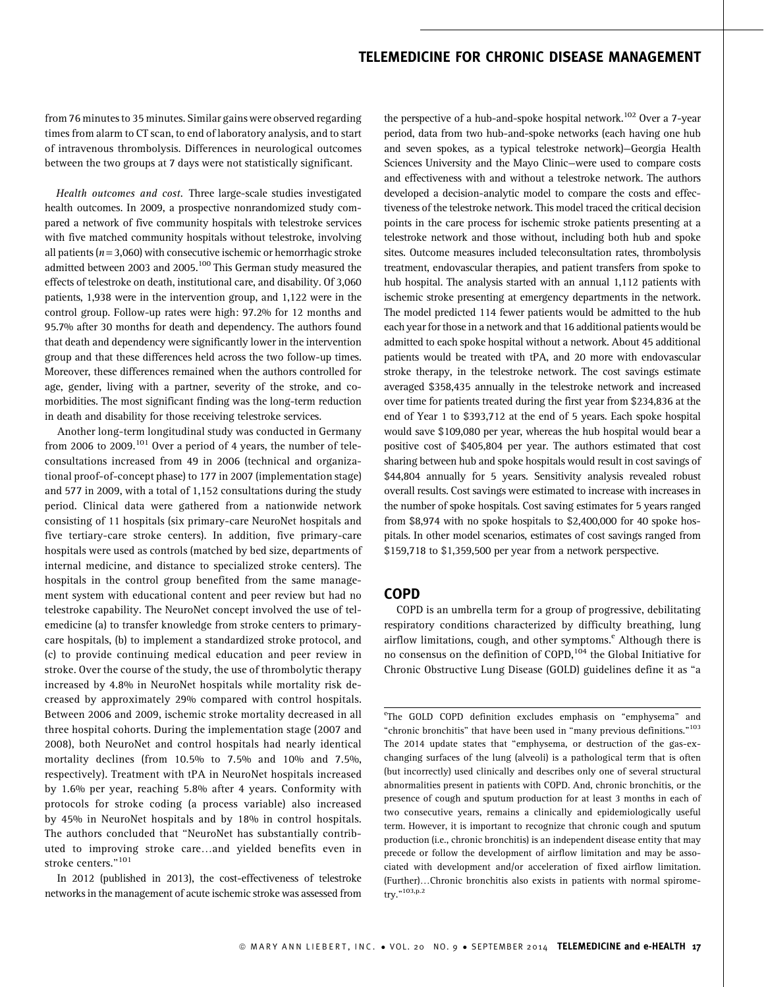from 76 minutes to 35 minutes. Similar gains were observed regarding times from alarm to CT scan, to end of laboratory analysis, and to start of intravenous thrombolysis. Differences in neurological outcomes between the two groups at 7 days were not statistically significant.

Health outcomes and cost. Three large-scale studies investigated health outcomes. In 2009, a prospective nonrandomized study compared a network of five community hospitals with telestroke services with five matched community hospitals without telestroke, involving all patients ( $n = 3,060$ ) with consecutive ischemic or hemorrhagic stroke admitted between 2003 and 2005.<sup>100</sup> This German study measured the effects of telestroke on death, institutional care, and disability. Of 3,060 patients, 1,938 were in the intervention group, and 1,122 were in the control group. Follow-up rates were high: 97.2% for 12 months and 95.7% after 30 months for death and dependency. The authors found that death and dependency were significantly lower in the intervention group and that these differences held across the two follow-up times. Moreover, these differences remained when the authors controlled for age, gender, living with a partner, severity of the stroke, and comorbidities. The most significant finding was the long-term reduction in death and disability for those receiving telestroke services.

Another long-term longitudinal study was conducted in Germany from 2006 to 2009.<sup>101</sup> Over a period of 4 years, the number of teleconsultations increased from 49 in 2006 (technical and organizational proof-of-concept phase) to 177 in 2007 (implementation stage) and 577 in 2009, with a total of 1,152 consultations during the study period. Clinical data were gathered from a nationwide network consisting of 11 hospitals (six primary-care NeuroNet hospitals and five tertiary-care stroke centers). In addition, five primary-care hospitals were used as controls (matched by bed size, departments of internal medicine, and distance to specialized stroke centers). The hospitals in the control group benefited from the same management system with educational content and peer review but had no telestroke capability. The NeuroNet concept involved the use of telemedicine (a) to transfer knowledge from stroke centers to primarycare hospitals, (b) to implement a standardized stroke protocol, and (c) to provide continuing medical education and peer review in stroke. Over the course of the study, the use of thrombolytic therapy increased by 4.8% in NeuroNet hospitals while mortality risk decreased by approximately 29% compared with control hospitals. Between 2006 and 2009, ischemic stroke mortality decreased in all three hospital cohorts. During the implementation stage (2007 and 2008), both NeuroNet and control hospitals had nearly identical mortality declines (from 10.5% to 7.5% and 10% and 7.5%, respectively). Treatment with tPA in NeuroNet hospitals increased by 1.6% per year, reaching 5.8% after 4 years. Conformity with protocols for stroke coding (a process variable) also increased by 45% in NeuroNet hospitals and by 18% in control hospitals. The authors concluded that ''NeuroNet has substantially contributed to improving stroke care...and yielded benefits even in stroke centers."<sup>101</sup>

In 2012 (published in 2013), the cost-effectiveness of telestroke networks in the management of acute ischemic stroke was assessed from

the perspective of a hub-and-spoke hospital network.<sup>102</sup> Over a 7-year period, data from two hub-and-spoke networks (each having one hub and seven spokes, as a typical telestroke network)—Georgia Health Sciences University and the Mayo Clinic—were used to compare costs and effectiveness with and without a telestroke network. The authors developed a decision-analytic model to compare the costs and effectiveness of the telestroke network. This model traced the critical decision points in the care process for ischemic stroke patients presenting at a telestroke network and those without, including both hub and spoke sites. Outcome measures included teleconsultation rates, thrombolysis treatment, endovascular therapies, and patient transfers from spoke to hub hospital. The analysis started with an annual 1,112 patients with ischemic stroke presenting at emergency departments in the network. The model predicted 114 fewer patients would be admitted to the hub each year for those in a network and that 16 additional patients would be admitted to each spoke hospital without a network. About 45 additional patients would be treated with tPA, and 20 more with endovascular stroke therapy, in the telestroke network. The cost savings estimate averaged \$358,435 annually in the telestroke network and increased over time for patients treated during the first year from \$234,836 at the end of Year 1 to \$393,712 at the end of 5 years. Each spoke hospital would save \$109,080 per year, whereas the hub hospital would bear a positive cost of \$405,804 per year. The authors estimated that cost sharing between hub and spoke hospitals would result in cost savings of \$44,804 annually for 5 years. Sensitivity analysis revealed robust overall results. Cost savings were estimated to increase with increases in the number of spoke hospitals. Cost saving estimates for 5 years ranged from \$8,974 with no spoke hospitals to \$2,400,000 for 40 spoke hospitals. In other model scenarios, estimates of cost savings ranged from \$159,718 to \$1,359,500 per year from a network perspective.

### COPD

COPD is an umbrella term for a group of progressive, debilitating respiratory conditions characterized by difficulty breathing, lung airflow limitations, cough, and other symptoms.<sup>e</sup> Although there is no consensus on the definition of COPD,<sup>104</sup> the Global Initiative for Chronic Obstructive Lung Disease (GOLD) guidelines define it as ''a

<sup>e</sup>The GOLD COPD definition excludes emphasis on "emphysema" and "chronic bronchitis" that have been used in "many previous definitions."<sup>103</sup> The 2014 update states that ''emphysema, or destruction of the gas-exchanging surfaces of the lung (alveoli) is a pathological term that is often (but incorrectly) used clinically and describes only one of several structural abnormalities present in patients with COPD. And, chronic bronchitis, or the presence of cough and sputum production for at least 3 months in each of two consecutive years, remains a clinically and epidemiologically useful term. However, it is important to recognize that chronic cough and sputum production (i.e., chronic bronchitis) is an independent disease entity that may precede or follow the development of airflow limitation and may be associated with development and/or acceleration of fixed airflow limitation. (Further)...Chronic bronchitis also exists in patients with normal spirometry."<sup>103,p.2</sup>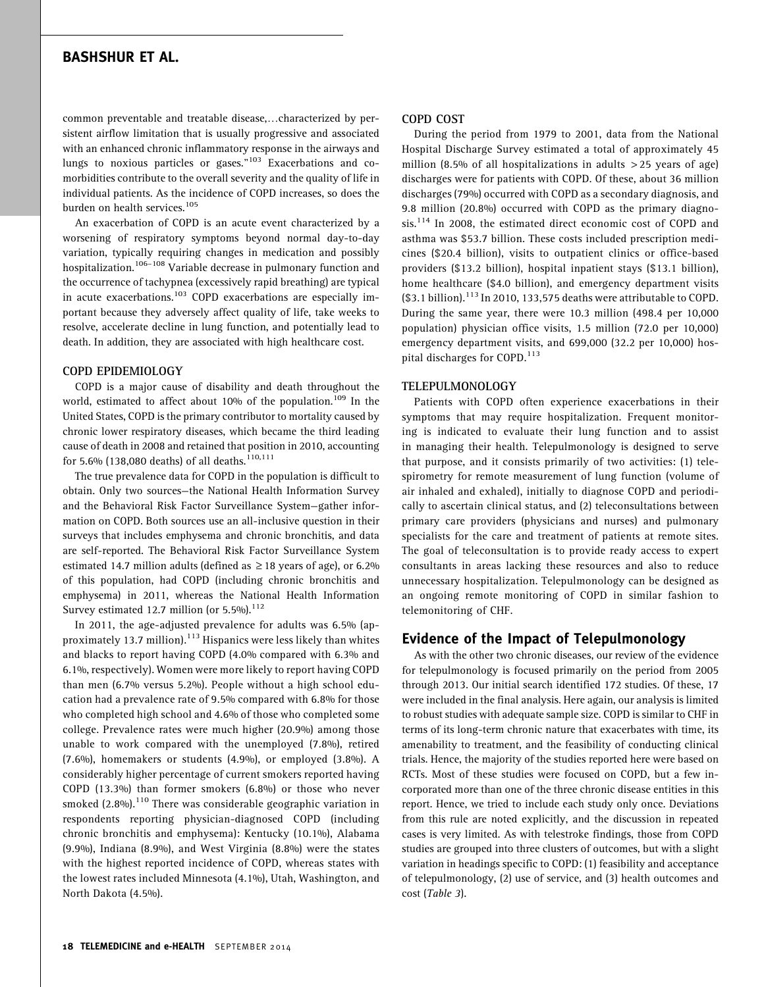common preventable and treatable disease,...characterized by persistent airflow limitation that is usually progressive and associated with an enhanced chronic inflammatory response in the airways and lungs to noxious particles or gases."<sup>103</sup> Exacerbations and comorbidities contribute to the overall severity and the quality of life in individual patients. As the incidence of COPD increases, so does the burden on health services.<sup>105</sup>

An exacerbation of COPD is an acute event characterized by a worsening of respiratory symptoms beyond normal day-to-day variation, typically requiring changes in medication and possibly hospitalization.<sup>106-108</sup> Variable decrease in pulmonary function and the occurrence of tachypnea (excessively rapid breathing) are typical in acute exacerbations.<sup>103</sup> COPD exacerbations are especially important because they adversely affect quality of life, take weeks to resolve, accelerate decline in lung function, and potentially lead to death. In addition, they are associated with high healthcare cost.

#### COPD EPIDEMIOLOGY

COPD is a major cause of disability and death throughout the world, estimated to affect about 10% of the population.<sup>109</sup> In the United States, COPD is the primary contributor to mortality caused by chronic lower respiratory diseases, which became the third leading cause of death in 2008 and retained that position in 2010, accounting for 5.6% (138,080 deaths) of all deaths.<sup>110,111</sup>

The true prevalence data for COPD in the population is difficult to obtain. Only two sources—the National Health Information Survey and the Behavioral Risk Factor Surveillance System—gather information on COPD. Both sources use an all-inclusive question in their surveys that includes emphysema and chronic bronchitis, and data are self-reported. The Behavioral Risk Factor Surveillance System estimated 14.7 million adults (defined as  $\geq$  18 years of age), or 6.2% of this population, had COPD (including chronic bronchitis and emphysema) in 2011, whereas the National Health Information Survey estimated 12.7 million (or  $5.5\%$ ).<sup>112</sup>

In 2011, the age-adjusted prevalence for adults was 6.5% (approximately 13.7 million).<sup>113</sup> Hispanics were less likely than whites and blacks to report having COPD (4.0% compared with 6.3% and 6.1%, respectively). Women were more likely to report having COPD than men (6.7% versus 5.2%). People without a high school education had a prevalence rate of 9.5% compared with 6.8% for those who completed high school and 4.6% of those who completed some college. Prevalence rates were much higher (20.9%) among those unable to work compared with the unemployed (7.8%), retired (7.6%), homemakers or students (4.9%), or employed (3.8%). A considerably higher percentage of current smokers reported having COPD (13.3%) than former smokers (6.8%) or those who never smoked  $(2.8\%)$ .<sup>110</sup> There was considerable geographic variation in respondents reporting physician-diagnosed COPD (including chronic bronchitis and emphysema): Kentucky (10.1%), Alabama (9.9%), Indiana (8.9%), and West Virginia (8.8%) were the states with the highest reported incidence of COPD, whereas states with the lowest rates included Minnesota (4.1%), Utah, Washington, and North Dakota (4.5%).

#### COPD COST

During the period from 1979 to 2001, data from the National Hospital Discharge Survey estimated a total of approximately 45 million (8.5% of all hospitalizations in adults  $>$  25 years of age) discharges were for patients with COPD. Of these, about 36 million discharges (79%) occurred with COPD as a secondary diagnosis, and 9.8 million (20.8%) occurred with COPD as the primary diagnosis.<sup>114</sup> In 2008, the estimated direct economic cost of COPD and asthma was \$53.7 billion. These costs included prescription medicines (\$20.4 billion), visits to outpatient clinics or office-based providers (\$13.2 billion), hospital inpatient stays (\$13.1 billion), home healthcare (\$4.0 billion), and emergency department visits  $($3.1 billion).$ <sup>113</sup> In 2010, 133,575 deaths were attributable to COPD. During the same year, there were 10.3 million (498.4 per 10,000 population) physician office visits, 1.5 million (72.0 per 10,000) emergency department visits, and 699,000 (32.2 per 10,000) hospital discharges for COPD.<sup>113</sup>

#### TELEPULMONOLOGY

Patients with COPD often experience exacerbations in their symptoms that may require hospitalization. Frequent monitoring is indicated to evaluate their lung function and to assist in managing their health. Telepulmonology is designed to serve that purpose, and it consists primarily of two activities: (1) telespirometry for remote measurement of lung function (volume of air inhaled and exhaled), initially to diagnose COPD and periodically to ascertain clinical status, and (2) teleconsultations between primary care providers (physicians and nurses) and pulmonary specialists for the care and treatment of patients at remote sites. The goal of teleconsultation is to provide ready access to expert consultants in areas lacking these resources and also to reduce unnecessary hospitalization. Telepulmonology can be designed as an ongoing remote monitoring of COPD in similar fashion to telemonitoring of CHF.

### Evidence of the Impact of Telepulmonology

As with the other two chronic diseases, our review of the evidence for telepulmonology is focused primarily on the period from 2005 through 2013. Our initial search identified 172 studies. Of these, 17 were included in the final analysis. Here again, our analysis is limited to robust studies with adequate sample size. COPD is similar to CHF in terms of its long-term chronic nature that exacerbates with time, its amenability to treatment, and the feasibility of conducting clinical trials. Hence, the majority of the studies reported here were based on RCTs. Most of these studies were focused on COPD, but a few incorporated more than one of the three chronic disease entities in this report. Hence, we tried to include each study only once. Deviations from this rule are noted explicitly, and the discussion in repeated cases is very limited. As with telestroke findings, those from COPD studies are grouped into three clusters of outcomes, but with a slight variation in headings specific to COPD: (1) feasibility and acceptance of telepulmonology, (2) use of service, and (3) health outcomes and cost (Table 3).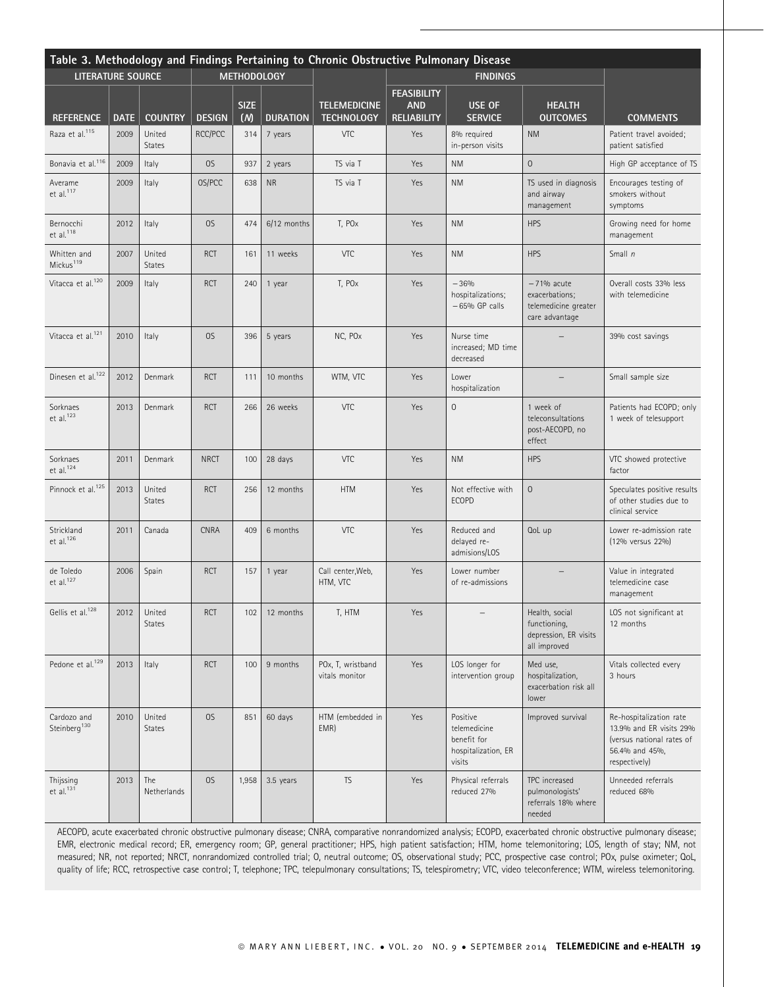| Table 3. Methodology and Findings Pertaining to Chronic Obstructive Pulmonary Disease |             |                         |               |             |                 |                                          |                                  |                                                                          |                                                                          |                                                                                                                    |
|---------------------------------------------------------------------------------------|-------------|-------------------------|---------------|-------------|-----------------|------------------------------------------|----------------------------------|--------------------------------------------------------------------------|--------------------------------------------------------------------------|--------------------------------------------------------------------------------------------------------------------|
| <b>LITERATURE SOURCE</b>                                                              |             | <b>METHODOLOGY</b>      |               |             |                 |                                          | <b>FINDINGS</b>                  |                                                                          |                                                                          |                                                                                                                    |
|                                                                                       |             |                         |               | <b>SIZE</b> |                 |                                          | <b>FEASIBILITY</b>               |                                                                          |                                                                          |                                                                                                                    |
| <b>REFERENCE</b>                                                                      | <b>DATE</b> | <b>COUNTRY</b>          | <b>DESIGN</b> | (M)         | <b>DURATION</b> | <b>TELEMEDICINE</b><br><b>TECHNOLOGY</b> | <b>AND</b><br><b>RELIABILITY</b> | <b>USE OF</b><br><b>SERVICE</b>                                          | <b>HEALTH</b><br><b>OUTCOMES</b>                                         | <b>COMMENTS</b>                                                                                                    |
| Raza et al. <sup>115</sup>                                                            | 2009        | United<br><b>States</b> | RCC/PCC       | 314         | 7 years         | VTC                                      | Yes                              | 8% required<br>in-person visits                                          | <b>NM</b>                                                                | Patient travel avoided;<br>patient satisfied                                                                       |
| Bonavia et al. <sup>116</sup>                                                         | 2009        | Italy                   | OS            | 937         | 2 years         | TS via T                                 | Yes                              | <b>NM</b>                                                                | $\overline{0}$                                                           | High GP acceptance of TS                                                                                           |
| Averame<br>et al. <sup>117</sup>                                                      | 2009        | Italy                   | OS/PCC        | 638         | <b>NR</b>       | TS via T                                 | <b>Yes</b>                       | <b>NM</b>                                                                | TS used in diagnosis<br>and airway<br>management                         | Encourages testing of<br>smokers without<br>symptoms                                                               |
| Bernocchi<br>et al. <sup>118</sup>                                                    | 2012        | Italy                   | OS            | 474         | 6/12 months     | T, PO <sub>x</sub>                       | Yes                              | <b>NM</b>                                                                | <b>HPS</b>                                                               | Growing need for home<br>management                                                                                |
| Whitten and<br>Mickus <sup>119</sup>                                                  | 2007        | United<br><b>States</b> | <b>RCT</b>    | 161         | 11 weeks        | <b>VTC</b>                               | Yes                              | <b>NM</b>                                                                | <b>HPS</b>                                                               | Small n                                                                                                            |
| Vitacca et al. <sup>120</sup>                                                         | 2009        | Italy                   | <b>RCT</b>    | 240         | 1 year          | T, PO <sub>x</sub>                       | Yes                              | $-36%$<br>hospitalizations;<br>$-65%$ GP calls                           | $-71%$ acute<br>exacerbations;<br>telemedicine greater<br>care advantage | Overall costs 33% less<br>with telemedicine                                                                        |
| Vitacca et al. <sup>121</sup>                                                         | 2010        | Italy                   | OS            | 396         | 5 years         | NC, POx                                  | Yes                              | Nurse time<br>increased; MD time<br>decreased                            |                                                                          | 39% cost savings                                                                                                   |
| Dinesen et al. <sup>122</sup>                                                         | 2012        | Denmark                 | <b>RCT</b>    | 111         | 10 months       | WTM, VTC                                 | Yes                              | Lower<br>hospitalization                                                 |                                                                          | Small sample size                                                                                                  |
| Sorknaes<br>et al. $123$                                                              | 2013        | Denmark                 | <b>RCT</b>    | 266         | 26 weeks        | VTC                                      | Yes                              | $\overline{0}$                                                           | 1 week of<br>teleconsultations<br>post-AECOPD, no<br>effect              | Patients had ECOPD; only<br>1 week of telesupport                                                                  |
| Sorknaes<br>et al. $124$                                                              | 2011        | Denmark                 | <b>NRCT</b>   | 100         | 28 days         | VTC                                      | Yes                              | <b>NM</b>                                                                | <b>HPS</b>                                                               | VTC showed protective<br>factor                                                                                    |
| Pinnock et al. <sup>125</sup>                                                         | 2013        | United<br><b>States</b> | <b>RCT</b>    | 256         | 12 months       | <b>HTM</b>                               | Yes                              | Not effective with<br><b>ECOPD</b>                                       | $\overline{0}$                                                           | Speculates positive results<br>of other studies due to<br>clinical service                                         |
| Strickland<br>et al. $126$                                                            | 2011        | Canada                  | <b>CNRA</b>   | 409         | 6 months        | VTC                                      | Yes                              | Reduced and<br>delayed re-<br>admisions/LOS                              | QoL up                                                                   | Lower re-admission rate<br>(12% versus 22%)                                                                        |
| de Toledo<br>et al. $127$                                                             | 2006        | Spain                   | <b>RCT</b>    | 157         | 1 year          | Call center, Web,<br>HTM, VTC            | Yes                              | Lower number<br>of re-admissions                                         |                                                                          | Value in integrated<br>telemedicine case<br>management                                                             |
| Gellis et al. <sup>128</sup>                                                          | 2012        | United<br><b>States</b> | <b>RCT</b>    | 102         | 12 months       | T, HTM                                   | Yes                              |                                                                          | Health, social<br>functioning,<br>depression, ER visits<br>all improved  | LOS not significant at<br>12 months                                                                                |
| Pedone et al. <sup>129</sup>                                                          | 2013        | Italy                   | <b>RCT</b>    | 100         | 9 months        | POx, T, wristband<br>vitals monitor      | Yes                              | LOS longer for<br>intervention group                                     | Med use,<br>hospitalization,<br>exacerbation risk all<br>lower           | Vitals collected every<br>3 hours                                                                                  |
| Cardozo and<br>Steinberg <sup>130</sup>                                               | 2010        | United<br><b>States</b> | OS            | 851         | 60 days         | HTM (embedded in<br>EMR)                 | Yes                              | Positive<br>telemedicine<br>benefit for<br>hospitalization, ER<br>visits | Improved survival                                                        | Re-hospitalization rate<br>13.9% and ER visits 29%<br>(versus national rates of<br>56.4% and 45%,<br>respectively) |
| Thijssing<br>$et$ al. $131$                                                           | 2013        | The<br>Netherlands      | OS            | 1,958       | 3.5 years       | <b>TS</b>                                | Yes                              | Physical referrals<br>reduced 27%                                        | TPC increased<br>pulmonologists'<br>referrals 18% where<br>needed        | Unneeded referrals<br>reduced 68%                                                                                  |

AECOPD, acute exacerbated chronic obstructive pulmonary disease; CNRA, comparative nonrandomized analysis; ECOPD, exacerbated chronic obstructive pulmonary disease; EMR, electronic medical record; ER, emergency room; GP, general practitioner; HPS, high patient satisfaction; HTM, home telemonitoring; LOS, length of stay; NM, not measured; NR, not reported; NRCT, nonrandomized controlled trial; O, neutral outcome; OS, observational study; PCC, prospective case control; POx, pulse oximeter; QoL, quality of life; RCC, retrospective case control; T, telephone; TPC, telepulmonary consultations; TS, telespirometry; VTC, video teleconference; WTM, wireless telemonitoring.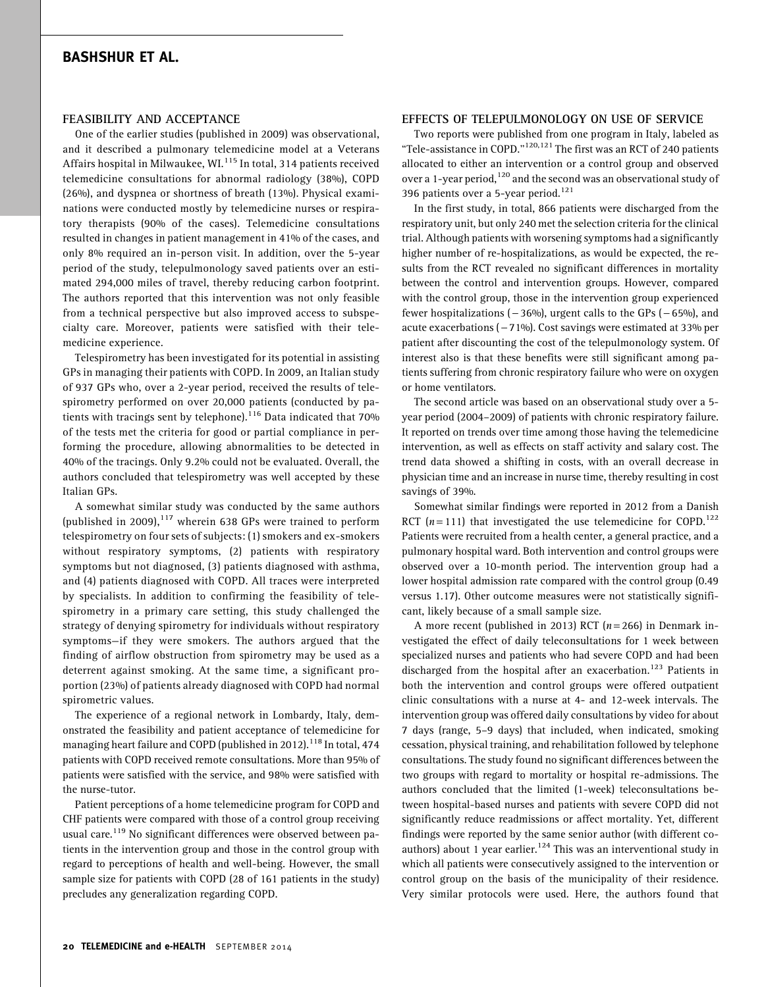#### FEASIBILITY AND ACCEPTANCE

One of the earlier studies (published in 2009) was observational, and it described a pulmonary telemedicine model at a Veterans Affairs hospital in Milwaukee, WI.<sup>115</sup> In total, 314 patients received telemedicine consultations for abnormal radiology (38%), COPD (26%), and dyspnea or shortness of breath (13%). Physical examinations were conducted mostly by telemedicine nurses or respiratory therapists (90% of the cases). Telemedicine consultations resulted in changes in patient management in 41% of the cases, and only 8% required an in-person visit. In addition, over the 5-year period of the study, telepulmonology saved patients over an estimated 294,000 miles of travel, thereby reducing carbon footprint. The authors reported that this intervention was not only feasible from a technical perspective but also improved access to subspecialty care. Moreover, patients were satisfied with their telemedicine experience.

Telespirometry has been investigated for its potential in assisting GPs in managing their patients with COPD. In 2009, an Italian study of 937 GPs who, over a 2-year period, received the results of telespirometry performed on over 20,000 patients (conducted by patients with tracings sent by telephone).<sup>116</sup> Data indicated that  $70\%$ of the tests met the criteria for good or partial compliance in performing the procedure, allowing abnormalities to be detected in 40% of the tracings. Only 9.2% could not be evaluated. Overall, the authors concluded that telespirometry was well accepted by these Italian GPs.

A somewhat similar study was conducted by the same authors (published in 2009), $117$  wherein 638 GPs were trained to perform telespirometry on four sets of subjects: (1) smokers and ex-smokers without respiratory symptoms, (2) patients with respiratory symptoms but not diagnosed, (3) patients diagnosed with asthma, and (4) patients diagnosed with COPD. All traces were interpreted by specialists. In addition to confirming the feasibility of telespirometry in a primary care setting, this study challenged the strategy of denying spirometry for individuals without respiratory symptoms—if they were smokers. The authors argued that the finding of airflow obstruction from spirometry may be used as a deterrent against smoking. At the same time, a significant proportion (23%) of patients already diagnosed with COPD had normal spirometric values.

The experience of a regional network in Lombardy, Italy, demonstrated the feasibility and patient acceptance of telemedicine for managing heart failure and COPD (published in 2012).<sup>118</sup> In total, 474 patients with COPD received remote consultations. More than 95% of patients were satisfied with the service, and 98% were satisfied with the nurse-tutor.

Patient perceptions of a home telemedicine program for COPD and CHF patients were compared with those of a control group receiving usual care.<sup>119</sup> No significant differences were observed between patients in the intervention group and those in the control group with regard to perceptions of health and well-being. However, the small sample size for patients with COPD (28 of 161 patients in the study) precludes any generalization regarding COPD.

#### EFFECTS OF TELEPULMONOLOGY ON USE OF SERVICE

Two reports were published from one program in Italy, labeled as "Tele-assistance in COPD."<sup>120,121</sup> The first was an RCT of 240 patients allocated to either an intervention or a control group and observed over a 1-year period,  $^{120}$  and the second was an observational study of 396 patients over a 5-year period.<sup>121</sup>

In the first study, in total, 866 patients were discharged from the respiratory unit, but only 240 met the selection criteria for the clinical trial. Although patients with worsening symptoms had a significantly higher number of re-hospitalizations, as would be expected, the results from the RCT revealed no significant differences in mortality between the control and intervention groups. However, compared with the control group, those in the intervention group experienced fewer hospitalizations  $(-36%)$ , urgent calls to the GPs  $(-65%)$ , and acute exacerbations  $(-71\%)$ . Cost savings were estimated at 33% per patient after discounting the cost of the telepulmonology system. Of interest also is that these benefits were still significant among patients suffering from chronic respiratory failure who were on oxygen or home ventilators.

The second article was based on an observational study over a 5 year period (2004–2009) of patients with chronic respiratory failure. It reported on trends over time among those having the telemedicine intervention, as well as effects on staff activity and salary cost. The trend data showed a shifting in costs, with an overall decrease in physician time and an increase in nurse time, thereby resulting in cost savings of 39%.

Somewhat similar findings were reported in 2012 from a Danish RCT  $(n=111)$  that investigated the use telemedicine for COPD.<sup>122</sup> Patients were recruited from a health center, a general practice, and a pulmonary hospital ward. Both intervention and control groups were observed over a 10-month period. The intervention group had a lower hospital admission rate compared with the control group (0.49 versus 1.17). Other outcome measures were not statistically significant, likely because of a small sample size.

A more recent (published in 2013) RCT ( $n = 266$ ) in Denmark investigated the effect of daily teleconsultations for 1 week between specialized nurses and patients who had severe COPD and had been discharged from the hospital after an exacerbation.<sup>123</sup> Patients in both the intervention and control groups were offered outpatient clinic consultations with a nurse at 4- and 12-week intervals. The intervention group was offered daily consultations by video for about 7 days (range, 5–9 days) that included, when indicated, smoking cessation, physical training, and rehabilitation followed by telephone consultations. The study found no significant differences between the two groups with regard to mortality or hospital re-admissions. The authors concluded that the limited (1-week) teleconsultations between hospital-based nurses and patients with severe COPD did not significantly reduce readmissions or affect mortality. Yet, different findings were reported by the same senior author (with different coauthors) about 1 year earlier. $124$  This was an interventional study in which all patients were consecutively assigned to the intervention or control group on the basis of the municipality of their residence. Very similar protocols were used. Here, the authors found that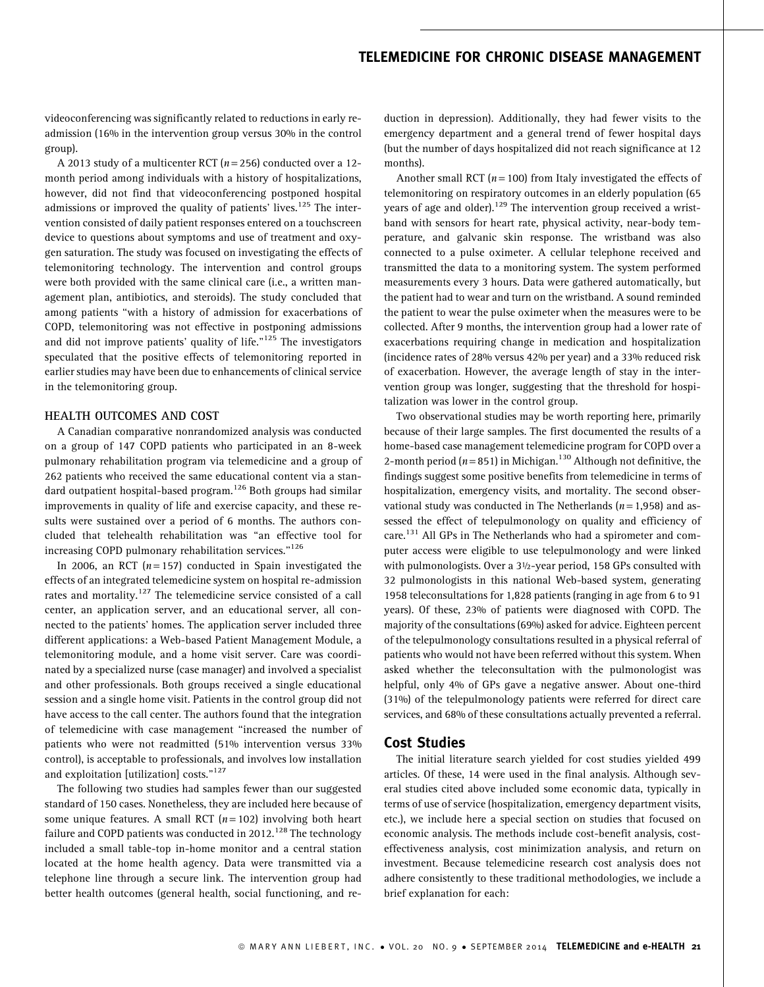videoconferencing was significantly related to reductions in early readmission (16% in the intervention group versus 30% in the control group).

A 2013 study of a multicenter RCT ( $n = 256$ ) conducted over a 12month period among individuals with a history of hospitalizations, however, did not find that videoconferencing postponed hospital admissions or improved the quality of patients' lives.<sup>125</sup> The intervention consisted of daily patient responses entered on a touchscreen device to questions about symptoms and use of treatment and oxygen saturation. The study was focused on investigating the effects of telemonitoring technology. The intervention and control groups were both provided with the same clinical care (i.e., a written management plan, antibiotics, and steroids). The study concluded that among patients ''with a history of admission for exacerbations of COPD, telemonitoring was not effective in postponing admissions and did not improve patients' quality of life. $n^{125}$  The investigators speculated that the positive effects of telemonitoring reported in earlier studies may have been due to enhancements of clinical service in the telemonitoring group.

#### HEALTH OUTCOMES AND COST

A Canadian comparative nonrandomized analysis was conducted on a group of 147 COPD patients who participated in an 8-week pulmonary rehabilitation program via telemedicine and a group of 262 patients who received the same educational content via a standard outpatient hospital-based program.<sup>126</sup> Both groups had similar improvements in quality of life and exercise capacity, and these results were sustained over a period of 6 months. The authors concluded that telehealth rehabilitation was ''an effective tool for increasing COPD pulmonary rehabilitation services."<sup>126</sup>

In 2006, an RCT  $(n=157)$  conducted in Spain investigated the effects of an integrated telemedicine system on hospital re-admission rates and mortality.<sup>127</sup> The telemedicine service consisted of a call center, an application server, and an educational server, all connected to the patients' homes. The application server included three different applications: a Web-based Patient Management Module, a telemonitoring module, and a home visit server. Care was coordinated by a specialized nurse (case manager) and involved a specialist and other professionals. Both groups received a single educational session and a single home visit. Patients in the control group did not have access to the call center. The authors found that the integration of telemedicine with case management ''increased the number of patients who were not readmitted (51% intervention versus 33% control), is acceptable to professionals, and involves low installation and exploitation [utilization] costs."<sup>127</sup>

The following two studies had samples fewer than our suggested standard of 150 cases. Nonetheless, they are included here because of some unique features. A small RCT  $(n = 102)$  involving both heart failure and COPD patients was conducted in  $2012$ .<sup>128</sup> The technology included a small table-top in-home monitor and a central station located at the home health agency. Data were transmitted via a telephone line through a secure link. The intervention group had better health outcomes (general health, social functioning, and reduction in depression). Additionally, they had fewer visits to the emergency department and a general trend of fewer hospital days (but the number of days hospitalized did not reach significance at 12 months).

Another small RCT ( $n = 100$ ) from Italy investigated the effects of telemonitoring on respiratory outcomes in an elderly population (65 years of age and older).<sup>129</sup> The intervention group received a wristband with sensors for heart rate, physical activity, near-body temperature, and galvanic skin response. The wristband was also connected to a pulse oximeter. A cellular telephone received and transmitted the data to a monitoring system. The system performed measurements every 3 hours. Data were gathered automatically, but the patient had to wear and turn on the wristband. A sound reminded the patient to wear the pulse oximeter when the measures were to be collected. After 9 months, the intervention group had a lower rate of exacerbations requiring change in medication and hospitalization (incidence rates of 28% versus 42% per year) and a 33% reduced risk of exacerbation. However, the average length of stay in the intervention group was longer, suggesting that the threshold for hospitalization was lower in the control group.

Two observational studies may be worth reporting here, primarily because of their large samples. The first documented the results of a home-based case management telemedicine program for COPD over a 2-month period ( $n = 851$ ) in Michigan.<sup>130</sup> Although not definitive, the findings suggest some positive benefits from telemedicine in terms of hospitalization, emergency visits, and mortality. The second observational study was conducted in The Netherlands  $(n = 1,958)$  and assessed the effect of telepulmonology on quality and efficiency of care.<sup>131</sup> All GPs in The Netherlands who had a spirometer and computer access were eligible to use telepulmonology and were linked with pulmonologists. Over a 3½-year period, 158 GPs consulted with 32 pulmonologists in this national Web-based system, generating 1958 teleconsultations for 1,828 patients (ranging in age from 6 to 91 years). Of these, 23% of patients were diagnosed with COPD. The majority of the consultations (69%) asked for advice. Eighteen percent of the telepulmonology consultations resulted in a physical referral of patients who would not have been referred without this system. When asked whether the teleconsultation with the pulmonologist was helpful, only 4% of GPs gave a negative answer. About one-third (31%) of the telepulmonology patients were referred for direct care services, and 68% of these consultations actually prevented a referral.

### Cost Studies

The initial literature search yielded for cost studies yielded 499 articles. Of these, 14 were used in the final analysis. Although several studies cited above included some economic data, typically in terms of use of service (hospitalization, emergency department visits, etc.), we include here a special section on studies that focused on economic analysis. The methods include cost-benefit analysis, costeffectiveness analysis, cost minimization analysis, and return on investment. Because telemedicine research cost analysis does not adhere consistently to these traditional methodologies, we include a brief explanation for each: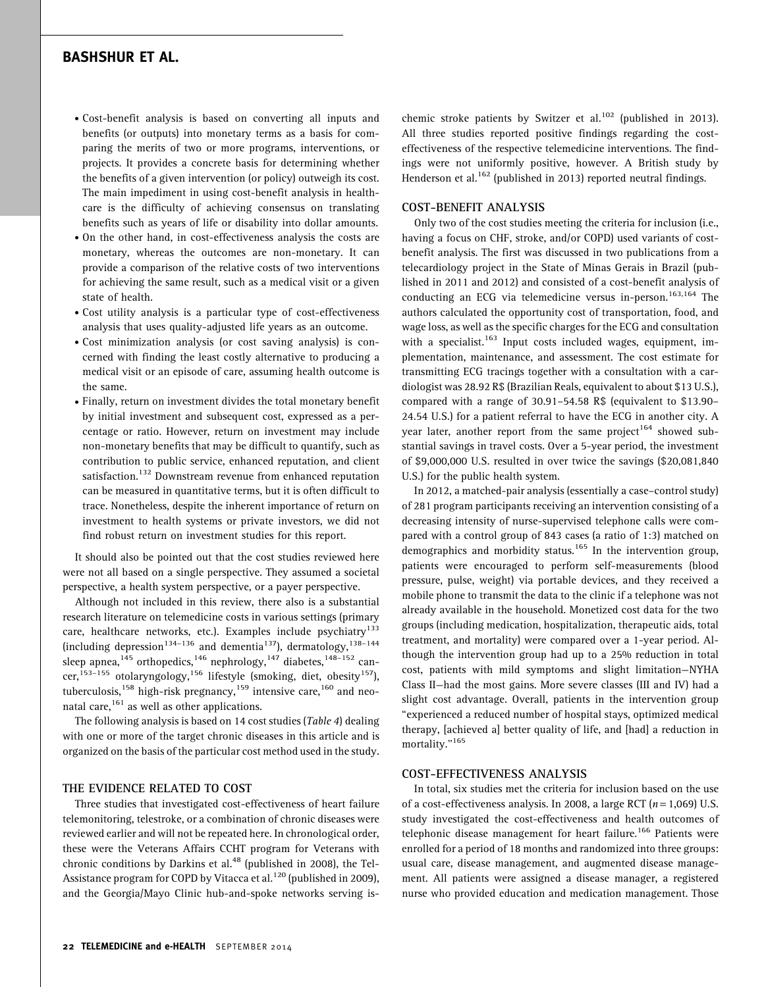- . Cost-benefit analysis is based on converting all inputs and benefits (or outputs) into monetary terms as a basis for comparing the merits of two or more programs, interventions, or projects. It provides a concrete basis for determining whether the benefits of a given intervention (or policy) outweigh its cost. The main impediment in using cost-benefit analysis in healthcare is the difficulty of achieving consensus on translating benefits such as years of life or disability into dollar amounts.
- . On the other hand, in cost-effectiveness analysis the costs are monetary, whereas the outcomes are non-monetary. It can provide a comparison of the relative costs of two interventions for achieving the same result, such as a medical visit or a given state of health.
- . Cost utility analysis is a particular type of cost-effectiveness analysis that uses quality-adjusted life years as an outcome.
- . Cost minimization analysis (or cost saving analysis) is concerned with finding the least costly alternative to producing a medical visit or an episode of care, assuming health outcome is the same.
- . Finally, return on investment divides the total monetary benefit by initial investment and subsequent cost, expressed as a percentage or ratio. However, return on investment may include non-monetary benefits that may be difficult to quantify, such as contribution to public service, enhanced reputation, and client satisfaction.<sup>132</sup> Downstream revenue from enhanced reputation can be measured in quantitative terms, but it is often difficult to trace. Nonetheless, despite the inherent importance of return on investment to health systems or private investors, we did not find robust return on investment studies for this report.

It should also be pointed out that the cost studies reviewed here were not all based on a single perspective. They assumed a societal perspective, a health system perspective, or a payer perspective.

Although not included in this review, there also is a substantial research literature on telemedicine costs in various settings (primary care, healthcare networks, etc.). Examples include psychiatry<sup>133</sup> (including depression<sup>134-136</sup> and dementia<sup>137</sup>), dermatology,<sup>138-144</sup> sleep apnea,<sup>145</sup> orthopedics,<sup>146</sup> nephrology,<sup>147</sup> diabetes,<sup>148–152</sup> cancer,<sup>153-155</sup> otolaryngology,<sup>156</sup> lifestyle (smoking, diet, obesity<sup>157</sup>), tuberculosis, <sup>158</sup> high-risk pregnancy, <sup>159</sup> intensive care, <sup>160</sup> and neonatal care, $^{161}$  as well as other applications.

The following analysis is based on 14 cost studies (Table 4) dealing with one or more of the target chronic diseases in this article and is organized on the basis of the particular cost method used in the study.

#### THE EVIDENCE RELATED TO COST

Three studies that investigated cost-effectiveness of heart failure telemonitoring, telestroke, or a combination of chronic diseases were reviewed earlier and will not be repeated here. In chronological order, these were the Veterans Affairs CCHT program for Veterans with chronic conditions by Darkins et al. $48$  (published in 2008), the Tel-Assistance program for COPD by Vitacca et al. $^{120}$  (published in 2009), and the Georgia/Mayo Clinic hub-and-spoke networks serving ischemic stroke patients by Switzer et al.<sup>102</sup> (published in 2013). All three studies reported positive findings regarding the costeffectiveness of the respective telemedicine interventions. The findings were not uniformly positive, however. A British study by Henderson et al.<sup>162</sup> (published in 2013) reported neutral findings.

#### COST-BENEFIT ANALYSIS

Only two of the cost studies meeting the criteria for inclusion (i.e., having a focus on CHF, stroke, and/or COPD) used variants of costbenefit analysis. The first was discussed in two publications from a telecardiology project in the State of Minas Gerais in Brazil (published in 2011 and 2012) and consisted of a cost-benefit analysis of conducting an ECG via telemedicine versus in-person.<sup>163,164</sup> The authors calculated the opportunity cost of transportation, food, and wage loss, as well as the specific charges for the ECG and consultation with a specialist.<sup>163</sup> Input costs included wages, equipment, implementation, maintenance, and assessment. The cost estimate for transmitting ECG tracings together with a consultation with a cardiologist was 28.92 R\$ (Brazilian Reals, equivalent to about \$13 U.S.), compared with a range of 30.91–54.58 R\$ (equivalent to \$13.90– 24.54 U.S.) for a patient referral to have the ECG in another city. A year later, another report from the same project<sup>164</sup> showed substantial savings in travel costs. Over a 5-year period, the investment of \$9,000,000 U.S. resulted in over twice the savings (\$20,081,840 U.S.) for the public health system.

In 2012, a matched-pair analysis (essentially a case–control study) of 281 program participants receiving an intervention consisting of a decreasing intensity of nurse-supervised telephone calls were compared with a control group of 843 cases (a ratio of 1:3) matched on demographics and morbidity status.<sup>165</sup> In the intervention group, patients were encouraged to perform self-measurements (blood pressure, pulse, weight) via portable devices, and they received a mobile phone to transmit the data to the clinic if a telephone was not already available in the household. Monetized cost data for the two groups (including medication, hospitalization, therapeutic aids, total treatment, and mortality) were compared over a 1-year period. Although the intervention group had up to a 25% reduction in total cost, patients with mild symptoms and slight limitation—NYHA Class II—had the most gains. More severe classes (III and IV) had a slight cost advantage. Overall, patients in the intervention group ''experienced a reduced number of hospital stays, optimized medical therapy, [achieved a] better quality of life, and [had] a reduction in mortality."<sup>165</sup>

#### COST-EFFECTIVENESS ANALYSIS

In total, six studies met the criteria for inclusion based on the use of a cost-effectiveness analysis. In 2008, a large RCT  $(n = 1,069)$  U.S. study investigated the cost-effectiveness and health outcomes of telephonic disease management for heart failure.<sup>166</sup> Patients were enrolled for a period of 18 months and randomized into three groups: usual care, disease management, and augmented disease management. All patients were assigned a disease manager, a registered nurse who provided education and medication management. Those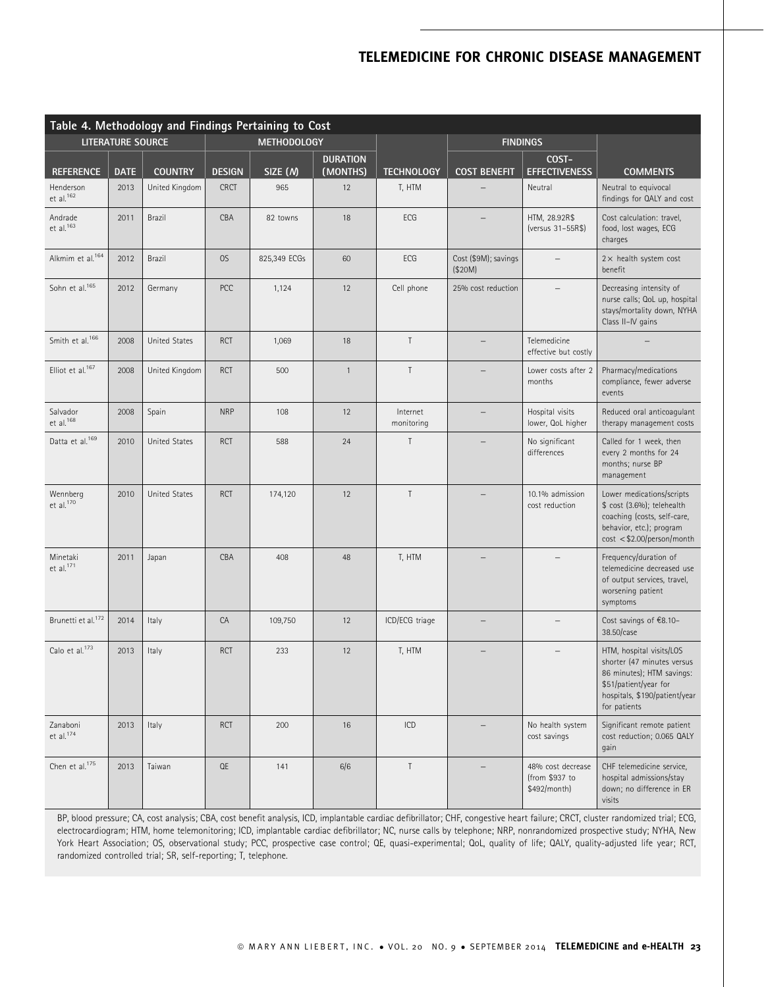| Table 4. Methodology and Findings Pertaining to Cost |                               |                |               |                    |                             |                        |                                 |                                                     |                                                                                                                                                               |  |  |
|------------------------------------------------------|-------------------------------|----------------|---------------|--------------------|-----------------------------|------------------------|---------------------------------|-----------------------------------------------------|---------------------------------------------------------------------------------------------------------------------------------------------------------------|--|--|
| LITERATURE SOURCE                                    |                               |                |               | <b>METHODOLOGY</b> |                             |                        | <b>FINDINGS</b>                 |                                                     |                                                                                                                                                               |  |  |
| <b>REFERENCE</b>                                     | <b>DATE</b><br><b>COUNTRY</b> |                | <b>DESIGN</b> | SIZE (N)           | <b>DURATION</b><br>(MONTHS) | <b>TECHNOLOGY</b>      | <b>COST BENEFIT</b>             | COST-<br><b>EFFECTIVENESS</b>                       | <b>COMMENTS</b>                                                                                                                                               |  |  |
| Henderson<br>et al. <sup>162</sup>                   | 2013                          | United Kingdom | <b>CRCT</b>   | 965                | 12                          | T, HTM                 |                                 | Neutral                                             | Neutral to equivocal<br>findings for QALY and cost                                                                                                            |  |  |
| Andrade<br>et al. <sup>163</sup>                     | 2011                          | <b>Brazil</b>  | CBA           | 82 towns           | 18                          | ECG                    |                                 | HTM, 28.92R\$<br>(versus 31-55R\$)                  | Cost calculation: travel,<br>food, lost wages, ECG<br>charges                                                                                                 |  |  |
| Alkmim et al. <sup>164</sup>                         | 2012                          | Brazil         | OS            | 825,349 ECGs       | 60                          | ECG                    | Cost (\$9M); savings<br>(\$20M) | $\qquad \qquad -$                                   | $2 \times$ health system cost<br>benefit                                                                                                                      |  |  |
| Sohn et al. <sup>165</sup>                           | 2012                          | Germany        | <b>PCC</b>    | 1,124              | 12                          | Cell phone             | 25% cost reduction              |                                                     | Decreasing intensity of<br>nurse calls; QoL up, hospital<br>stays/mortality down, NYHA<br>Class II-IV gains                                                   |  |  |
| Smith et al. <sup>166</sup>                          | 2008                          | United States  | <b>RCT</b>    | 1,069              | 18                          | $\mathsf{T}$           | $-$                             | Telemedicine<br>effective but costly                |                                                                                                                                                               |  |  |
| Elliot et al. <sup>167</sup>                         | 2008                          | United Kingdom | <b>RCT</b>    | 500                | $\mathbf{1}$                | T                      |                                 | Lower costs after 2<br>months                       | Pharmacy/medications<br>compliance, fewer adverse<br>events                                                                                                   |  |  |
| Salvador<br>et al. <sup>168</sup>                    | 2008                          | Spain          | <b>NRP</b>    | 108                | 12                          | Internet<br>monitoring |                                 | Hospital visits<br>lower, QoL higher                | Reduced oral anticoagulant<br>therapy management costs                                                                                                        |  |  |
| Datta et al. <sup>169</sup>                          | 2010                          | United States  | <b>RCT</b>    | 588                | 24                          | Τ                      |                                 | No significant<br>differences                       | Called for 1 week, then<br>every 2 months for 24<br>months; nurse BP<br>management                                                                            |  |  |
| Wennberg<br>et al. <sup>170</sup>                    | 2010                          | United States  | <b>RCT</b>    | 174,120            | 12                          | $\mathsf{T}$           |                                 | 10.1% admission<br>cost reduction                   | Lower medications/scripts<br>\$ cost (3.6%); telehealth<br>coaching (costs, self-care,<br>behavior, etc.); program<br>cost <\$2.00/person/month               |  |  |
| Minetaki<br>et al. <sup>171</sup>                    | 2011                          | Japan          | CBA           | 408                | 48                          | T, HTM                 |                                 |                                                     | Frequency/duration of<br>telemedicine decreased use<br>of output services, travel,<br>worsening patient<br>symptoms                                           |  |  |
| Brunetti et al. <sup>172</sup>                       | 2014                          | Italy          | CA            | 109,750            | 12                          | ICD/ECG triage         |                                 |                                                     | Cost savings of €8.10-<br>38.50/case                                                                                                                          |  |  |
| Calo et al. <sup>173</sup>                           | 2013                          | Italy          | <b>RCT</b>    | 233                | 12                          | T, HTM                 |                                 |                                                     | HTM, hospital visits/LOS<br>shorter (47 minutes versus<br>86 minutes); HTM savings:<br>\$51/patient/year for<br>hospitals, \$190/patient/year<br>for patients |  |  |
| Zanaboni<br>$et$ al. $174$                           | 2013                          | Italy          | <b>RCT</b>    | 200                | 16                          | ICD                    |                                 | No health system<br>cost savings                    | Significant remote patient<br>cost reduction; 0.065 QALY<br>gain                                                                                              |  |  |
| Chen et al. <sup>175</sup>                           | 2013                          | Taiwan         | QE            | 141                | 6/6                         | $\top$                 |                                 | 48% cost decrease<br>(from \$937 to<br>\$492/month) | CHF telemedicine service,<br>hospital admissions/stay<br>down; no difference in ER<br>visits                                                                  |  |  |

BP, blood pressure; CA, cost analysis; CBA, cost benefit analysis, ICD, implantable cardiac defibrillator; CHF, congestive heart failure; CRCT, cluster randomized trial; ECG, electrocardiogram; HTM, home telemonitoring; ICD, implantable cardiac defibrillator; NC, nurse calls by telephone; NRP, nonrandomized prospective study; NYHA, New York Heart Association; OS, observational study; PCC, prospective case control; QE, quasi-experimental; QoL, quality of life; QALY, quality-adjusted life year; RCT, randomized controlled trial; SR, self-reporting; T, telephone.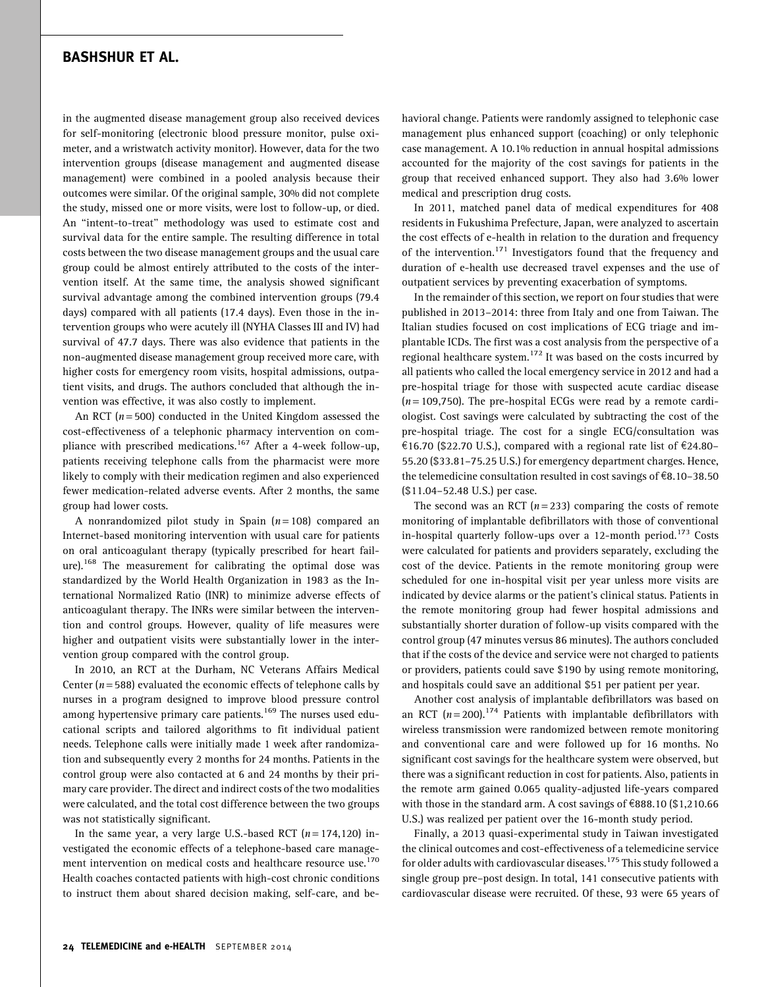in the augmented disease management group also received devices for self-monitoring (electronic blood pressure monitor, pulse oximeter, and a wristwatch activity monitor). However, data for the two intervention groups (disease management and augmented disease management) were combined in a pooled analysis because their outcomes were similar. Of the original sample, 30% did not complete the study, missed one or more visits, were lost to follow-up, or died. An ''intent-to-treat'' methodology was used to estimate cost and survival data for the entire sample. The resulting difference in total costs between the two disease management groups and the usual care group could be almost entirely attributed to the costs of the intervention itself. At the same time, the analysis showed significant survival advantage among the combined intervention groups (79.4 days) compared with all patients (17.4 days). Even those in the intervention groups who were acutely ill (NYHA Classes III and IV) had survival of 47.7 days. There was also evidence that patients in the non-augmented disease management group received more care, with higher costs for emergency room visits, hospital admissions, outpatient visits, and drugs. The authors concluded that although the invention was effective, it was also costly to implement.

An RCT ( $n = 500$ ) conducted in the United Kingdom assessed the cost-effectiveness of a telephonic pharmacy intervention on compliance with prescribed medications.<sup>167</sup> After a 4-week follow-up, patients receiving telephone calls from the pharmacist were more likely to comply with their medication regimen and also experienced fewer medication-related adverse events. After 2 months, the same group had lower costs.

A nonrandomized pilot study in Spain  $(n = 108)$  compared an Internet-based monitoring intervention with usual care for patients on oral anticoagulant therapy (typically prescribed for heart failure).<sup>168</sup> The measurement for calibrating the optimal dose was standardized by the World Health Organization in 1983 as the International Normalized Ratio (INR) to minimize adverse effects of anticoagulant therapy. The INRs were similar between the intervention and control groups. However, quality of life measures were higher and outpatient visits were substantially lower in the intervention group compared with the control group.

In 2010, an RCT at the Durham, NC Veterans Affairs Medical Center ( $n = 588$ ) evaluated the economic effects of telephone calls by nurses in a program designed to improve blood pressure control among hypertensive primary care patients.<sup>169</sup> The nurses used educational scripts and tailored algorithms to fit individual patient needs. Telephone calls were initially made 1 week after randomization and subsequently every 2 months for 24 months. Patients in the control group were also contacted at 6 and 24 months by their primary care provider. The direct and indirect costs of the two modalities were calculated, and the total cost difference between the two groups was not statistically significant.

In the same year, a very large U.S.-based RCT  $(n = 174,120)$  investigated the economic effects of a telephone-based care management intervention on medical costs and healthcare resource use.<sup>170</sup> Health coaches contacted patients with high-cost chronic conditions to instruct them about shared decision making, self-care, and behavioral change. Patients were randomly assigned to telephonic case management plus enhanced support (coaching) or only telephonic case management. A 10.1% reduction in annual hospital admissions accounted for the majority of the cost savings for patients in the group that received enhanced support. They also had 3.6% lower medical and prescription drug costs.

In 2011, matched panel data of medical expenditures for 408 residents in Fukushima Prefecture, Japan, were analyzed to ascertain the cost effects of e-health in relation to the duration and frequency of the intervention.<sup>171</sup> Investigators found that the frequency and duration of e-health use decreased travel expenses and the use of outpatient services by preventing exacerbation of symptoms.

In the remainder of this section, we report on four studies that were published in 2013–2014: three from Italy and one from Taiwan. The Italian studies focused on cost implications of ECG triage and implantable ICDs. The first was a cost analysis from the perspective of a regional healthcare system.<sup>172</sup> It was based on the costs incurred by all patients who called the local emergency service in 2012 and had a pre-hospital triage for those with suspected acute cardiac disease  $(n = 109, 750)$ . The pre-hospital ECGs were read by a remote cardiologist. Cost savings were calculated by subtracting the cost of the pre-hospital triage. The cost for a single ECG/consultation was €16.70 (\$22.70 U.S.), compared with a regional rate list of €24.80– 55.20 (\$33.81–75.25 U.S.) for emergency department charges. Hence, the telemedicine consultation resulted in cost savings of  $\epsilon$ 8.10–38.50 (\$11.04–52.48 U.S.) per case.

The second was an RCT  $(n=233)$  comparing the costs of remote monitoring of implantable defibrillators with those of conventional in-hospital quarterly follow-ups over a 12-month period.<sup>173</sup> Costs were calculated for patients and providers separately, excluding the cost of the device. Patients in the remote monitoring group were scheduled for one in-hospital visit per year unless more visits are indicated by device alarms or the patient's clinical status. Patients in the remote monitoring group had fewer hospital admissions and substantially shorter duration of follow-up visits compared with the control group (47 minutes versus 86 minutes). The authors concluded that if the costs of the device and service were not charged to patients or providers, patients could save \$190 by using remote monitoring, and hospitals could save an additional \$51 per patient per year.

Another cost analysis of implantable defibrillators was based on an RCT ( $n = 200$ ).<sup>174</sup> Patients with implantable defibrillators with wireless transmission were randomized between remote monitoring and conventional care and were followed up for 16 months. No significant cost savings for the healthcare system were observed, but there was a significant reduction in cost for patients. Also, patients in the remote arm gained 0.065 quality-adjusted life-years compared with those in the standard arm. A cost savings of  $\epsilon$ 888.10 (\$1,210.66 U.S.) was realized per patient over the 16-month study period.

Finally, a 2013 quasi-experimental study in Taiwan investigated the clinical outcomes and cost-effectiveness of a telemedicine service for older adults with cardiovascular diseases.  $^{175}$  This study followed a single group pre–post design. In total, 141 consecutive patients with cardiovascular disease were recruited. Of these, 93 were 65 years of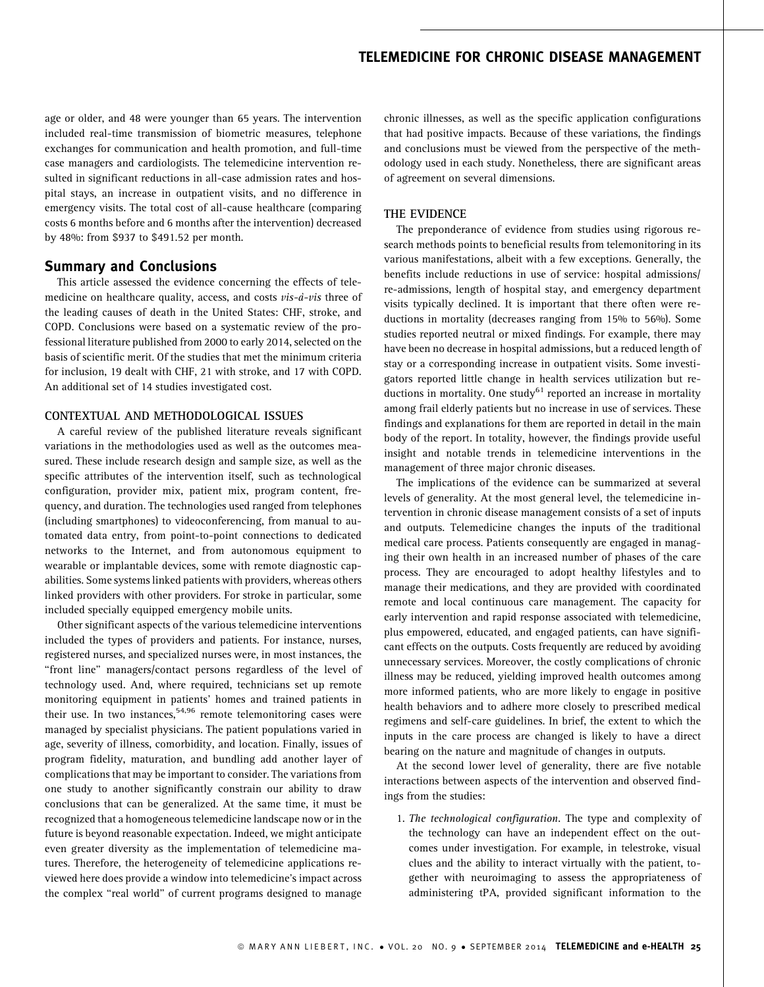age or older, and 48 were younger than 65 years. The intervention included real-time transmission of biometric measures, telephone exchanges for communication and health promotion, and full-time case managers and cardiologists. The telemedicine intervention resulted in significant reductions in all-case admission rates and hospital stays, an increase in outpatient visits, and no difference in emergency visits. The total cost of all-cause healthcare (comparing costs 6 months before and 6 months after the intervention) decreased by 48%: from \$937 to \$491.52 per month.

### Summary and Conclusions

This article assessed the evidence concerning the effects of telemedicine on healthcare quality, access, and costs  $vis-\dot{a}-vis$  three of the leading causes of death in the United States: CHF, stroke, and COPD. Conclusions were based on a systematic review of the professional literature published from 2000 to early 2014, selected on the basis of scientific merit. Of the studies that met the minimum criteria for inclusion, 19 dealt with CHF, 21 with stroke, and 17 with COPD. An additional set of 14 studies investigated cost.

#### CONTEXTUAL AND METHODOLOGICAL ISSUES

A careful review of the published literature reveals significant variations in the methodologies used as well as the outcomes measured. These include research design and sample size, as well as the specific attributes of the intervention itself, such as technological configuration, provider mix, patient mix, program content, frequency, and duration. The technologies used ranged from telephones (including smartphones) to videoconferencing, from manual to automated data entry, from point-to-point connections to dedicated networks to the Internet, and from autonomous equipment to wearable or implantable devices, some with remote diagnostic capabilities. Some systems linked patients with providers, whereas others linked providers with other providers. For stroke in particular, some included specially equipped emergency mobile units.

Other significant aspects of the various telemedicine interventions included the types of providers and patients. For instance, nurses, registered nurses, and specialized nurses were, in most instances, the "front line" managers/contact persons regardless of the level of technology used. And, where required, technicians set up remote monitoring equipment in patients' homes and trained patients in their use. In two instances,  $54,96$  remote telemonitoring cases were managed by specialist physicians. The patient populations varied in age, severity of illness, comorbidity, and location. Finally, issues of program fidelity, maturation, and bundling add another layer of complications that may be important to consider. The variations from one study to another significantly constrain our ability to draw conclusions that can be generalized. At the same time, it must be recognized that a homogeneous telemedicine landscape now or in the future is beyond reasonable expectation. Indeed, we might anticipate even greater diversity as the implementation of telemedicine matures. Therefore, the heterogeneity of telemedicine applications reviewed here does provide a window into telemedicine's impact across the complex ''real world'' of current programs designed to manage chronic illnesses, as well as the specific application configurations that had positive impacts. Because of these variations, the findings and conclusions must be viewed from the perspective of the methodology used in each study. Nonetheless, there are significant areas of agreement on several dimensions.

#### THE EVIDENCE

The preponderance of evidence from studies using rigorous research methods points to beneficial results from telemonitoring in its various manifestations, albeit with a few exceptions. Generally, the benefits include reductions in use of service: hospital admissions/ re-admissions, length of hospital stay, and emergency department visits typically declined. It is important that there often were reductions in mortality (decreases ranging from 15% to 56%). Some studies reported neutral or mixed findings. For example, there may have been no decrease in hospital admissions, but a reduced length of stay or a corresponding increase in outpatient visits. Some investigators reported little change in health services utilization but reductions in mortality. One study<sup>61</sup> reported an increase in mortality among frail elderly patients but no increase in use of services. These findings and explanations for them are reported in detail in the main body of the report. In totality, however, the findings provide useful insight and notable trends in telemedicine interventions in the management of three major chronic diseases.

The implications of the evidence can be summarized at several levels of generality. At the most general level, the telemedicine intervention in chronic disease management consists of a set of inputs and outputs. Telemedicine changes the inputs of the traditional medical care process. Patients consequently are engaged in managing their own health in an increased number of phases of the care process. They are encouraged to adopt healthy lifestyles and to manage their medications, and they are provided with coordinated remote and local continuous care management. The capacity for early intervention and rapid response associated with telemedicine, plus empowered, educated, and engaged patients, can have significant effects on the outputs. Costs frequently are reduced by avoiding unnecessary services. Moreover, the costly complications of chronic illness may be reduced, yielding improved health outcomes among more informed patients, who are more likely to engage in positive health behaviors and to adhere more closely to prescribed medical regimens and self-care guidelines. In brief, the extent to which the inputs in the care process are changed is likely to have a direct bearing on the nature and magnitude of changes in outputs.

At the second lower level of generality, there are five notable interactions between aspects of the intervention and observed findings from the studies:

1. The technological configuration. The type and complexity of the technology can have an independent effect on the outcomes under investigation. For example, in telestroke, visual clues and the ability to interact virtually with the patient, together with neuroimaging to assess the appropriateness of administering tPA, provided significant information to the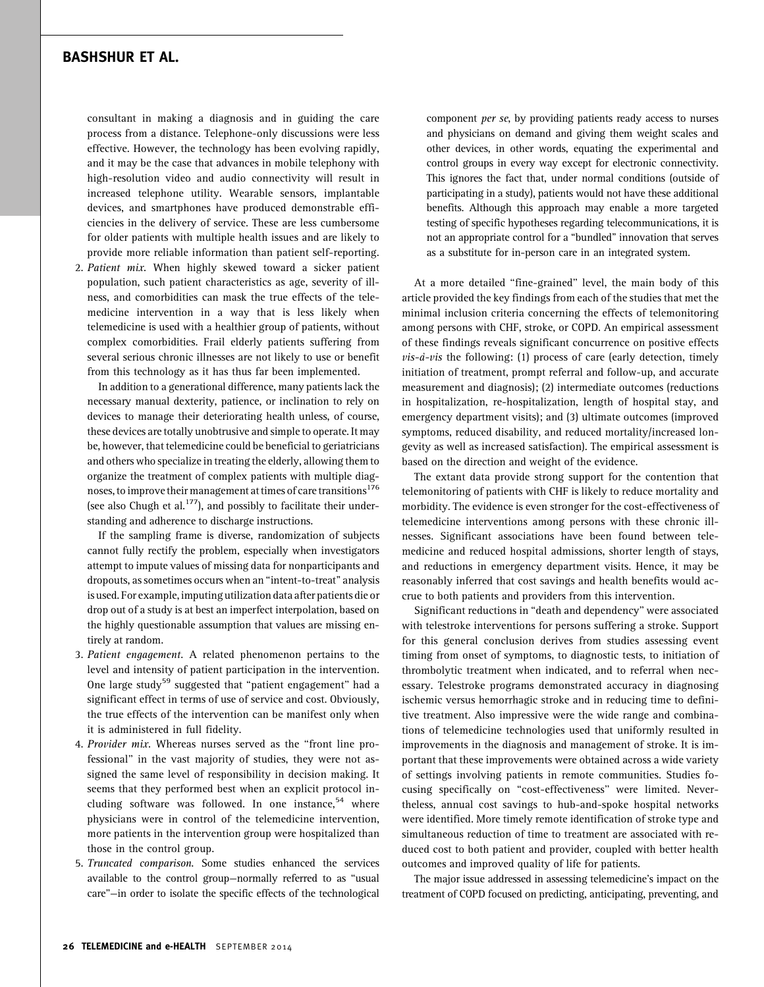consultant in making a diagnosis and in guiding the care process from a distance. Telephone-only discussions were less effective. However, the technology has been evolving rapidly, and it may be the case that advances in mobile telephony with high-resolution video and audio connectivity will result in increased telephone utility. Wearable sensors, implantable devices, and smartphones have produced demonstrable efficiencies in the delivery of service. These are less cumbersome for older patients with multiple health issues and are likely to provide more reliable information than patient self-reporting.

2. Patient mix. When highly skewed toward a sicker patient population, such patient characteristics as age, severity of illness, and comorbidities can mask the true effects of the telemedicine intervention in a way that is less likely when telemedicine is used with a healthier group of patients, without complex comorbidities. Frail elderly patients suffering from several serious chronic illnesses are not likely to use or benefit from this technology as it has thus far been implemented.

In addition to a generational difference, many patients lack the necessary manual dexterity, patience, or inclination to rely on devices to manage their deteriorating health unless, of course, these devices are totally unobtrusive and simple to operate. It may be, however, that telemedicine could be beneficial to geriatricians and others who specialize in treating the elderly, allowing them to organize the treatment of complex patients with multiple diagnoses, to improve their management at times of care transitions<sup>176</sup> (see also Chugh et al. $177$ ), and possibly to facilitate their understanding and adherence to discharge instructions.

If the sampling frame is diverse, randomization of subjects cannot fully rectify the problem, especially when investigators attempt to impute values of missing data for nonparticipants and dropouts, as sometimes occurs when an ''intent-to-treat'' analysis is used. For example, imputing utilization data after patients die or drop out of a study is at best an imperfect interpolation, based on the highly questionable assumption that values are missing entirely at random.

- 3. Patient engagement. A related phenomenon pertains to the level and intensity of patient participation in the intervention. One large study<sup>59</sup> suggested that "patient engagement" had a significant effect in terms of use of service and cost. Obviously, the true effects of the intervention can be manifest only when it is administered in full fidelity.
- 4. Provider mix. Whereas nurses served as the "front line professional'' in the vast majority of studies, they were not assigned the same level of responsibility in decision making. It seems that they performed best when an explicit protocol including software was followed. In one instance,  $54$  where physicians were in control of the telemedicine intervention, more patients in the intervention group were hospitalized than those in the control group.
- 5. Truncated comparison. Some studies enhanced the services available to the control group—normally referred to as ''usual care''—in order to isolate the specific effects of the technological

component per se, by providing patients ready access to nurses and physicians on demand and giving them weight scales and other devices, in other words, equating the experimental and control groups in every way except for electronic connectivity. This ignores the fact that, under normal conditions (outside of participating in a study), patients would not have these additional benefits. Although this approach may enable a more targeted testing of specific hypotheses regarding telecommunications, it is not an appropriate control for a ''bundled'' innovation that serves as a substitute for in-person care in an integrated system.

At a more detailed ''fine-grained'' level, the main body of this article provided the key findings from each of the studies that met the minimal inclusion criteria concerning the effects of telemonitoring among persons with CHF, stroke, or COPD. An empirical assessment of these findings reveals significant concurrence on positive effects  $vis-\dot{a}-vis$  the following: (1) process of care (early detection, timely initiation of treatment, prompt referral and follow-up, and accurate measurement and diagnosis); (2) intermediate outcomes (reductions in hospitalization, re-hospitalization, length of hospital stay, and emergency department visits); and (3) ultimate outcomes (improved symptoms, reduced disability, and reduced mortality/increased longevity as well as increased satisfaction). The empirical assessment is based on the direction and weight of the evidence.

The extant data provide strong support for the contention that telemonitoring of patients with CHF is likely to reduce mortality and morbidity. The evidence is even stronger for the cost-effectiveness of telemedicine interventions among persons with these chronic illnesses. Significant associations have been found between telemedicine and reduced hospital admissions, shorter length of stays, and reductions in emergency department visits. Hence, it may be reasonably inferred that cost savings and health benefits would accrue to both patients and providers from this intervention.

Significant reductions in ''death and dependency'' were associated with telestroke interventions for persons suffering a stroke. Support for this general conclusion derives from studies assessing event timing from onset of symptoms, to diagnostic tests, to initiation of thrombolytic treatment when indicated, and to referral when necessary. Telestroke programs demonstrated accuracy in diagnosing ischemic versus hemorrhagic stroke and in reducing time to definitive treatment. Also impressive were the wide range and combinations of telemedicine technologies used that uniformly resulted in improvements in the diagnosis and management of stroke. It is important that these improvements were obtained across a wide variety of settings involving patients in remote communities. Studies focusing specifically on ''cost-effectiveness'' were limited. Nevertheless, annual cost savings to hub-and-spoke hospital networks were identified. More timely remote identification of stroke type and simultaneous reduction of time to treatment are associated with reduced cost to both patient and provider, coupled with better health outcomes and improved quality of life for patients.

The major issue addressed in assessing telemedicine's impact on the treatment of COPD focused on predicting, anticipating, preventing, and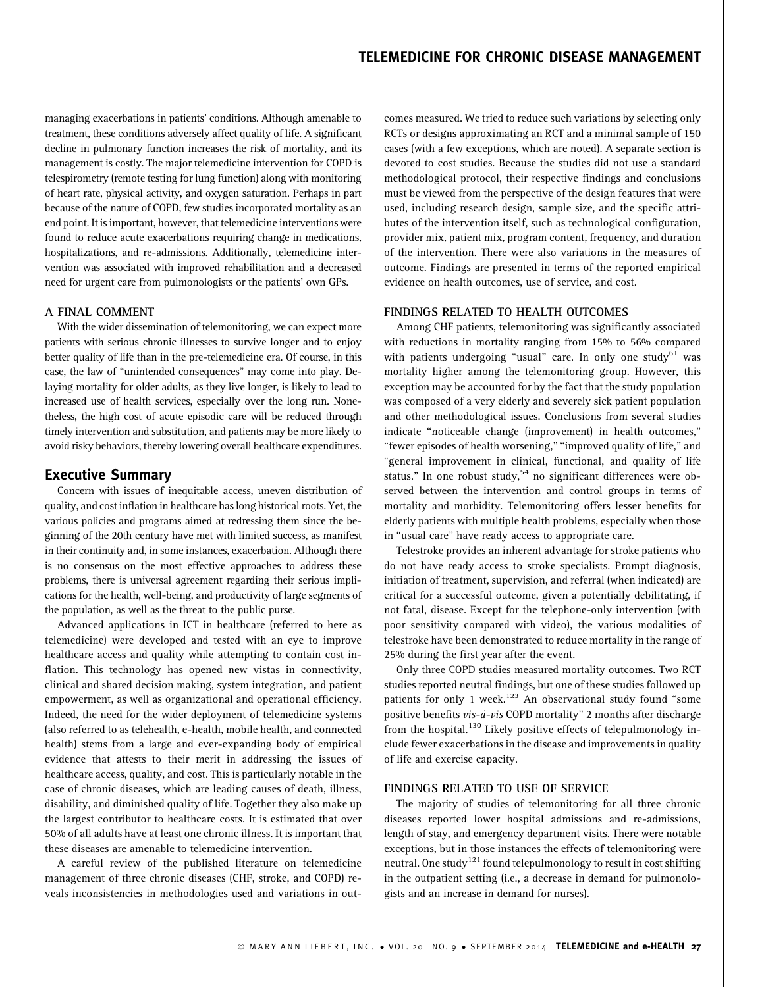managing exacerbations in patients' conditions. Although amenable to treatment, these conditions adversely affect quality of life. A significant decline in pulmonary function increases the risk of mortality, and its management is costly. The major telemedicine intervention for COPD is telespirometry (remote testing for lung function) along with monitoring of heart rate, physical activity, and oxygen saturation. Perhaps in part because of the nature of COPD, few studies incorporated mortality as an end point. It is important, however, that telemedicine interventions were found to reduce acute exacerbations requiring change in medications, hospitalizations, and re-admissions. Additionally, telemedicine intervention was associated with improved rehabilitation and a decreased need for urgent care from pulmonologists or the patients' own GPs.

#### A FINAL COMMENT

With the wider dissemination of telemonitoring, we can expect more patients with serious chronic illnesses to survive longer and to enjoy better quality of life than in the pre-telemedicine era. Of course, in this case, the law of ''unintended consequences'' may come into play. Delaying mortality for older adults, as they live longer, is likely to lead to increased use of health services, especially over the long run. Nonetheless, the high cost of acute episodic care will be reduced through timely intervention and substitution, and patients may be more likely to avoid risky behaviors, thereby lowering overall healthcare expenditures.

#### Executive Summary

Concern with issues of inequitable access, uneven distribution of quality, and cost inflation in healthcare has long historical roots. Yet, the various policies and programs aimed at redressing them since the beginning of the 20th century have met with limited success, as manifest in their continuity and, in some instances, exacerbation. Although there is no consensus on the most effective approaches to address these problems, there is universal agreement regarding their serious implications for the health, well-being, and productivity of large segments of the population, as well as the threat to the public purse.

Advanced applications in ICT in healthcare (referred to here as telemedicine) were developed and tested with an eye to improve healthcare access and quality while attempting to contain cost inflation. This technology has opened new vistas in connectivity, clinical and shared decision making, system integration, and patient empowerment, as well as organizational and operational efficiency. Indeed, the need for the wider deployment of telemedicine systems (also referred to as telehealth, e-health, mobile health, and connected health) stems from a large and ever-expanding body of empirical evidence that attests to their merit in addressing the issues of healthcare access, quality, and cost. This is particularly notable in the case of chronic diseases, which are leading causes of death, illness, disability, and diminished quality of life. Together they also make up the largest contributor to healthcare costs. It is estimated that over 50% of all adults have at least one chronic illness. It is important that these diseases are amenable to telemedicine intervention.

A careful review of the published literature on telemedicine management of three chronic diseases (CHF, stroke, and COPD) reveals inconsistencies in methodologies used and variations in outcomes measured. We tried to reduce such variations by selecting only RCTs or designs approximating an RCT and a minimal sample of 150 cases (with a few exceptions, which are noted). A separate section is devoted to cost studies. Because the studies did not use a standard methodological protocol, their respective findings and conclusions must be viewed from the perspective of the design features that were used, including research design, sample size, and the specific attributes of the intervention itself, such as technological configuration, provider mix, patient mix, program content, frequency, and duration of the intervention. There were also variations in the measures of outcome. Findings are presented in terms of the reported empirical evidence on health outcomes, use of service, and cost.

#### FINDINGS RELATED TO HEALTH OUTCOMES

Among CHF patients, telemonitoring was significantly associated with reductions in mortality ranging from 15% to 56% compared with patients undergoing "usual" care. In only one study<sup>61</sup> was mortality higher among the telemonitoring group. However, this exception may be accounted for by the fact that the study population was composed of a very elderly and severely sick patient population and other methodological issues. Conclusions from several studies indicate ''noticeable change (improvement) in health outcomes,'' "fewer episodes of health worsening," "improved quality of life," and ''general improvement in clinical, functional, and quality of life status." In one robust study,  $54$  no significant differences were observed between the intervention and control groups in terms of mortality and morbidity. Telemonitoring offers lesser benefits for elderly patients with multiple health problems, especially when those in ''usual care'' have ready access to appropriate care.

Telestroke provides an inherent advantage for stroke patients who do not have ready access to stroke specialists. Prompt diagnosis, initiation of treatment, supervision, and referral (when indicated) are critical for a successful outcome, given a potentially debilitating, if not fatal, disease. Except for the telephone-only intervention (with poor sensitivity compared with video), the various modalities of telestroke have been demonstrated to reduce mortality in the range of 25% during the first year after the event.

Only three COPD studies measured mortality outcomes. Two RCT studies reported neutral findings, but one of these studies followed up patients for only 1 week.<sup>123</sup> An observational study found "some positive benefits *vis-à-vis* COPD mortality" 2 months after discharge from the hospital.<sup>130</sup> Likely positive effects of telepulmonology include fewer exacerbations in the disease and improvements in quality of life and exercise capacity.

#### FINDINGS RELATED TO USE OF SERVICE

The majority of studies of telemonitoring for all three chronic diseases reported lower hospital admissions and re-admissions, length of stay, and emergency department visits. There were notable exceptions, but in those instances the effects of telemonitoring were neutral. One study $^{121}$  found telepulmonology to result in cost shifting in the outpatient setting (i.e., a decrease in demand for pulmonologists and an increase in demand for nurses).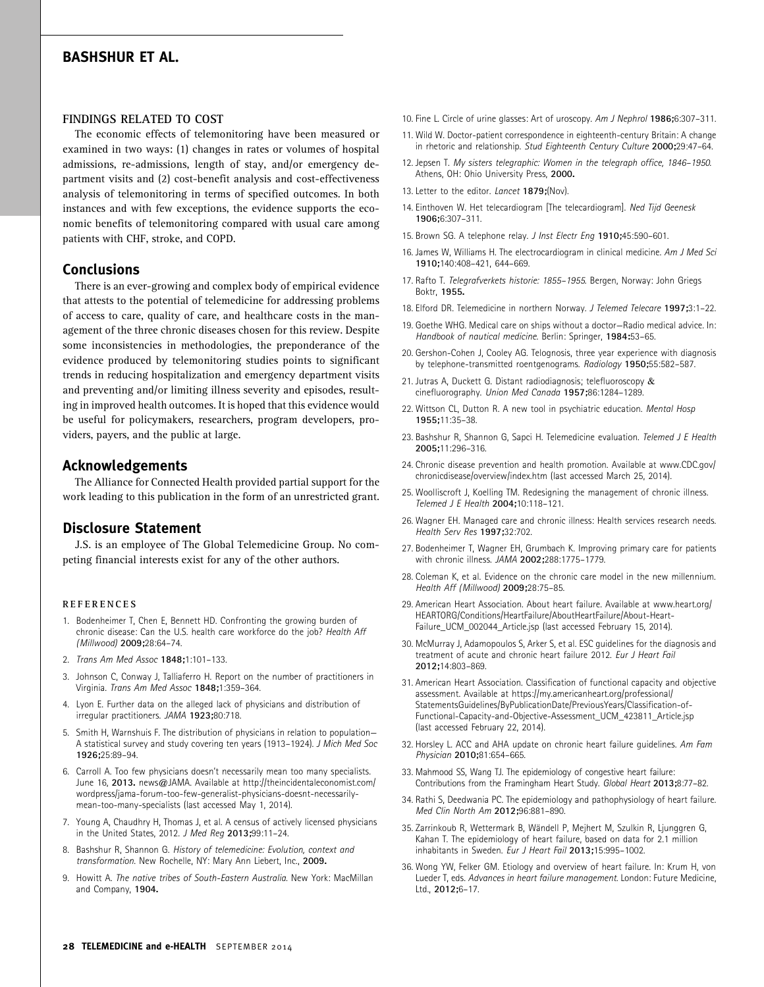#### FINDINGS RELATED TO COST

The economic effects of telemonitoring have been measured or examined in two ways: (1) changes in rates or volumes of hospital admissions, re-admissions, length of stay, and/or emergency department visits and (2) cost-benefit analysis and cost-effectiveness analysis of telemonitoring in terms of specified outcomes. In both instances and with few exceptions, the evidence supports the economic benefits of telemonitoring compared with usual care among patients with CHF, stroke, and COPD.

### Conclusions

There is an ever-growing and complex body of empirical evidence that attests to the potential of telemedicine for addressing problems of access to care, quality of care, and healthcare costs in the management of the three chronic diseases chosen for this review. Despite some inconsistencies in methodologies, the preponderance of the evidence produced by telemonitoring studies points to significant trends in reducing hospitalization and emergency department visits and preventing and/or limiting illness severity and episodes, resulting in improved health outcomes. It is hoped that this evidence would be useful for policymakers, researchers, program developers, providers, payers, and the public at large.

### Acknowledgements

The Alliance for Connected Health provided partial support for the work leading to this publication in the form of an unrestricted grant.

### Disclosure Statement

J.S. is an employee of The Global Telemedicine Group. No competing financial interests exist for any of the other authors.

#### REFERENCES

- 1. Bodenheimer T, Chen E, Bennett HD. Confronting the growing burden of chronic disease: Can the U.S. health care workforce do the job? Health Aff (Millwood) 2009;28:64–74.
- 2. Trans Am Med Assoc 1848;1:101–133.
- 3. Johnson C, Conway J, Talliaferro H. Report on the number of practitioners in Virginia. Trans Am Med Assoc 1848;1:359–364.
- 4. Lyon E. Further data on the alleged lack of physicians and distribution of irregular practitioners. JAMA 1923;80:718.
- 5. Smith H, Warnshuis F. The distribution of physicians in relation to population— A statistical survey and study covering ten years (1913–1924). J Mich Med Soc 1926;25:89–94.
- 6. Carroll A. Too few physicians doesn't necessarily mean too many specialists. June 16, 2013. news@JAMA. Available at http://theincidentaleconomist.com/ wordpress/jama-forum-too-few-generalist-physicians-doesnt-necessarilymean-too-many-specialists (last accessed May 1, 2014).
- 7. Young A, Chaudhry H, Thomas J, et al. A census of actively licensed physicians in the United States, 2012. J Med Reg 2013;99:11–24.
- 8. Bashshur R, Shannon G. History of telemedicine: Evolution, context and transformation. New Rochelle, NY: Mary Ann Liebert, Inc., 2009.
- 9. Howitt A. The native tribes of South-Eastern Australia. New York: MacMillan and Company, 1904.
- 10. Fine L. Circle of urine glasses: Art of uroscopy. Am J Nephrol 1986;6:307-311.
- 11. Wild W. Doctor-patient correspondence in eighteenth-century Britain: A change in rhetoric and relationship. Stud Eighteenth Century Culture 2000;29:47-64.
- 12. Jepsen T. My sisters telegraphic: Women in the telegraph office, 1846–1950. Athens, OH: Ohio University Press, 2000.
- 13. Letter to the editor. Lancet 1879;(Nov).
- 14. Einthoven W. Het telecardiogram [The telecardiogram]. Ned Tijd Geenesk 1906;6:307–311.
- 15. Brown SG. A telephone relay. J Inst Electr Eng 1910;45:590–601.
- 16. James W, Williams H. The electrocardiogram in clinical medicine. Am J Med Sci 1910;140:408–421, 644–669.
- 17. Rafto T. Telegrafverkets historie: 1855–1955. Bergen, Norway: John Griegs Boktr, 1955.
- 18. Elford DR. Telemedicine in northern Norway. J Telemed Telecare 1997;3:1–22.
- 19. Goethe WHG. Medical care on ships without a doctor—Radio medical advice. In: Handbook of nautical medicine. Berlin: Springer, 1984:53–65.
- 20. Gershon-Cohen J, Cooley AG. Telognosis, three year experience with diagnosis by telephone-transmitted roentgenograms. Radiology 1950;55:582–587.
- 21. Jutras A, Duckett G. Distant radiodiagnosis; telefluoroscopy & cinefluorography. Union Med Canada 1957;86:1284–1289.
- 22. Wittson CL, Dutton R. A new tool in psychiatric education. Mental Hosp 1955;11:35–38.
- 23. Bashshur R, Shannon G, Sapci H. Telemedicine evaluation. Telemed J E Health 2005;11:296–316.
- 24. Chronic disease prevention and health promotion. Available at www.CDC.gov/ chronicdisease/overview/index.htm (last accessed March 25, 2014).
- 25. Woolliscroft J, Koelling TM. Redesigning the management of chronic illness. Telemed J E Health 2004;10:118–121.
- 26. Wagner EH. Managed care and chronic illness: Health services research needs. Health Serv Res 1997;32:702.
- 27. Bodenheimer T, Wagner EH, Grumbach K. Improving primary care for patients with chronic illness. JAMA 2002;288:1775–1779.
- 28. Coleman K, et al. Evidence on the chronic care model in the new millennium. Health Aff (Millwood) 2009;28:75–85.
- 29. American Heart Association. About heart failure. Available at www.heart.org/ HEARTORG/Conditions/HeartFailure/AboutHeartFailure/About-Heart-Failure\_UCM\_002044\_Article.jsp (last accessed February 15, 2014).
- 30. McMurray J, Adamopoulos S, Arker S, et al. ESC guidelines for the diagnosis and treatment of acute and chronic heart failure 2012. Eur J Heart Fail 2012;14:803–869.
- 31. American Heart Association. Classification of functional capacity and objective assessment. Available at https://my.americanheart.org/professional/ StatementsGuidelines/ByPublicationDate/PreviousYears/Classification-of-Functional-Capacity-and-Objective-Assessment\_UCM\_423811\_Article.jsp (last accessed February 22, 2014).
- 32. Horsley L. ACC and AHA update on chronic heart failure quidelines. Am Fam Physician 2010;81:654–665.
- 33. Mahmood SS, Wang TJ. The epidemiology of congestive heart failure: Contributions from the Framingham Heart Study. Global Heart 2013;8:77–82.
- 34. Rathi S, Deedwania PC. The epidemiology and pathophysiology of heart failure. Med Clin North Am 2012;96:881–890.
- 35. Zarrinkoub R, Wettermark B, Wändell P, Mejhert M, Szulkin R, Ljunggren G, Kahan T. The epidemiology of heart failure, based on data for 2.1 million inhabitants in Sweden. Eur J Heart Fail 2013;15:995–1002.
- 36. Wong YW, Felker GM. Etiology and overview of heart failure. In: Krum H, von Lueder T, eds. Advances in heart failure management. London: Future Medicine, Ltd., 2012;6–17.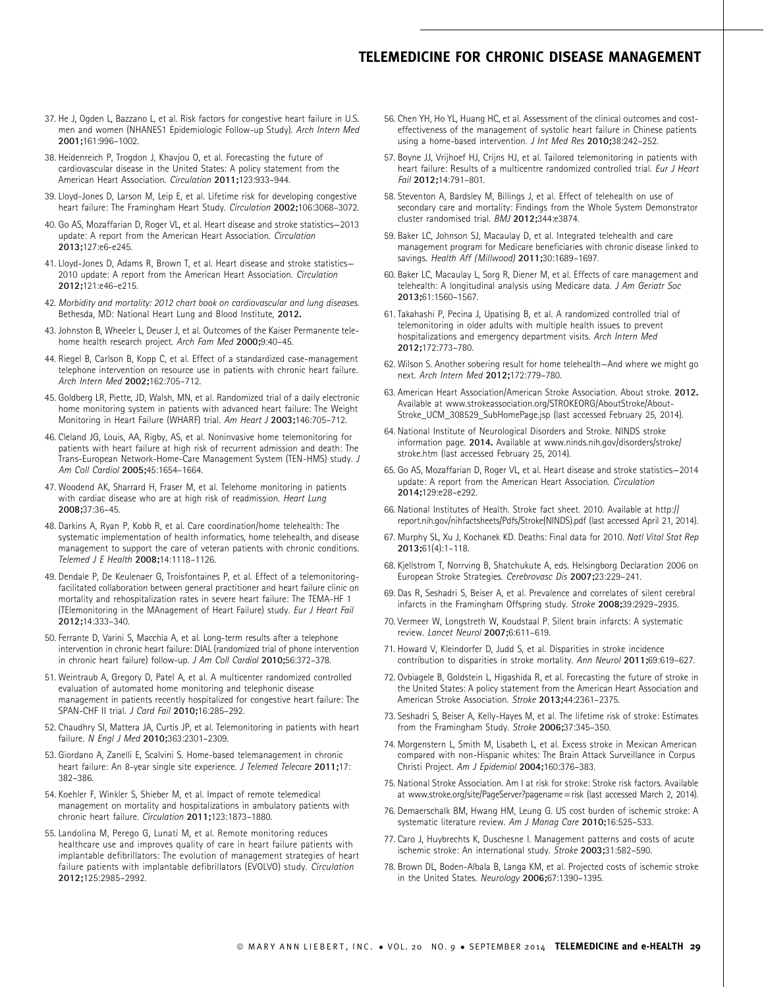- 37. He J, Ogden L, Bazzano L, et al. Risk factors for congestive heart failure in U.S. men and women (NHANES1 Epidemiologic Follow-up Study). Arch Intern Med 2001;161:996–1002.
- 38. Heidenreich P, Trogdon J, Khavjou O, et al. Forecasting the future of cardiovascular disease in the United States: A policy statement from the American Heart Association. Circulation 2011;123:933–944.
- 39. Lloyd-Jones D, Larson M, Leip E, et al. Lifetime risk for developing congestive heart failure: The Framingham Heart Study. Circulation 2002;106:3068-3072.
- 40. Go AS, Mozaffarian D, Roger VL, et al. Heart disease and stroke statistics—2013 update: A report from the American Heart Association. Circulation 2013;127:e6-e245.
- 41. Lloyd-Jones D, Adams R, Brown T, et al. Heart disease and stroke statistics— 2010 update: A report from the American Heart Association. Circulation 2012;121:e46–e215.
- 42. Morbidity and mortality: 2012 chart book on cardiovascular and lung diseases. Bethesda, MD: National Heart Lung and Blood Institute, 2012.
- 43. Johnston B, Wheeler L, Deuser J, et al. Outcomes of the Kaiser Permanente telehome health research project. Arch Fam Med 2000;9:40-45.
- 44. Riegel B, Carlson B, Kopp C, et al. Effect of a standardized case-management telephone intervention on resource use in patients with chronic heart failure. Arch Intern Med 2002;162:705–712.
- 45. Goldberg LR, Piette, JD, Walsh, MN, et al. Randomized trial of a daily electronic home monitoring system in patients with advanced heart failure: The Weight Monitoring in Heart Failure (WHARF) trial. Am Heart J 2003;146:705–712.
- 46. Cleland JG, Louis, AA, Rigby, AS, et al. Noninvasive home telemonitoring for patients with heart failure at high risk of recurrent admission and death: The Trans-European Network-Home-Care Management System (TEN-HMS) study. J Am Coll Cardiol 2005;45:1654–1664.
- 47. Woodend AK, Sharrard H, Fraser M, et al. Telehome monitoring in patients with cardiac disease who are at high risk of readmission. Heart Lung 2008;37:36–45.
- 48. Darkins A, Ryan P, Kobb R, et al. Care coordination/home telehealth: The systematic implementation of health informatics, home telehealth, and disease management to support the care of veteran patients with chronic conditions. Telemed J E Health 2008;14:1118–1126.
- 49. Dendale P, De Keulenaer G, Troisfontaines P, et al. Effect of a telemonitoringfacilitated collaboration between general practitioner and heart failure clinic on mortality and rehospitalization rates in severe heart failure: The TEMA-HF 1 (TElemonitoring in the MAnagement of Heart Failure) study. Eur J Heart Fail 2012;14:333–340.
- 50. Ferrante D, Varini S, Macchia A, et al. Long-term results after a telephone intervention in chronic heart failure: DIAL (randomized trial of phone intervention in chronic heart failure) follow-up. J Am Coll Cardiol 2010;56:372–378.
- 51. Weintraub A, Gregory D, Patel A, et al. A multicenter randomized controlled evaluation of automated home monitoring and telephonic disease management in patients recently hospitalized for congestive heart failure: The SPAN-CHF II trial. J Card Fail 2010;16:285-292.
- 52. Chaudhry SI, Mattera JA, Curtis JP, et al. Telemonitoring in patients with heart failure. N Engl J Med 2010;363:2301–2309.
- 53. Giordano A, Zanelli E, Scalvini S. Home-based telemanagement in chronic heart failure: An 8-year single site experience. J Telemed Telecare 2011;17: 382–386.
- 54. Koehler F, Winkler S, Shieber M, et al. Impact of remote telemedical management on mortality and hospitalizations in ambulatory patients with chronic heart failure. Circulation 2011;123:1873–1880.
- 55. Landolina M, Perego G, Lunati M, et al. Remote monitoring reduces healthcare use and improves quality of care in heart failure patients with implantable defibrillators: The evolution of management strategies of heart failure patients with implantable defibrillators (EVOLVO) study. Circulation 2012;125:2985–2992.
- 56. Chen YH, Ho YL, Huang HC, et al. Assessment of the clinical outcomes and costeffectiveness of the management of systolic heart failure in Chinese patients using a home-based intervention. J Int Med Res 2010;38:242–252.
- 57. Boyne JJ, Vrijhoef HJ, Crijns HJ, et al. Tailored telemonitoring in patients with heart failure: Results of a multicentre randomized controlled trial. Eur J Heart Fail 2012;14:791–801.
- 58. Steventon A, Bardsley M, Billings J, et al. Effect of telehealth on use of secondary care and mortality: Findings from the Whole System Demonstrator cluster randomised trial. BMJ 2012;344:e3874.
- 59. Baker LC, Johnson SJ, Macaulay D, et al. Integrated telehealth and care management program for Medicare beneficiaries with chronic disease linked to savings. Health Aff (Millwood) 2011;30:1689–1697.
- 60. Baker LC, Macaulay L, Sorg R, Diener M, et al. Effects of care management and telehealth: A longitudinal analysis using Medicare data. J Am Geriatr Soc 2013;61:1560–1567.
- 61. Takahashi P, Pecina J, Upatising B, et al. A randomized controlled trial of telemonitoring in older adults with multiple health issues to prevent hospitalizations and emergency department visits. Arch Intern Med 2012;172:773–780.
- 62. Wilson S. Another sobering result for home telehealth—And where we might go next. Arch Intern Med 2012;172:779–780.
- 63. American Heart Association/American Stroke Association. About stroke. 2012. Available at www.strokeassociation.org/STROKEORG/AboutStroke/About-Stroke\_UCM\_308529\_SubHomePage.jsp (last accessed February 25, 2014).
- 64. National Institute of Neurological Disorders and Stroke. NINDS stroke information page. 2014. Available at www.ninds.nih.gov/disorders/stroke/ stroke.htm (last accessed February 25, 2014).
- 65. Go AS, Mozaffarian D, Roger VL, et al. Heart disease and stroke statistics—2014 update: A report from the American Heart Association. Circulation 2014;129:e28–e292.
- 66. National Institutes of Health. Stroke fact sheet. 2010. Available at http:// report.nih.gov/nihfactsheets/Pdfs/Stroke(NINDS).pdf (last accessed April 21, 2014).
- 67. Murphy SL, Xu J, Kochanek KD. Deaths: Final data for 2010. Natl Vital Stat Rep 2013;61(4):1–118.
- 68. Kjellstrom T, Norrving B, Shatchukute A, eds. Helsingborg Declaration 2006 on European Stroke Strategies. Cerebrovasc Dis 2007;23:229–241.
- 69. Das R, Seshadri S, Beiser A, et al. Prevalence and correlates of silent cerebral infarcts in the Framingham Offspring study. Stroke 2008;39:2929–2935.
- 70. Vermeer W, Longstreth W, Koudstaal P. Silent brain infarcts: A systematic review. Lancet Neurol 2007;6:611–619.
- 71. Howard V, Kleindorfer D, Judd S, et al. Disparities in stroke incidence contribution to disparities in stroke mortality. Ann Neurol 2011;69:619–627.
- 72. Ovbiagele B, Goldstein L, Higashida R, et al. Forecasting the future of stroke in the United States: A policy statement from the American Heart Association and American Stroke Association. Stroke 2013;44:2361–2375.
- 73. Seshadri S, Beiser A, Kelly-Hayes M, et al. The lifetime risk of stroke: Estimates from the Framingham Study. Stroke 2006;37:345–350.
- 74. Morgenstern L, Smith M, Lisabeth L, et al. Excess stroke in Mexican American compared with non-Hispanic whites: The Brain Attack Surveillance in Corpus Christi Project. Am J Epidemiol 2004;160:376–383.
- 75. National Stroke Association. Am I at risk for stroke: Stroke risk factors. Available at www.stroke.org/site/PageServer?pagename = risk (last accessed March 2, 2014).
- 76. Demaerschalk BM, Hwang HM, Leung G. US cost burden of ischemic stroke: A systematic literature review. Am J Manag Care 2010;16:525–533.
- 77. Caro J, Huybrechts K, Duschesne I. Management patterns and costs of acute ischemic stroke: An international study. Stroke 2003;31:582–590.
- 78. Brown DL, Boden-Albala B, Langa KM, et al. Projected costs of ischemic stroke in the United States. Neurology 2006;67:1390–1395.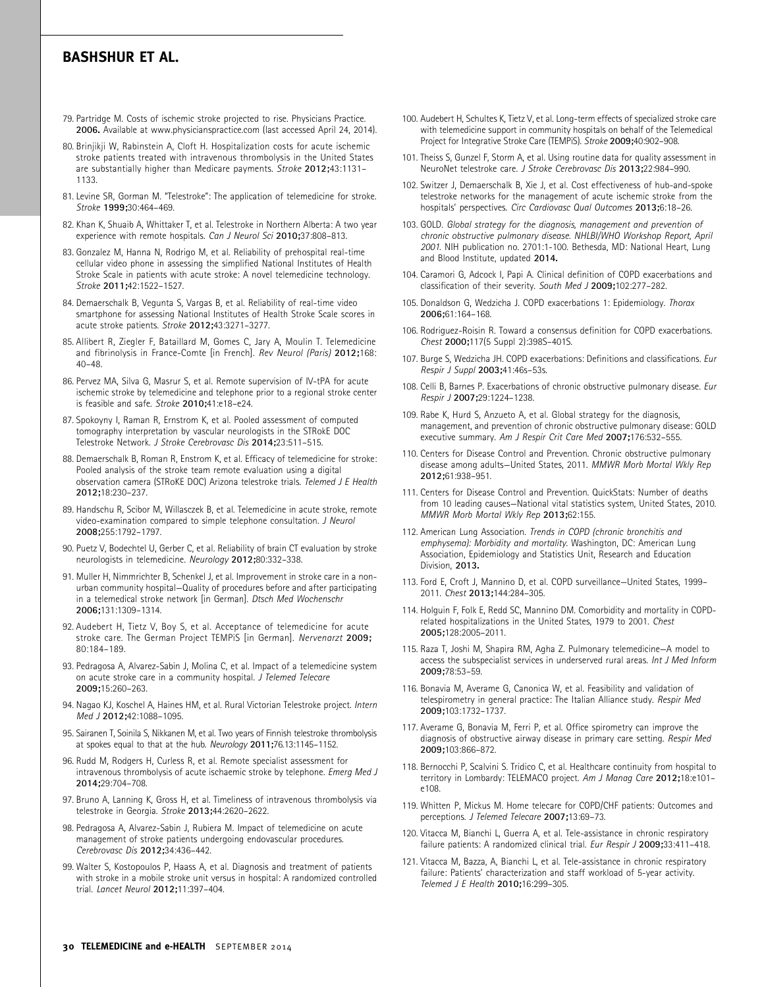- 79. Partridge M. Costs of ischemic stroke projected to rise. Physicians Practice. 2006. Available at www.physicianspractice.com (last accessed April 24, 2014).
- 80. Brinjikji W, Rabinstein A, Cloft H. Hospitalization costs for acute ischemic stroke patients treated with intravenous thrombolysis in the United States are substantially higher than Medicare payments. Stroke 2012;43:1131– 1133.
- 81. Levine SR, Gorman M. ''Telestroke'': The application of telemedicine for stroke. Stroke 1999;30:464–469.
- 82. Khan K, Shuaib A, Whittaker T, et al. Telestroke in Northern Alberta: A two year experience with remote hospitals. Can J Neurol Sci 2010;37:808-813.
- 83. Gonzalez M, Hanna N, Rodrigo M, et al. Reliability of prehospital real-time cellular video phone in assessing the simplified National Institutes of Health Stroke Scale in patients with acute stroke: A novel telemedicine technology. Stroke 2011;42:1522–1527.
- 84. Demaerschalk B, Vegunta S, Vargas B, et al. Reliability of real-time video smartphone for assessing National Institutes of Health Stroke Scale scores in acute stroke patients. Stroke 2012;43:3271–3277.
- 85. Allibert R, Ziegler F, Bataillard M, Gomes C, Jary A, Moulin T. Telemedicine and fibrinolysis in France-Comte [in French]. Rev Neurol (Paris) 2012;168: 40–48.
- 86. Pervez MA, Silva G, Masrur S, et al. Remote supervision of IV-tPA for acute ischemic stroke by telemedicine and telephone prior to a regional stroke center is feasible and safe. Stroke 2010;41:e18–e24.
- 87. Spokoyny I, Raman R, Ernstrom K, et al. Pooled assessment of computed tomography interpretation by vascular neurologists in the STRokE DOC Telestroke Network. J Stroke Cerebrovasc Dis 2014;23:511–515.
- 88. Demaerschalk B, Roman R, Enstrom K, et al. Efficacy of telemedicine for stroke: Pooled analysis of the stroke team remote evaluation using a digital observation camera (STRoKE DOC) Arizona telestroke trials. Telemed J E Health 2012;18:230–237.
- 89. Handschu R, Scibor M, Willasczek B, et al. Telemedicine in acute stroke, remote video-examination compared to simple telephone consultation. J Neurol 2008;255:1792–1797.
- 90. Puetz V, Bodechtel U, Gerber C, et al. Reliability of brain CT evaluation by stroke neurologists in telemedicine. Neurology 2012;80:332–338.
- 91. Muller H, Nimmrichter B, Schenkel J, et al. Improvement in stroke care in a nonurban community hospital—Quality of procedures before and after participating in a telemedical stroke network [in German]. Dtsch Med Wochenschr 2006;131:1309–1314.
- 92. Audebert H, Tietz V, Boy S, et al. Acceptance of telemedicine for acute stroke care. The German Project TEMPIS [in German]. Nervenarzt 2009; 80:184–189.
- 93. Pedragosa A, Alvarez-Sabin J, Molina C, et al. Impact of a telemedicine system on acute stroke care in a community hospital. J Telemed Telecare 2009;15:260–263.
- 94. Nagao KJ, Koschel A, Haines HM, et al. Rural Victorian Telestroke project. Intern Med J 2012;42:1088-1095.
- 95. Sairanen T, Soinila S, Nikkanen M, et al. Two years of Finnish telestroke thrombolysis at spokes equal to that at the hub. Neurology 2011;76.13:1145–1152.
- 96. Rudd M, Rodgers H, Curless R, et al. Remote specialist assessment for intravenous thrombolysis of acute ischaemic stroke by telephone. Emerg Med J 2014;29:704–708.
- 97. Bruno A, Lanning K, Gross H, et al. Timeliness of intravenous thrombolysis via telestroke in Georgia. Stroke 2013;44:2620–2622.
- 98. Pedragosa A, Alvarez-Sabin J, Rubiera M. Impact of telemedicine on acute management of stroke patients undergoing endovascular procedures. Cerebrovasc Dis 2012;34:436–442.
- 99. Walter S, Kostopoulos P, Haass A, et al. Diagnosis and treatment of patients with stroke in a mobile stroke unit versus in hospital: A randomized controlled trial. Lancet Neurol 2012;11:397–404.
- 100. Audebert H, Schultes K, Tietz V, et al. Long-term effects of specialized stroke care with telemedicine support in community hospitals on behalf of the Telemedical Project for Integrative Stroke Care (TEMPiS). Stroke 2009;40:902–908.
- 101. Theiss S, Gunzel F, Storm A, et al. Using routine data for quality assessment in NeuroNet telestroke care. J Stroke Cerebrovasc Dis 2013;22:984–990.
- 102. Switzer J, Demaerschalk B, Xie J, et al. Cost effectiveness of hub-and-spoke telestroke networks for the management of acute ischemic stroke from the hospitals' perspectives. Circ Cardiovasc Qual Outcomes 2013;6:18-26.
- 103. GOLD. Global strategy for the diagnosis, management and prevention of chronic obstructive pulmonary disease. NHLBI/WHO Workshop Report, April 2001. NIH publication no. 2701:1-100. Bethesda, MD: National Heart, Lung and Blood Institute, updated 2014.
- 104. Caramori G, Adcock I, Papi A. Clinical definition of COPD exacerbations and classification of their severity. South Med J 2009;102:277–282.
- 105. Donaldson G, Wedzicha J. COPD exacerbations 1: Epidemiology. Thorax 2006;61:164–168.
- 106. Rodriguez-Roisin R. Toward a consensus definition for COPD exacerbations. Chest 2000;117(5 Suppl 2):398S–401S.
- 107. Burge S, Wedzicha JH. COPD exacerbations: Definitions and classifications. Eur Respir J Suppl 2003;41:46s–53s.
- 108. Celli B, Barnes P. Exacerbations of chronic obstructive pulmonary disease. Eur Respir J 2007;29:1224–1238.
- 109. Rabe K, Hurd S, Anzueto A, et al. Global strategy for the diagnosis, management, and prevention of chronic obstructive pulmonary disease: GOLD executive summary. Am J Respir Crit Care Med 2007;176:532–555.
- 110. Centers for Disease Control and Prevention. Chronic obstructive pulmonary disease among adults—United States, 2011. MMWR Morb Mortal Wkly Rep 2012;61:938–951.
- 111. Centers for Disease Control and Prevention. QuickStats: Number of deaths from 10 leading causes—National vital statistics system, United States, 2010. MMWR Morb Mortal Wkly Rep 2013;62:155.
- 112. American Lung Association. Trends in COPD (chronic bronchitis and emphysema): Morbidity and mortality. Washington, DC: American Lung Association, Epidemiology and Statistics Unit, Research and Education Division, 2013.
- 113. Ford E, Croft J, Mannino D, et al. COPD surveillance—United States, 1999– 2011. Chest 2013;144:284–305.
- 114. Holguin F, Folk E, Redd SC, Mannino DM. Comorbidity and mortality in COPDrelated hospitalizations in the United States, 1979 to 2001. Chest 2005;128:2005–2011.
- 115. Raza T, Joshi M, Shapira RM, Agha Z. Pulmonary telemedicine—A model to access the subspecialist services in underserved rural areas. Int J Med Inform 2009;78:53–59.
- 116. Bonavia M, Averame G, Canonica W, et al. Feasibility and validation of telespirometry in general practice: The Italian Alliance study. Respir Med 2009;103:1732–1737.
- 117. Averame G, Bonavia M, Ferri P, et al. Office spirometry can improve the diagnosis of obstructive airway disease in primary care setting. Respir Med 2009;103:866–872.
- 118. Bernocchi P, Scalvini S. Tridico C, et al. Healthcare continuity from hospital to territory in Lombardy: TELEMACO project. Am J Manag Care 2012;18:e101e108.
- 119. Whitten P, Mickus M. Home telecare for COPD/CHF patients: Outcomes and perceptions. J Telemed Telecare 2007;13:69–73.
- 120. Vitacca M, Bianchi L, Guerra A, et al. Tele-assistance in chronic respiratory failure patients: A randomized clinical trial. Eur Respir J 2009;33:411-418.
- 121. Vitacca M, Bazza, A, Bianchi L, et al. Tele-assistance in chronic respiratory failure: Patients' characterization and staff workload of 5-year activity. Telemed J E Health 2010;16:299–305.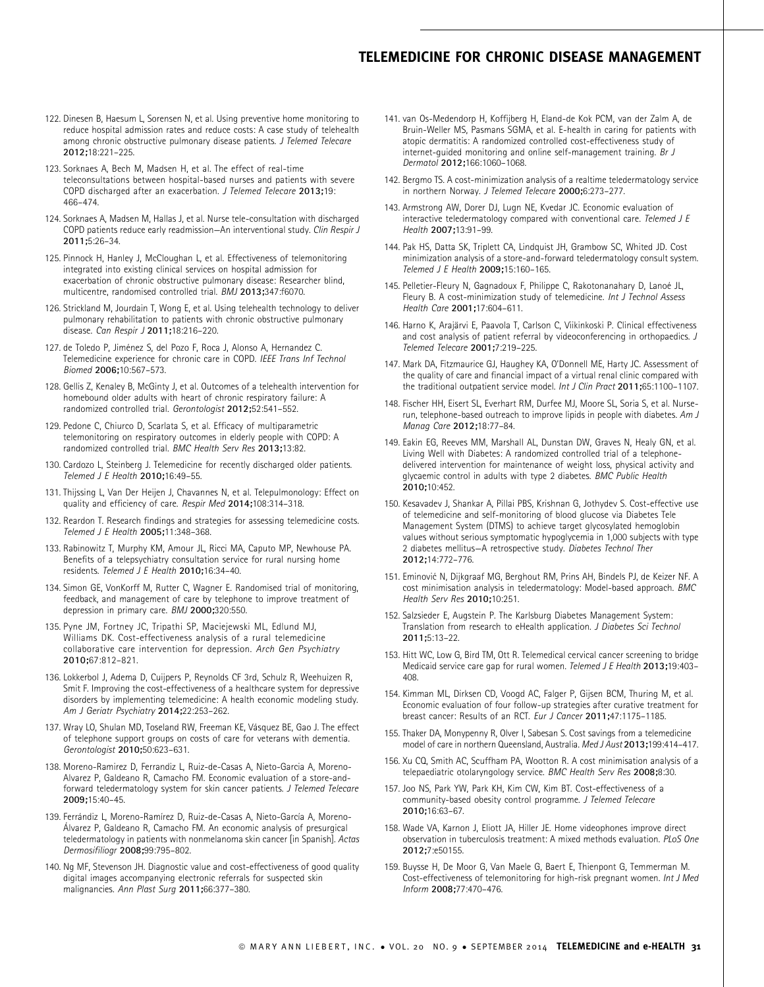- 122. Dinesen B, Haesum L, Sorensen N, et al. Using preventive home monitoring to reduce hospital admission rates and reduce costs: A case study of telehealth among chronic obstructive pulmonary disease patients. J Telemed Telecare 2012;18:221–225.
- 123. Sorknaes A, Bech M, Madsen H, et al. The effect of real-time teleconsultations between hospital-based nurses and patients with severe COPD discharged after an exacerbation. J Telemed Telecare 2013;19: 466–474.
- 124. Sorknaes A, Madsen M, Hallas J, et al. Nurse tele-consultation with discharged COPD patients reduce early readmission—An interventional study. Clin Respir J 2011;5:26–34.
- 125. Pinnock H, Hanley J, McCloughan L, et al. Effectiveness of telemonitoring integrated into existing clinical services on hospital admission for exacerbation of chronic obstructive pulmonary disease: Researcher blind, multicentre, randomised controlled trial. BMJ 2013;347:f6070.
- 126. Strickland M, Jourdain T, Wong E, et al. Using telehealth technology to deliver pulmonary rehabilitation to patients with chronic obstructive pulmonary disease. Can Respir J 2011;18:216–220.
- 127. de Toledo P, Jiménez S, del Pozo F, Roca J, Alonso A, Hernandez C. Telemedicine experience for chronic care in COPD. IEEE Trans Inf Technol Biomed 2006;10:567–573.
- 128. Gellis Z, Kenaley B, McGinty J, et al. Outcomes of a telehealth intervention for homebound older adults with heart of chronic respiratory failure: A randomized controlled trial. Gerontologist 2012;52:541–552.
- 129. Pedone C, Chiurco D, Scarlata S, et al. Efficacy of multiparametric telemonitoring on respiratory outcomes in elderly people with COPD: A randomized controlled trial. BMC Health Serv Res 2013;13:82.
- 130. Cardozo L, Steinberg J. Telemedicine for recently discharged older patients. Telemed J E Health 2010;16:49–55.
- 131. Thijssing L, Van Der Heijen J, Chavannes N, et al. Telepulmonology: Effect on quality and efficiency of care. Respir Med 2014;108:314–318.
- 132. Reardon T. Research findings and strategies for assessing telemedicine costs. Telemed J E Health 2005;11:348–368.
- 133. Rabinowitz T, Murphy KM, Amour JL, Ricci MA, Caputo MP, Newhouse PA. Benefits of a telepsychiatry consultation service for rural nursing home residents. Telemed J E Health 2010;16:34–40.
- 134. Simon GE, VonKorff M, Rutter C, Wagner E. Randomised trial of monitoring, feedback, and management of care by telephone to improve treatment of depression in primary care. BMJ 2000;320:550.
- 135. Pyne JM, Fortney JC, Tripathi SP, Maciejewski ML, Edlund MJ, Williams DK. Cost-effectiveness analysis of a rural telemedicine collaborative care intervention for depression. Arch Gen Psychiatry 2010;67:812–821.
- 136. Lokkerbol J, Adema D, Cuijpers P, Reynolds CF 3rd, Schulz R, Weehuizen R, Smit F. Improving the cost-effectiveness of a healthcare system for depressive disorders by implementing telemedicine: A health economic modeling study. Am J Geriatr Psychiatry 2014;22:253–262.
- 137. Wray LO, Shulan MD, Toseland RW, Freeman KE, Vásquez BE, Gao J. The effect of telephone support groups on costs of care for veterans with dementia. Gerontologist 2010;50:623–631.
- 138. Moreno-Ramirez D, Ferrandiz L, Ruiz-de-Casas A, Nieto-Garcia A, Moreno-Alvarez P, Galdeano R, Camacho FM. Economic evaluation of a store-andforward teledermatology system for skin cancer patients. J Telemed Telecare 2009;15:40–45.
- 139. Ferrándiz L, Moreno-Ramírez D, Ruiz-de-Casas A, Nieto-García A, Moreno-A´lvarez P, Galdeano R, Camacho FM. An economic analysis of presurgical teledermatology in patients with nonmelanoma skin cancer [in Spanish]. Actas Dermosifiliogr 2008;99:795–802.
- 140. Ng MF, Stevenson JH. Diagnostic value and cost-effectiveness of good quality digital images accompanying electronic referrals for suspected skin malignancies. Ann Plast Surg 2011;66:377–380.
- 141. van Os-Medendorp H, Koffijberg H, Eland-de Kok PCM, van der Zalm A, de Bruin-Weller MS, Pasmans SGMA, et al. E-health in caring for patients with atopic dermatitis: A randomized controlled cost-effectiveness study of internet-guided monitoring and online self-management training. Br J Dermatol 2012;166:1060–1068.
- 142. Bergmo TS. A cost-minimization analysis of a realtime teledermatology service in northern Norway. J Telemed Telecare 2000;6:273-277.
- 143. Armstrong AW, Dorer DJ, Lugn NE, Kvedar JC. Economic evaluation of interactive teledermatology compared with conventional care. Telemed J E Health 2007;13:91–99.
- 144. Pak HS, Datta SK, Triplett CA, Lindquist JH, Grambow SC, Whited JD. Cost minimization analysis of a store-and-forward teledermatology consult system. Telemed J E Health 2009;15:160–165.
- 145. Pelletier-Fleury N, Gagnadoux F, Philippe C, Rakotonanahary D, Lanoé JL, Fleury B. A cost-minimization study of telemedicine. Int J Technol Assess Health Care 2001;17:604–611.
- 146. Harno K, Arajärvi E, Paavola T, Carlson C, Viikinkoski P. Clinical effectiveness and cost analysis of patient referral by videoconferencing in orthopaedics. J Telemed Telecare 2001;7:219–225.
- 147. Mark DA, Fitzmaurice GJ, Haughey KA, O'Donnell ME, Harty JC. Assessment of the quality of care and financial impact of a virtual renal clinic compared with the traditional outpatient service model. Int J Clin Pract 2011;65:1100–1107.
- 148. Fischer HH, Eisert SL, Everhart RM, Durfee MJ, Moore SL, Soria S, et al. Nurserun, telephone-based outreach to improve lipids in people with diabetes. Am J Manag Care 2012;18:77–84.
- 149. Eakin EG, Reeves MM, Marshall AL, Dunstan DW, Graves N, Healy GN, et al. Living Well with Diabetes: A randomized controlled trial of a telephonedelivered intervention for maintenance of weight loss, physical activity and glycaemic control in adults with type 2 diabetes. BMC Public Health 2010;10:452.
- 150. Kesavadev J, Shankar A, Pillai PBS, Krishnan G, Jothydev S. Cost-effective use of telemedicine and self-monitoring of blood glucose via Diabetes Tele Management System (DTMS) to achieve target glycosylated hemoglobin values without serious symptomatic hypoglycemia in 1,000 subjects with type 2 diabetes mellitus—A retrospective study. Diabetes Technol Ther 2012;14:772–776.
- 151. Eminović N, Dijkgraaf MG, Berghout RM, Prins AH, Bindels PJ, de Keizer NF. A cost minimisation analysis in teledermatology: Model-based approach. BMC Health Serv Res 2010;10:251.
- 152. Salzsieder E, Augstein P. The Karlsburg Diabetes Management System: Translation from research to eHealth application. J Diabetes Sci Technol 2011;5:13–22.
- 153. Hitt WC, Low G, Bird TM, Ott R. Telemedical cervical cancer screening to bridge Medicaid service care gap for rural women. Telemed J E Health 2013;19:403– 408.
- 154. Kimman ML, Dirksen CD, Voogd AC, Falger P, Gijsen BCM, Thuring M, et al. Economic evaluation of four follow-up strategies after curative treatment for breast cancer: Results of an RCT. Eur J Cancer 2011;47:1175–1185.
- 155. Thaker DA, Monypenny R, Olver I, Sabesan S. Cost savings from a telemedicine model of care in northern Queensland, Australia. Med J Aust 2013;199:414–417.
- 156. Xu CQ, Smith AC, Scuffham PA, Wootton R. A cost minimisation analysis of a telepaediatric otolaryngology service. BMC Health Serv Res 2008;8:30.
- 157. Joo NS, Park YW, Park KH, Kim CW, Kim BT. Cost-effectiveness of a community-based obesity control programme. J Telemed Telecare 2010;16:63–67.
- 158. Wade VA, Karnon J, Eliott JA, Hiller JE. Home videophones improve direct observation in tuberculosis treatment: A mixed methods evaluation. PLoS One 2012;7:e50155.
- 159. Buysse H, De Moor G, Van Maele G, Baert E, Thienpont G, Temmerman M. Cost-effectiveness of telemonitoring for high-risk pregnant women. Int J Med Inform 2008;77:470–476.